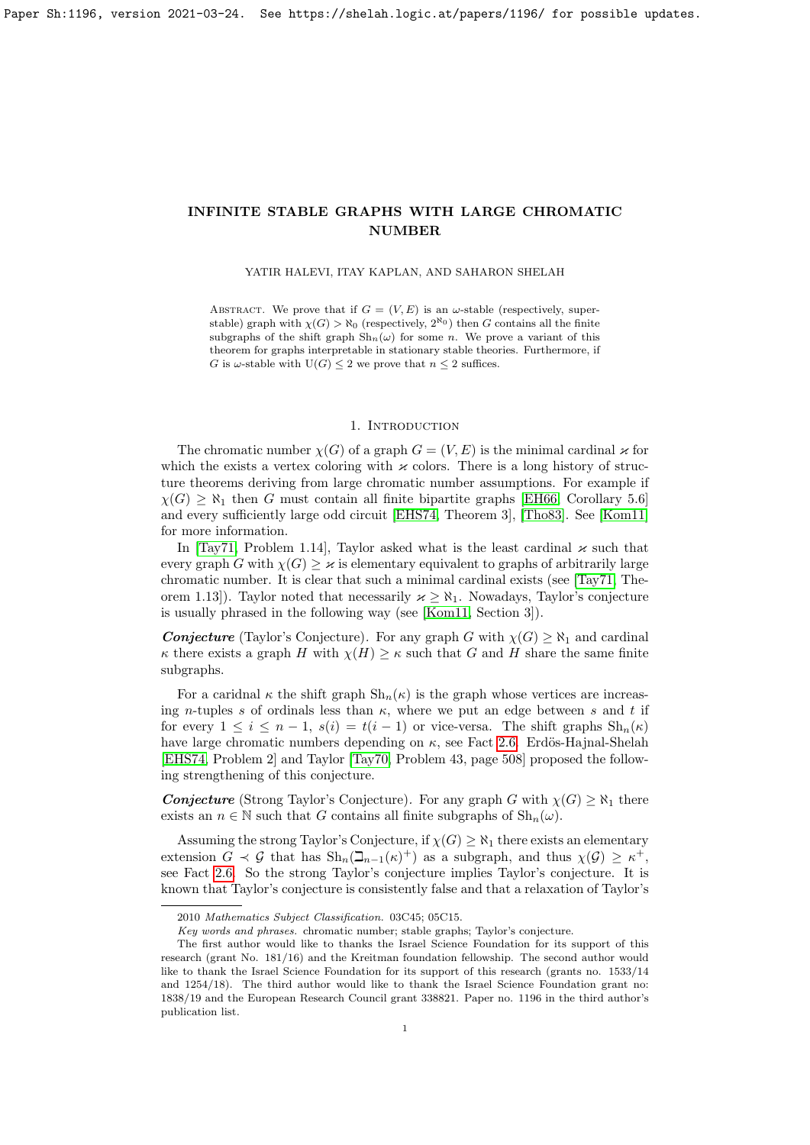## YATIR HALEVI, ITAY KAPLAN, AND SAHARON SHELAH

ABSTRACT. We prove that if  $G = (V, E)$  is an  $\omega$ -stable (respectively, superstable) graph with  $\chi(G) > \aleph_0$  (respectively,  $2^{\aleph_0}$ ) then G contains all the finite subgraphs of the shift graph  $\mathrm{Sh}_n(\omega)$  for some n. We prove a variant of this theorem for graphs interpretable in stationary stable theories. Furthermore, if G is  $\omega$ -stable with  $U(G) \leq 2$  we prove that  $n \leq 2$  suffices.

# 1. INTRODUCTION

The chromatic number  $\chi(G)$  of a graph  $G = (V, E)$  is the minimal cardinal  $\varkappa$  for which the exists a vertex coloring with  $\varkappa$  colors. There is a long history of structure theorems deriving from large chromatic number assumptions. For example if  $\chi(G) \geq \aleph_1$  then G must contain all finite bipartite graphs [\[EH66,](#page-28-0) Corollary 5.6] and every sufficiently large odd circuit [\[EHS74,](#page-28-1) Theorem 3], [\[Tho83\]](#page-28-2). See [\[Kom11\]](#page-28-3) for more information.

In [\[Tay71,](#page-28-4) Problem 1.14], Taylor asked what is the least cardinal  $\varkappa$  such that every graph G with  $\chi(G) > \kappa$  is elementary equivalent to graphs of arbitrarily large chromatic number. It is clear that such a minimal cardinal exists (see [\[Tay71,](#page-28-4) Theorem 1.13]). Taylor noted that necessarily  $\varkappa > \aleph_1$ . Nowadays, Taylor's conjecture is usually phrased in the following way (see [\[Kom11,](#page-28-3) Section 3]).

**Conjecture** (Taylor's Conjecture). For any graph G with  $\chi(G) \geq \aleph_1$  and cardinal  $\kappa$  there exists a graph H with  $\chi(H) \geq \kappa$  such that G and H share the same finite subgraphs.

For a caridnal  $\kappa$  the shift graph  $\mathrm{Sh}_n(\kappa)$  is the graph whose vertices are increasing n-tuples s of ordinals less than  $\kappa$ , where we put an edge between s and t if for every  $1 \leq i \leq n-1$ ,  $s(i) = t(i-1)$  or vice-versa. The shift graphs  $\text{Sh}_n(\kappa)$ have large chromatic numbers depending on  $\kappa$ , see Fact [2.6.](#page-2-0) Erdös-Hajnal-Shelah [\[EHS74,](#page-28-1) Problem 2] and Taylor [\[Tay70,](#page-28-5) Problem 43, page 508] proposed the following strengthening of this conjecture.

**Conjecture** (Strong Taylor's Conjecture). For any graph G with  $\chi(G) \geq \aleph_1$  there exists an  $n \in \mathbb{N}$  such that G contains all finite subgraphs of  $\mathrm{Sh}_n(\omega)$ .

Assuming the strong Taylor's Conjecture, if  $\chi(G) \geq \aleph_1$  there exists an elementary extension  $G \prec G$  that has  $\text{Sh}_n(\beth_{n-1}(\kappa)^+)$  as a subgraph, and thus  $\chi(G) \geq \kappa^+$ , see Fact [2.6.](#page-2-0) So the strong Taylor's conjecture implies Taylor's conjecture. It is known that Taylor's conjecture is consistently false and that a relaxation of Taylor's

<sup>2010</sup> Mathematics Subject Classification. 03C45; 05C15.

Key words and phrases. chromatic number; stable graphs; Taylor's conjecture.

The first author would like to thanks the Israel Science Foundation for its support of this research (grant No. 181/16) and the Kreitman foundation fellowship. The second author would like to thank the Israel Science Foundation for its support of this research (grants no. 1533/14 and 1254/18). The third author would like to thank the Israel Science Foundation grant no: 1838/19 and the European Research Council grant 338821. Paper no. 1196 in the third author's publication list.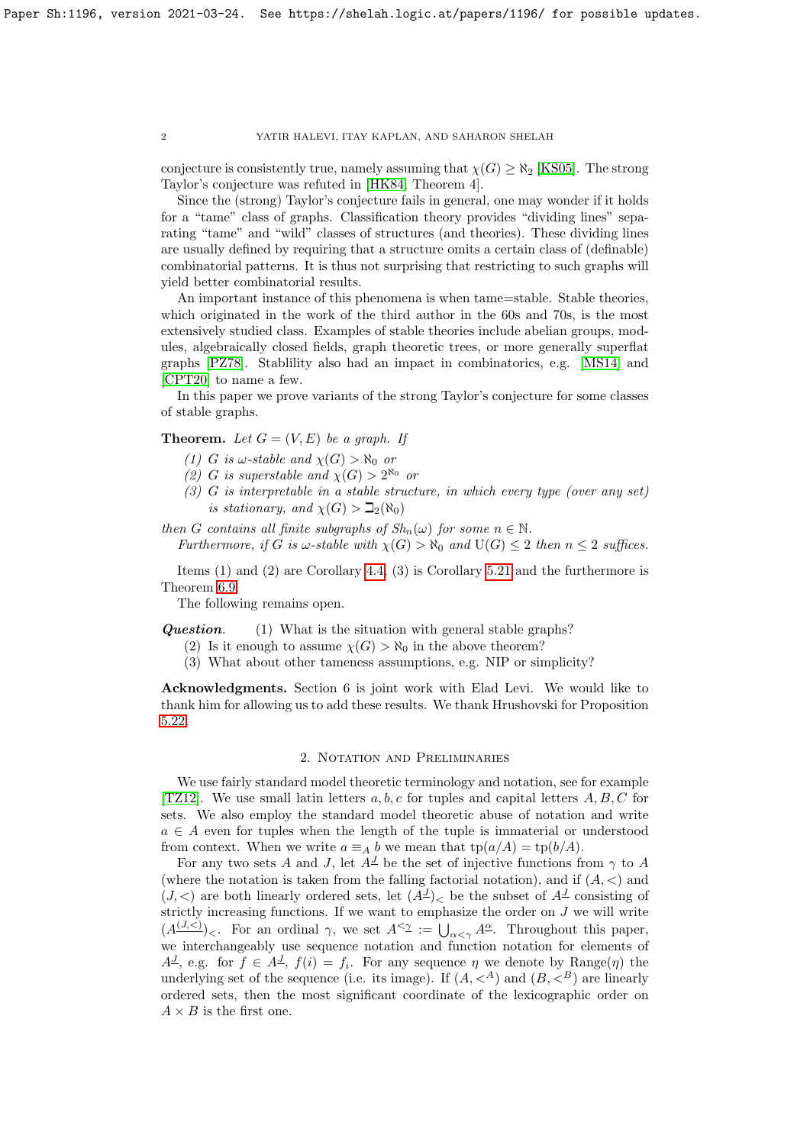conjecture is consistently true, namely assuming that  $\chi(G) \geq \aleph_2$  [\[KS05\]](#page-28-6). The strong Taylor's conjecture was refuted in [\[HK84,](#page-28-7) Theorem 4].

Since the (strong) Taylor's conjecture fails in general, one may wonder if it holds for a "tame" class of graphs. Classification theory provides "dividing lines" separating "tame" and "wild" classes of structures (and theories). These dividing lines are usually defined by requiring that a structure omits a certain class of (definable) combinatorial patterns. It is thus not surprising that restricting to such graphs will yield better combinatorial results.

An important instance of this phenomena is when tame=stable. Stable theories, which originated in the work of the third author in the 60s and 70s, is the most extensively studied class. Examples of stable theories include abelian groups, modules, algebraically closed fields, graph theoretic trees, or more generally superflat graphs [\[PZ78\]](#page-28-8). Stablility also had an impact in combinatorics, e.g. [\[MS14\]](#page-28-9) and [\[CPT20\]](#page-27-0) to name a few.

In this paper we prove variants of the strong Taylor's conjecture for some classes of stable graphs.

# **Theorem.** Let  $G = (V, E)$  be a graph. If

- (1) G is  $\omega$ -stable and  $\chi(G) > \aleph_0$  or
- (2) G is superstable and  $\chi(G) > 2^{\aleph_0}$  or
- (3) G is interpretable in a stable structure, in which every type (over any set) is stationary, and  $\chi(G) > \beth_2(\aleph_0)$

then G contains all finite subgraphs of  $Sh_n(\omega)$  for some  $n \in \mathbb{N}$ .

Furthermore, if G is  $\omega$ -stable with  $\chi(G) > \aleph_0$  and  $U(G) \leq 2$  then  $n \leq 2$  suffices.

Items (1) and (2) are Corollary [4.4,](#page-14-0) (3) is Corollary [5.21](#page-22-0) and the furthermore is Theorem [6.9.](#page-27-1)

The following remains open.

**Question.** (1) What is the situation with general stable graphs?

- (2) Is it enough to assume  $\chi(G) > \aleph_0$  in the above theorem?
- (3) What about other tameness assumptions, e.g. NIP or simplicity?

Acknowledgments. Section 6 is joint work with Elad Levi. We would like to thank him for allowing us to add these results. We thank Hrushovski for Proposition [5.22.](#page-22-1)

## 2. Notation and Preliminaries

We use fairly standard model theoretic terminology and notation, see for example [\[TZ12\]](#page-28-10). We use small latin letters  $a, b, c$  for tuples and capital letters  $A, B, C$  for sets. We also employ the standard model theoretic abuse of notation and write  $a \in A$  even for tuples when the length of the tuple is immaterial or understood from context. When we write  $a \equiv_A b$  we mean that  $tp(a/A) = tp(b/A)$ .

For any two sets A and J, let  $A^{\perp}$  be the set of injective functions from  $\gamma$  to A (where the notation is taken from the falling factorial notation), and if  $(A, \leq)$  and  $(J, <)$  are both linearly ordered sets, let  $(A^J)$  be the subset of  $A^J$  consisting of strictly increasing functions. If we want to emphasize the order on  $J$  we will write  $(A^{(J,<)}_{\alpha})_{\alpha}$ . For an ordinal  $\gamma$ , we set  $A^{\leq \gamma} := \bigcup_{\alpha \leq \gamma} A^{\underline{\alpha}}$ . Throughout this paper, we interchangeably use sequence notation and function notation for elements of  $A^{\underline{J}}$ , e.g. for  $f \in A^{\underline{J}}$ ,  $f(i) = f_i$ . For any sequence  $\eta$  we denote by Range $(\eta)$  the underlying set of the sequence (i.e. its image). If  $(A, \langle A \rangle)$  and  $(B, \langle B \rangle)$  are linearly ordered sets, then the most significant coordinate of the lexicographic order on  $A \times B$  is the first one.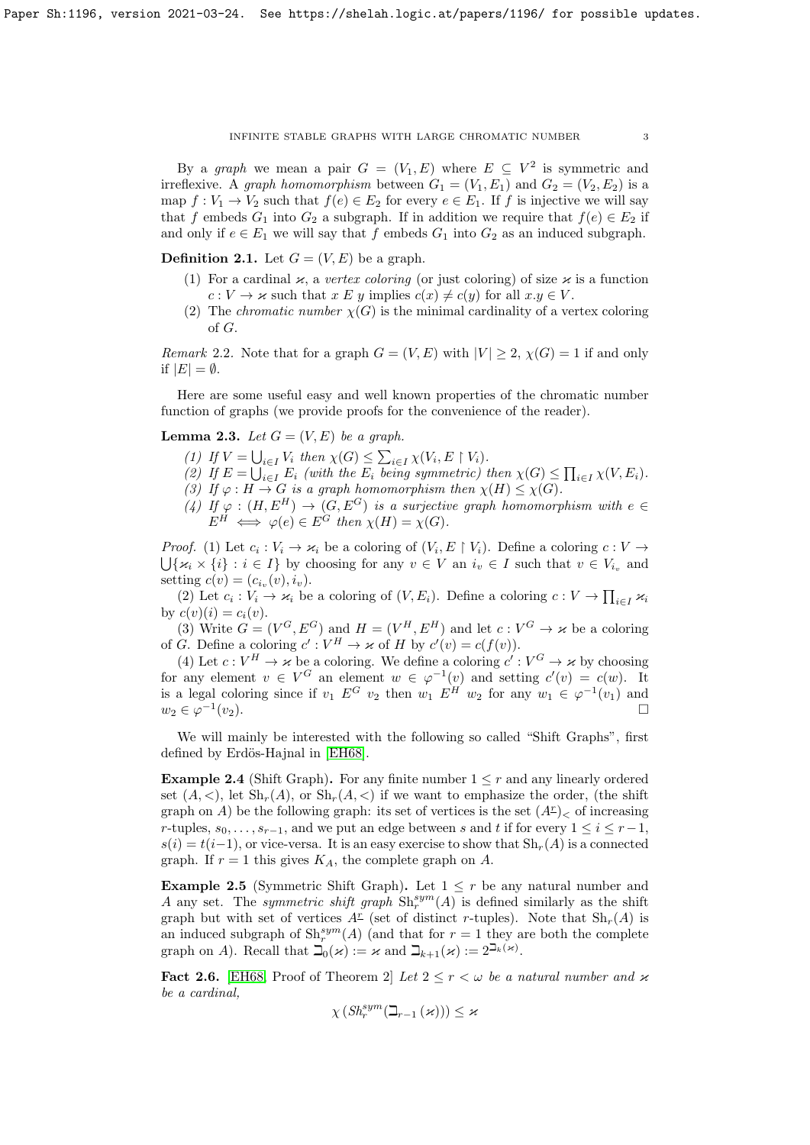By a graph we mean a pair  $G = (V_1, E)$  where  $E \subseteq V^2$  is symmetric and irreflexive. A graph homomorphism between  $G_1 = (V_1, E_1)$  and  $G_2 = (V_2, E_2)$  is a map  $f: V_1 \to V_2$  such that  $f(e) \in E_2$  for every  $e \in E_1$ . If f is injective we will say that f embeds  $G_1$  into  $G_2$  a subgraph. If in addition we require that  $f(e) \in E_2$  if and only if  $e \in E_1$  we will say that f embeds  $G_1$  into  $G_2$  as an induced subgraph.

**Definition 2.1.** Let  $G = (V, E)$  be a graph.

- (1) For a cardinal  $\kappa$ , a vertex coloring (or just coloring) of size  $\kappa$  is a function  $c: V \to \varkappa$  such that  $x \to y$  implies  $c(x) \neq c(y)$  for all  $x,y \in V$ .
- (2) The *chromatic number*  $\chi(G)$  is the minimal cardinality of a vertex coloring of G.

*Remark* 2.2. Note that for a graph  $G = (V, E)$  with  $|V| \geq 2$ ,  $\chi(G) = 1$  if and only if  $|E| = \emptyset$ .

Here are some useful easy and well known properties of the chromatic number function of graphs (we provide proofs for the convenience of the reader).

# <span id="page-2-1"></span>**Lemma 2.3.** Let  $G = (V, E)$  be a graph.

- (1) If  $V = \bigcup_{i \in I} V_i$  then  $\chi(G) \leq \sum_{i \in I} \chi(V_i, E \restriction V_i)$ .
- (2) If  $E = \bigcup_{i \in I} E_i$  (with the  $E_i$  being symmetric) then  $\chi(G) \leq \prod_{i \in I} \chi(V, E_i)$ .
- (3) If  $\varphi : H \to G$  is a graph homomorphism then  $\chi(H) \leq \chi(G)$ .
- (4) If  $\varphi : (H, E^H) \to (G, E^G)$  is a surjective graph homomorphism with  $e \in$  $E^H \iff \varphi(e) \in E^G$  then  $\chi(H) = \chi(G)$ .

*Proof.* (1) Let  $c_i : V_i \to \kappa_i$  be a coloring of  $(V_i, E \restriction V_i)$ . Define a coloring  $c : V \to V$  $\bigcup \{\varkappa_i \times \{i\} : i \in I\}$  by choosing for any  $v \in V$  an  $i_v \in I$  such that  $v \in V_{i_v}$  and setting  $c(v) = (c_{i_v}(v), i_v)$ .

(2) Let  $c_i : V_i \to \kappa_i$  be a coloring of  $(V, E_i)$ . Define a coloring  $c : V \to \prod_{i \in I} \kappa_i$ by  $c(v)(i) = c_i(v)$ .

(3) Write  $G = (V^G, E^G)$  and  $H = (V^H, E^H)$  and let  $c: V^G \to \kappa$  be a coloring of G. Define a coloring  $c': V^H \to \kappa$  of H by  $c'(v) = c(f(v)).$ 

(4) Let  $c: V^H \to \kappa$  be a coloring. We define a coloring  $c': V^G \to \kappa$  by choosing for any element  $v \in V^G$  an element  $w \in \varphi^{-1}(v)$  and setting  $c'(v) = c(w)$ . It is a legal coloring since if  $v_1 E^G v_2$  then  $w_1 E^H w_2$  for any  $w_1 \in \varphi^{-1}(v_1)$  and  $w_2 \in \varphi^{-1}$  $(v_2)$ .

We will mainly be interested with the following so called "Shift Graphs", first defined by Erdös-Hajnal in [\[EH68\]](#page-28-11).

**Example 2.4** (Shift Graph). For any finite number  $1 \leq r$  and any linearly ordered set  $(A, \leq),$  let  $\mathrm{Sh}_r(A),$  or  $\mathrm{Sh}_r(A, \leq)$  if we want to emphasize the order, (the shift graph on A) be the following graph: its set of vertices is the set  $(A^{\mathcal{I}})<$  of increasing r-tuples,  $s_0, \ldots, s_{r-1}$ , and we put an edge between s and t if for every  $1 \leq i \leq r-1$ ,  $s(i) = t(i-1)$ , or vice-versa. It is an easy exercise to show that  $\text{Sh}_r(A)$  is a connected graph. If  $r = 1$  this gives  $K_A$ , the complete graph on A.

Example 2.5 (Symmetric Shift Graph). Let  $1 \leq r$  be any natural number and A any set. The *symmetric shift graph*  $\text{Sh}_r^{sym}(A)$  is defined similarly as the shift graph but with set of vertices  $A^{\underline{r}}$  (set of distinct r-tuples). Note that  $\mathrm{Sh}_{r}(A)$  is an induced subgraph of  $\mathrm{Sh}^{sym}_r(A)$  (and that for  $r=1$  they are both the complete graph on A). Recall that  $\mathcal{I}_0(\kappa) := \kappa$  and  $\mathcal{I}_{k+1}(\kappa) := 2^{\mathcal{I}_k(\kappa)}$ .

<span id="page-2-0"></span>**Fact 2.6.** [\[EH68,](#page-28-11) Proof of Theorem 2] Let  $2 \le r \le \omega$  be a natural number and  $\kappa$ be a cardinal,

$$
\chi\left(\mathit{Sh}^{sym}_r(\beth_{r-1}\left(\varkappa\right)\right)\right)\leq\varkappa
$$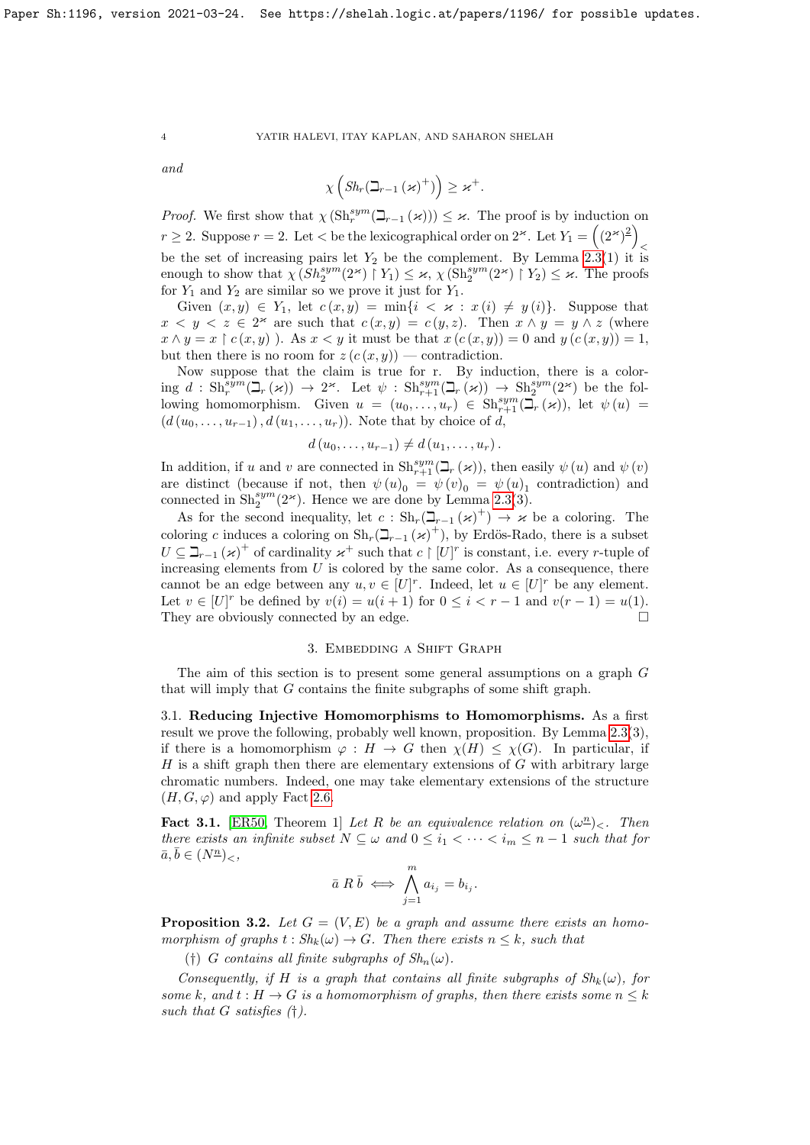and

$$
\chi\left(Sh_r(\beth_{r-1}(\varkappa)^+)\right)\geq \varkappa^+.
$$

*Proof.* We first show that  $\chi(\text{Sh}_r^{sym}(\mathcal{I}_{r-1}(\varkappa))) \leq \varkappa$ . The proof is by induction on *r*  $\geq$  2. Suppose  $r = 2$ . Let  $\lt$  be the lexicographical order on 2<sup>k</sup>. Let  $Y_1 = \left(\frac{2k}{2}\right)^2$  $\,<$ be the set of increasing pairs let  $Y_2$  be the complement. By Lemma [2.3\(](#page-2-1)1) it is enough to show that  $\chi(Sh_2^{sym}(2^{\varkappa}) \restriction Y_1) \leq \varkappa$ ,  $\chi(\text{Sh}_2^{sym}(2^{\varkappa}) \restriction Y_2) \leq \varkappa$ . The proofs for  $Y_1$  and  $Y_2$  are similar so we prove it just for  $Y_1$ .

Given  $(x, y) \in Y_1$ , let  $c(x, y) = \min\{i \leq x : x(i) \neq y(i)\}\$ . Suppose that  $x < y < z \in 2^{\infty}$  are such that  $c(x, y) = c(y, z)$ . Then  $x \wedge y = y \wedge z$  (where  $x \wedge y = x \upharpoonright c(x, y)$ . As  $x < y$  it must be that  $x (c(x, y)) = 0$  and  $y (c(x, y)) = 1$ , but then there is no room for  $z(c(x, y))$  — contradiction.

Now suppose that the claim is true for r. By induction, there is a color- $\lim_{n \to \infty} d : \operatorname{Sh}^{\text{sym}}_r(\mathbb{L}_r(\varkappa)) \to 2^{\varkappa}$ . Let  $\psi : \operatorname{Sh}^{\text{sym}}_{r+1}(\mathbb{L}_r(\varkappa)) \to \operatorname{Sh}^{\text{sym}}_2(2^{\varkappa})$  be the following homomorphism. Given  $u = (u_0, \ldots, u_r) \in \text{Sh}_{r+1}^{sym}(\mathcal{I}_r(\varkappa))$ , let  $\psi(u) =$  $(d(u_0, \ldots, u_{r-1}), d(u_1, \ldots, u_r))$ . Note that by choice of d,

$$
d(u_0,\ldots,u_{r-1})\neq d(u_1,\ldots,u_r).
$$

In addition, if u and v are connected in  $\text{Sh}_{r+1}^{sym}(\mathbb{L}_r(\varkappa))$ , then easily  $\psi(u)$  and  $\psi(v)$ are distinct (because if not, then  $\psi(u)_0 = \psi(v)_0 = \psi(u)_1$  contradiction) and connected in  $\text{Sh}_2^{sym}(2^{\infty})$ . Hence we are done by Lemma [2.3\(](#page-2-1)3).

As for the second inequality, let  $c : Sh_r(\mathbb{Z}_{r-1}(\varkappa)^+) \to \varkappa$  be a coloring. The coloring c induces a coloring on  $\mathrm{Sh}_r(\mathbb{L}_{r-1}(\varkappa)^+)$ , by Erdös-Rado, there is a subset  $U \subseteq \mathbb{Z}_{r-1}(\varkappa)^+$  of cardinality  $\varkappa^+$  such that  $c \restriction [U]^r$  is constant, i.e. every r-tuple of increasing elements from  $U$  is colored by the same color. As a consequence, there cannot be an edge between any  $u, v \in [U]^r$ . Indeed, let  $u \in [U]^r$  be any element. Let  $v \in [U]^r$  be defined by  $v(i) = u(i + 1)$  for  $0 \le i < r - 1$  and  $v(r - 1) = u(1)$ . They are obviously connected by an edge.

# 3. Embedding a Shift Graph

The aim of this section is to present some general assumptions on a graph G that will imply that G contains the finite subgraphs of some shift graph.

3.1. Reducing Injective Homomorphisms to Homomorphisms. As a first result we prove the following, probably well known, proposition. By Lemma [2.3\(](#page-2-1)3), if there is a homomorphism  $\varphi : H \to G$  then  $\chi(H) \leq \chi(G)$ . In particular, if  $H$  is a shift graph then there are elementary extensions of  $G$  with arbitrary large chromatic numbers. Indeed, one may take elementary extensions of the structure  $(H, G, \varphi)$  and apply Fact [2.6.](#page-2-0)

<span id="page-3-0"></span>Fact 3.1. [\[ER50,](#page-28-12) Theorem 1] Let R be an equivalence relation on  $(\omega^n)_{\leq}$ . Then there exists an infinite subset  $N \subseteq \omega$  and  $0 \leq i_1 < \cdots < i_m \leq n-1$  such that for  $\bar{a}, \bar{b} \in (N^{\underline{n}})_{\leq},$ 

$$
\bar{a} \; R \; \bar{b} \; \Longleftrightarrow \; \bigwedge_{j=1}^{m} a_{i_j} = b_{i_j}.
$$

<span id="page-3-1"></span>**Proposition 3.2.** Let  $G = (V, E)$  be a graph and assume there exists an homomorphism of graphs  $t : Sh_k(\omega) \to G$ . Then there exists  $n \leq k$ , such that

(†) G contains all finite subgraphs of  $Sh_n(\omega)$ .

Consequently, if H is a graph that contains all finite subgraphs of  $Sh_k(\omega)$ , for some k, and  $t : H \to G$  is a homomorphism of graphs, then there exists some  $n \leq k$ such that  $G$  satisfies  $(†)$ .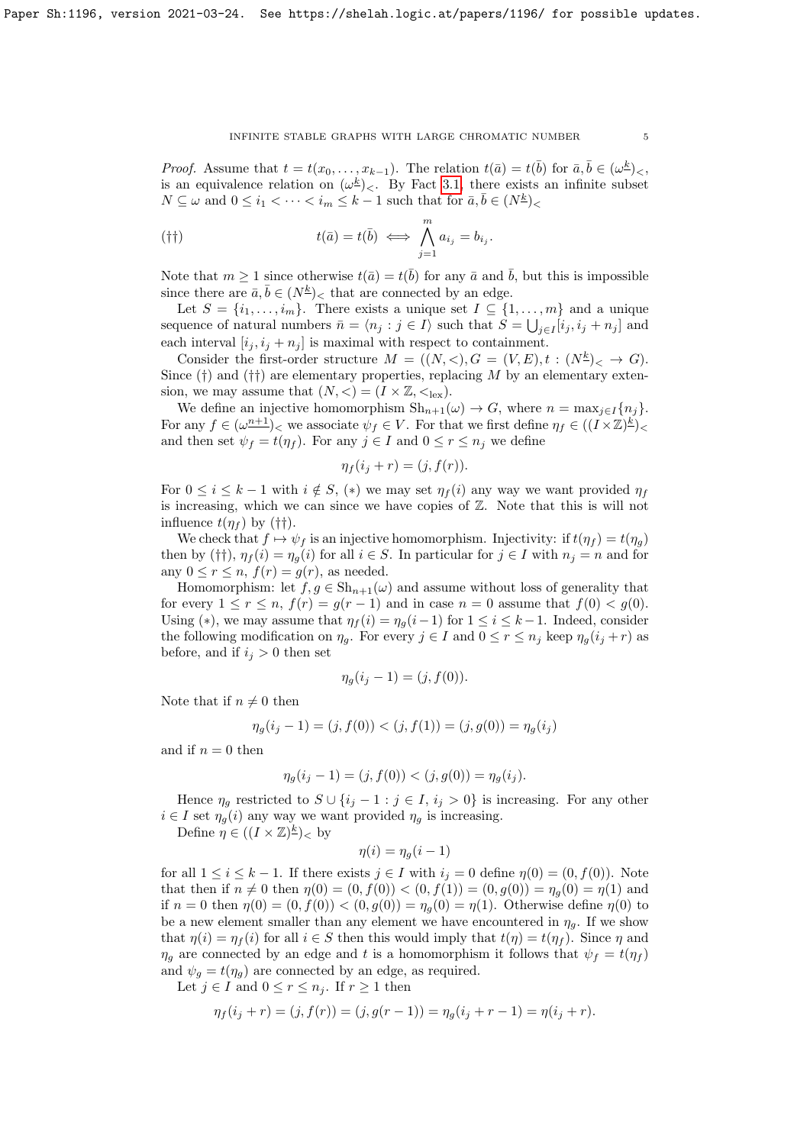*Proof.* Assume that  $t = t(x_0, \ldots, x_{k-1})$ . The relation  $t(\bar{a}) = t(\bar{b})$  for  $\bar{a}, \bar{b} \in (\omega^{\underline{k}})_{\leq}$ , is an equivalence relation on  $(\omega^{\underline{k}})_{\leq}$ . By Fact [3.1,](#page-3-0) there exists an infinite subset  $N \subseteq \omega$  and  $0 \leq i_1 < \cdots < i_m \leq k-1$  such that for  $\bar{a}, \bar{b} \in (N^{\underline{k}})$ 

$$
(††)\qquad \qquad t(\bar{a})=t(\bar{b})\iff \bigwedge_{j=1}^m a_{i_j}=b_{i_j}.
$$

Note that  $m \geq 1$  since otherwise  $t(\bar{a}) = t(\bar{b})$  for any  $\bar{a}$  and  $\bar{b}$ , but this is impossible since there are  $\bar{a}, \bar{b} \in (N^{\underline{k}})_{\leq}$  that are connected by an edge.

Let  $S = \{i_1, \ldots, i_m\}$ . There exists a unique set  $I \subseteq \{1, \ldots, m\}$  and a unique sequence of natural numbers  $\bar{n} = \langle n_j : j \in I \rangle$  such that  $S = \bigcup_{j \in I} [i_j, i_j + n_j]$  and each interval  $[i_j, i_j + n_j]$  is maximal with respect to containment.

Consider the first-order structure  $M = ((N, <), G = (V, E), t : (N^{\underline{k}})_{<} \to G)$ . Since  $(\dagger)$  and  $(\dagger\dagger)$  are elementary properties, replacing M by an elementary extension, we may assume that  $(N, <) = (I \times \mathbb{Z}, <_{\text{lex}}).$ 

We define an injective homomorphism  $\text{Sh}_{n+1}(\omega) \to G$ , where  $n = \max_{j \in I} \{n_j\}$ . For any  $f \in (\omega^{n+1})<\infty$  associate  $\psi_f \in V$ . For that we first define  $\eta_f \in ((I \times \mathbb{Z})^{\underline{k}})<$ and then set  $\psi_f = t(\eta_f)$ . For any  $j \in I$  and  $0 \le r \le n_j$  we define

$$
\eta_f(i_j + r) = (j, f(r)).
$$

For  $0 \le i \le k-1$  with  $i \notin S$ ,  $(*)$  we may set  $\eta_f(i)$  any way we want provided  $\eta_f$ is increasing, which we can since we have copies of  $\mathbb{Z}$ . Note that this is will not influence  $t(\eta_f)$  by (††).

We check that  $f \mapsto \psi_f$  is an injective homomorphism. Injectivity: if  $t(\eta_f) = t(\eta_g)$ then by (††),  $\eta_f(i) = \eta_g(i)$  for all  $i \in S$ . In particular for  $j \in I$  with  $n_j = n$  and for any  $0 \le r \le n$ ,  $f(r) = g(r)$ , as needed.

Homomorphism: let  $f, g \in Sh_{n+1}(\omega)$  and assume without loss of generality that for every  $1 \le r \le n$ ,  $f(r) = g(r-1)$  and in case  $n = 0$  assume that  $f(0) < g(0)$ . Using (\*), we may assume that  $\eta_f(i) = \eta_q(i-1)$  for  $1 \leq i \leq k-1$ . Indeed, consider the following modification on  $\eta_q$ . For every  $j \in I$  and  $0 \le r \le n_j$  keep  $\eta_q(i_j + r)$  as before, and if  $i_j > 0$  then set

$$
\eta_g(i_j - 1) = (j, f(0)).
$$

Note that if  $n \neq 0$  then

$$
\eta_g(i_j - 1) = (j, f(0)) < (j, f(1)) = (j, g(0)) = \eta_g(i_j)
$$

and if  $n = 0$  then

$$
\eta_g(i_j - 1) = (j, f(0)) < (j, g(0)) = \eta_g(i_j).
$$

Hence  $\eta_q$  restricted to  $S \cup \{i_j - 1 : j \in I, i_j > 0\}$  is increasing. For any other  $i \in I$  set  $\eta_q(i)$  any way we want provided  $\eta_q$  is increasing.

Define  $\eta \in ((I \times \mathbb{Z})^{\underline{k}})_{< 0$ 

$$
\eta(i) = \eta_g(i-1)
$$

for all  $1 \leq i \leq k-1$ . If there exists  $j \in I$  with  $i_j = 0$  define  $\eta(0) = (0, f(0))$ . Note that then if  $n \neq 0$  then  $\eta(0) = (0, f(0)) < (0, f(1)) = (0, g(0)) = \eta_a(0) = \eta(1)$  and if  $n = 0$  then  $\eta(0) = (0, f(0)) < (0, g(0)) = \eta_a(0) = \eta(1)$ . Otherwise define  $\eta(0)$  to be a new element smaller than any element we have encountered in  $\eta_q$ . If we show that  $\eta(i) = \eta_f(i)$  for all  $i \in S$  then this would imply that  $t(\eta) = t(\eta_f)$ . Since  $\eta$  and  $\eta_g$  are connected by an edge and t is a homomorphism it follows that  $\psi_f = t(\eta_f)$ and  $\psi_g = t(\eta_g)$  are connected by an edge, as required.

Let  $j \in I$  and  $0 \leq r \leq n_j$ . If  $r \geq 1$  then

$$
\eta_f(i_j + r) = (j, f(r)) = (j, g(r - 1)) = \eta_g(i_j + r - 1) = \eta(i_j + r).
$$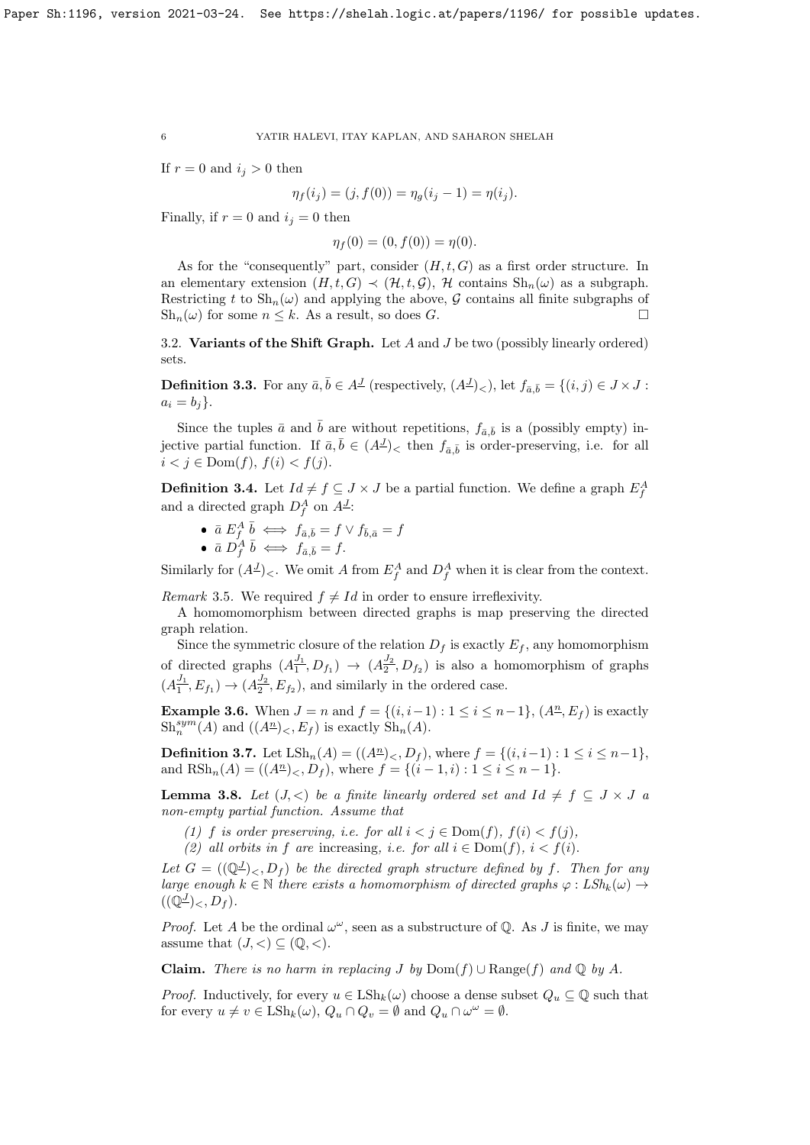If  $r = 0$  and  $i_j > 0$  then

$$
\eta_f(i_j) = (j, f(0)) = \eta_g(i_j - 1) = \eta(i_j).
$$

Finally, if  $r = 0$  and  $i_j = 0$  then

 $\eta_f(0) = (0, f(0)) = \eta(0).$ 

As for the "consequently" part, consider  $(H, t, G)$  as a first order structure. In an elementary extension  $(H, t, G) \prec (\mathcal{H}, t, \mathcal{G})$ ,  $\mathcal{H}$  contains  $\text{Sh}_n(\omega)$  as a subgraph. Restricting t to  $\mathrm{Sh}_n(\omega)$  and applying the above, G contains all finite subgraphs of  $\text{Sh}_n(\omega)$  for some  $n \leq k$ . As a result, so does G.

3.2. Variants of the Shift Graph. Let  $A$  and  $J$  be two (possibly linearly ordered) sets.

<span id="page-5-2"></span>**Definition 3.3.** For any  $\bar{a}, \bar{b} \in A^{\mathcal{I}}$  (respectively,  $(A^{\mathcal{I}})_{\leq}$ ), let  $f_{\bar{a}, \bar{b}} = \{(i, j) \in J \times J :$  $a_i = b_j$ .

Since the tuples  $\bar{a}$  and  $\bar{b}$  are without repetitions,  $f_{\bar{a}, \bar{b}}$  is a (possibly empty) injective partial function. If  $\bar{a}, \bar{b} \in (A^{\underline{J}})_{\leq}$  then  $f_{\bar{a}, \bar{b}}$  is order-preserving, i.e. for all  $i < j \in \text{Dom}(f), f(i) < f(j).$ 

<span id="page-5-0"></span>**Definition 3.4.** Let  $Id \neq f \subseteq J \times J$  be a partial function. We define a graph  $E_f^A$ and a directed graph  $D_f^A$  on  $A^J$ :

- $\bar{a} E_f^A \bar{b} \iff f_{\bar{a}, \bar{b}} = f \vee f_{\bar{b}, \bar{a}} = f$
- $\bar{a} D_f^{\dot{A}} \bar{b} \iff f_{\bar{a},\bar{b}} = f.$

Similarly for  $(A^{\mathcal{I}})<.$  We omit A from  $E_f^A$  and  $D_f^A$  when it is clear from the context.

Remark 3.5. We required  $f \neq Id$  in order to ensure irreflexivity.

A homomomorphism between directed graphs is map preserving the directed graph relation.

Since the symmetric closure of the relation  $D_f$  is exactly  $E_f$ , any homomorphism of directed graphs  $(A_1^{J_1})$  $\frac{J_1}{1}, D_{f_1}) \rightarrow (A_2^{\frac{J_2}{}})$  $\frac{\partial^2}{\partial z^2}$ ,  $D_{f_2}$ ) is also a homomorphism of graphs  $(A_1^{J_1})$  $\frac{J_1}{1}, E_{f_1}) \to (A_2^{\frac{J_2}{}})$  $\frac{\partial^2}{\partial z^2}$ ,  $E_{f_2}$ ), and similarly in the ordered case.

**Example 3.6.** When  $J = n$  and  $f = \{(i, i-1) : 1 \le i \le n-1\}$ ,  $(A^n, E_f)$  is exactly  $\mathrm{Sh}^{sym}_n(A)$  and  $((A^{\underline{n}})_{<,E_f)$  is exactly  $\mathrm{Sh}_n(A)$ .

**Definition 3.7.** Let  $\text{LSh}_n(A) = ((A^n)_{<, b_f)$ , where  $f = \{(i, i-1) : 1 \leq i \leq n-1\}$ , and  $R\mathrm{Sh}_n(A) = ((A^n)_{\leq}, D_f)$ , where  $f = \{(i-1, i) : 1 \leq i \leq n-1\}$ .

<span id="page-5-1"></span>**Lemma 3.8.** Let  $(J, \leq)$  be a finite linearly ordered set and  $Id \neq f \subseteq J \times J$  a non-empty partial function. Assume that

(1) f is order preserving, i.e. for all  $i < j \in Dom(f)$ ,  $f(i) < f(j)$ ,

(2) all orbits in f are increasing, i.e. for all  $i \in Dom(f)$ ,  $i < f(i)$ .

Let  $G = ((\mathbb{Q}^{\underline{J}})_{\leq}, D_f)$  be the directed graph structure defined by f. Then for any large enough  $k \in \mathbb{N}$  there exists a homomorphism of directed graphs  $\varphi : LSh_k(\omega) \to$  $((\overline{{\mathbb Q}^J})_{\lt}, D_f)$ .

*Proof.* Let A be the ordinal  $\omega^{\omega}$ , seen as a substructure of Q. As J is finite, we may assume that  $(J, <) \subseteq (\mathbb{Q}, <)$ .

Claim. There is no harm in replacing J by  $Dom(f) \cup Range(f)$  and Q by A.

*Proof.* Inductively, for every  $u \in \text{LSh}_k(\omega)$  choose a dense subset  $Q_u \subseteq \mathbb{Q}$  such that for every  $u \neq v \in \text{LSh}_k(\omega)$ ,  $Q_u \cap Q_v = \emptyset$  and  $Q_u \cap \omega^{\omega} = \emptyset$ .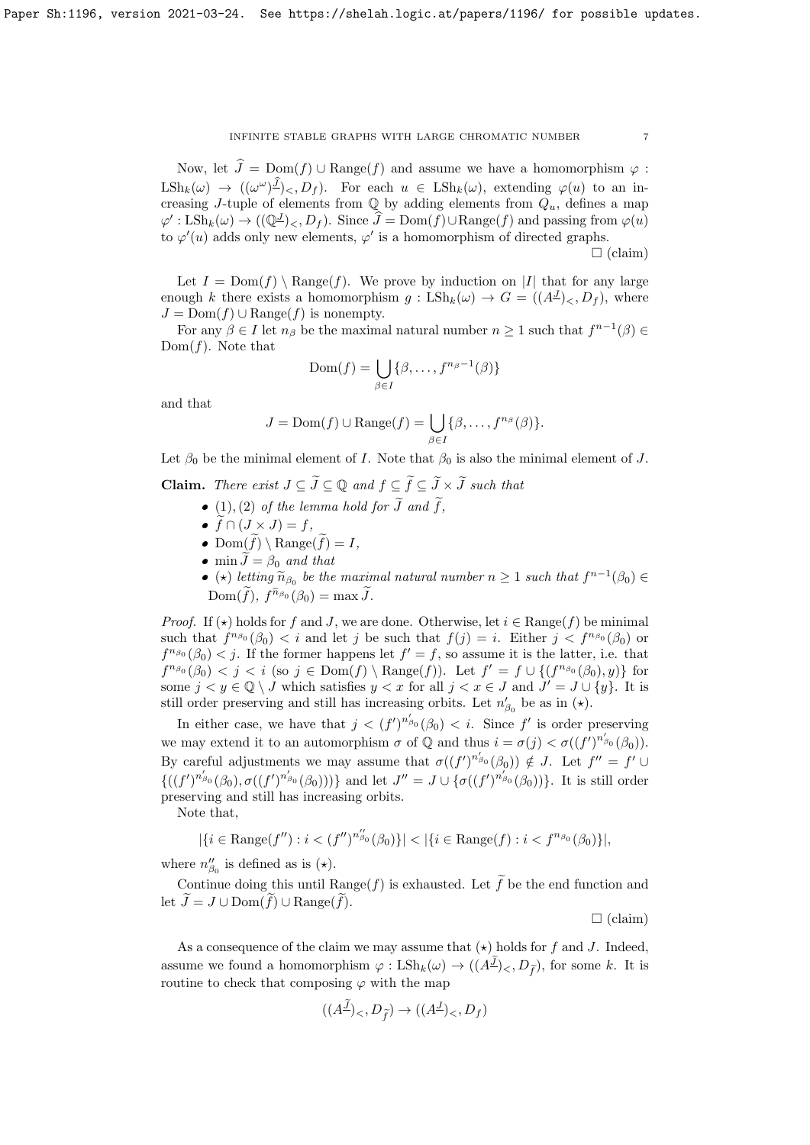Now, let  $\hat{J} = \text{Dom}(f) \cup \text{Range}(f)$  and assume we have a homomorphism  $\varphi$ :  $\text{LSh}_k(\omega) \rightarrow ((\omega^{\omega})^{\underline{J}})_{\leq}, D_f)$ . For each  $u \in \text{LSh}_k(\omega)$ , extending  $\varphi(u)$  to an increasing J-tuple of elements from  $\mathbb Q$  by adding elements from  $Q_u$ , defines a map  $\varphi': \text{LSh}_k(\omega) \to ((\mathbb{Q}^{\underline{J}})_{<}, D_f)$ . Since  $\widehat{J} = \text{Dom}(f) \cup \text{Range}(f)$  and passing from  $\varphi(u)$ to  $\varphi'(u)$  adds only new elements,  $\varphi'$  is a homomorphism of directed graphs.

 $\Box$  (claim)

Let  $I = \text{Dom}(f) \setminus \text{Range}(f)$ . We prove by induction on |I| that for any large enough k there exists a homomorphism  $g: \text{LSh}_k(\omega) \to G = ((A^{\underline{J}})_{\leq}, D_f)$ , where  $J = \text{Dom}(f) \cup \text{Range}(f)$  is nonempty.

For any  $\beta \in I$  let  $n_\beta$  be the maximal natural number  $n \geq 1$  such that  $f^{n-1}(\beta) \in$  $Dom(f)$ . Note that

$$
Dom(f) = \bigcup_{\beta \in I} \{\beta, \dots, f^{n_{\beta}-1}(\beta)\}
$$

and that

$$
J = \text{Dom}(f) \cup \text{Range}(f) = \bigcup_{\beta \in I} \{\beta, \dots, f^{n_{\beta}}(\beta)\}.
$$

Let  $\beta_0$  be the minimal element of I. Note that  $\beta_0$  is also the minimal element of J.

**Claim.** There exist  $J \subseteq \widetilde{J} \subseteq \mathbb{Q}$  and  $f \subseteq \widetilde{f} \subseteq \widetilde{J} \times \widetilde{J}$  such that

- $\bullet$  (1), (2) of the lemma hold for  $\widetilde{J}$  and  $\widetilde{f}$ ,
- $\bullet \widetilde{f}\cap (J\times J)=f,$
- $\text{Dom}(\widetilde{f}) \setminus \text{Range}(\widetilde{f}) = I,$
- min  $\widetilde{J} = \beta_0$  and that
- ( $\star$ ) letting  $\widetilde{n}_{\beta_0}$  be the maximal natural number  $n \geq 1$  such that  $f^{n-1}(\beta_0) \in \widetilde{\Lambda}$  $Dom(\tilde{f}), f^{\tilde{n}_{\beta_0}}(\beta_0) = \max \tilde{J}.$

*Proof.* If  $(\star)$  holds for f and J, we are done. Otherwise, let  $i \in \text{Range}(f)$  be minimal such that  $f^{n_{\beta_0}}(\beta_0) < i$  and let j be such that  $f(j) = i$ . Either  $j < f^{n_{\beta_0}}(\beta_0)$  or  $f^{n_{\beta_0}}(\beta_0) < j$ . If the former happens let  $f' = f$ , so assume it is the latter, i.e. that  $f^{n_{\beta_0}}(\beta_0) < j < i$  (so  $j \in \text{Dom}(f) \setminus \text{Range}(f)$ ). Let  $f' = f \cup \{(f^{n_{\beta_0}}(\beta_0), y)\}$  for some  $j < y \in \mathbb{Q} \setminus J$  which satisfies  $y < x$  for all  $j < x \in J$  and  $J' = J \cup \{y\}$ . It is still order preserving and still has increasing orbits. Let  $n'_{\beta_0}$  be as in  $(\star)$ .

In either case, we have that  $j < (f')^{n'_{\beta_0}}(\beta_0) < i$ . Since f' is order preserving we may extend it to an automorphism  $\sigma$  of  $\mathbb Q$  and thus  $i = \sigma(j) < \sigma((f')^{n'_{\beta_0}}(\beta_0)).$ By careful adjustments we may assume that  $\sigma((f')^{n'_{\beta_0}}(\beta_0)) \notin J$ . Let  $f'' = f' \cup$  ${((f')^{n'_{\beta_0}}(\beta_0), \sigma((f')^{n'_{\beta_0}}(\beta_0)))}$  and let  $J'' = J \cup {\{\sigma((f')^{n'_{\beta_0}}(\beta_0))\}}$ . It is still order preserving and still has increasing orbits.

Note that,

$$
|\{i \in \text{Range}(f'') : i < (f'')^{n_{\beta_0}''}(\beta_0)\}| < |\{i \in \text{Range}(f) : i < f^{n_{\beta_0}}(\beta_0)\}|,
$$

where  $n''_{\beta_0}$  is defined as is  $(\star)$ .

Continue doing this until  $\text{Range}(f)$  is exhausted. Let  $\widetilde{f}$  be the end function and let  $\widetilde{J} = J \cup \mathrm{Dom}(\widetilde{f}) \cup \mathrm{Range}(\widetilde{f}).$ 

 $\Box$  (claim)

As a consequence of the claim we may assume that  $(\star)$  holds for f and J. Indeed, assume we found a homomorphism  $\varphi : \text{LSh}_k(\omega) \to ((A^{\underline{J}})_{\leq}, D_{\tilde{f}})$ , for some k. It is routine to check that composing  $\varphi$  with the map

$$
((A^{\underline{J}})_{<} D_{\widetilde{f}}) \to ((A^{\underline{J}})_{<} D_f)
$$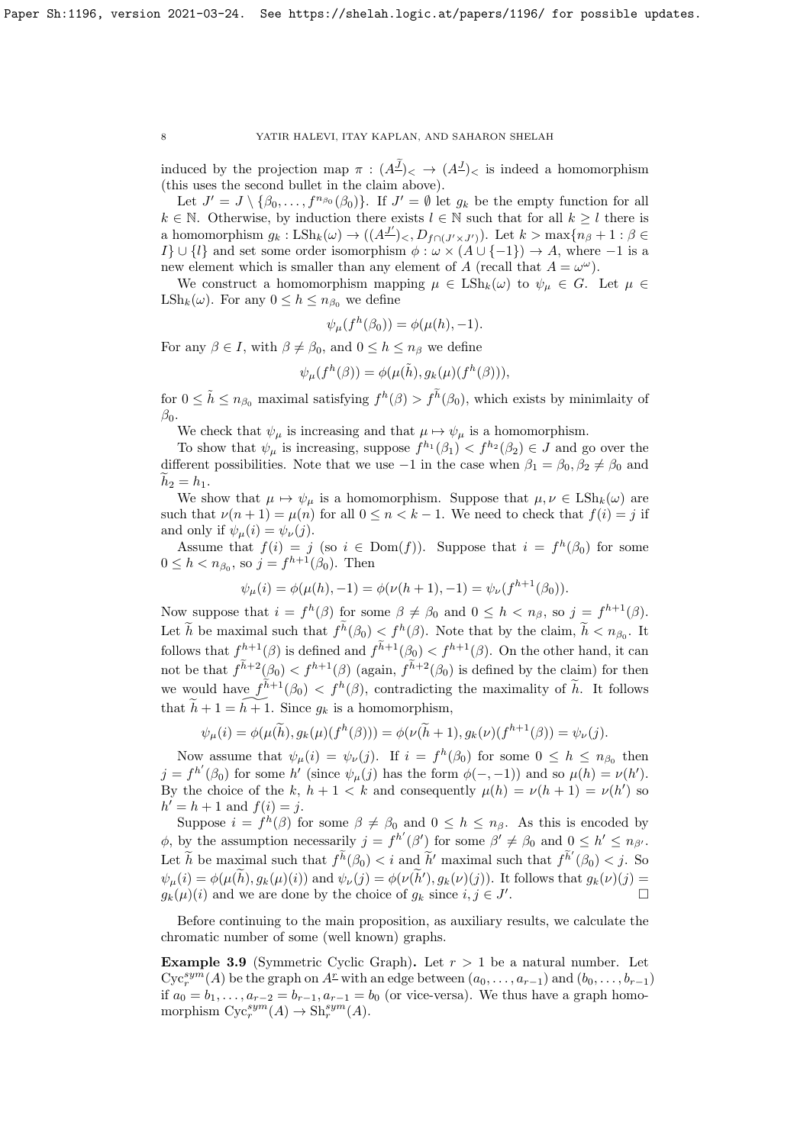induced by the projection map  $\pi$  :  $(A^J)_{\leq}$   $\rightarrow$   $(A^J)_{\leq}$  is indeed a homomorphism (this uses the second bullet in the claim above).

Let  $J' = J \setminus \{\beta_0, \ldots, f^{n_{\beta_0}}(\beta_0)\}\$ . If  $J' = \emptyset$  let  $g_k$  be the empty function for all  $k \in \mathbb{N}$ . Otherwise, by induction there exists  $l \in \mathbb{N}$  such that for all  $k \geq l$  there is a homomorphism  $g_k : \text{LSh}_k(\omega) \to ((A^{\underline{J'}})_{\leq}, D_{f \cap (J' \times J')})$ . Let  $k > \max\{n_\beta + 1 : \beta \in$  $I\} \cup \{l\}$  and set some order isomorphism  $\phi : \omega \times (A \cup \{-1\}) \to A$ , where  $-1$  is a new element which is smaller than any element of A (recall that  $A = \omega^{\omega}$ ).

We construct a homomorphism mapping  $\mu \in \text{LSh}_k(\omega)$  to  $\psi_\mu \in G$ . Let  $\mu \in$  $\text{LSh}_k(\omega)$ . For any  $0 \leq h \leq n_{\beta_0}$  we define

$$
\psi_{\mu}(f^h(\beta_0)) = \phi(\mu(h), -1).
$$

For any  $\beta \in I$ , with  $\beta \neq \beta_0$ , and  $0 \leq h \leq n_\beta$  we define

$$
\psi_{\mu}(f^h(\beta)) = \phi(\mu(\tilde{h}), g_k(\mu)(f^h(\beta))),
$$

for  $0 \leq \tilde{h} \leq n_{\beta_0}$  maximal satisfying  $f^h(\beta) > f^{\tilde{h}}(\beta_0)$ , which exists by minimlaity of  $\beta_0$ .

We check that  $\psi_{\mu}$  is increasing and that  $\mu \mapsto \psi_{\mu}$  is a homomorphism.

To show that  $\psi_{\mu}$  is increasing, suppose  $f^{h_1}(\beta_1) < f^{h_2}(\beta_2) \in J$  and go over the different possibilities. Note that we use  $-1$  in the case when  $\beta_1 = \beta_0, \beta_2 \neq \beta_0$  and  $h_2 = h_1.$ 

We show that  $\mu \mapsto \psi_{\mu}$  is a homomorphism. Suppose that  $\mu, \nu \in \text{LSh}_k(\omega)$  are such that  $\nu(n+1) = \mu(n)$  for all  $0 \le n < k-1$ . We need to check that  $f(i) = j$  if and only if  $\psi_{\mu}(i) = \psi_{\nu}(j)$ .

Assume that  $f(i) = j$  (so  $i \in Dom(f)$ ). Suppose that  $i = f<sup>h</sup>(\beta_0)$  for some  $0 \le h < n_{\beta_0}$ , so  $j = f^{h+1}(\beta_0)$ . Then

 $\psi_{\mu}(i) = \phi(\mu(h), -1) = \phi(\nu(h+1), -1) = \psi_{\nu}(f^{h+1}(\beta_0)).$ 

Now suppose that  $i = f^h(\beta)$  for some  $\beta \neq \beta_0$  and  $0 \leq h \lt n_\beta$ , so  $j = f^{h+1}(\beta)$ . Let  $\tilde{h}$  be maximal such that  $f^h(\beta_0) \leq f^h(\beta)$ . Note that by the claim,  $\tilde{h} < n_{\beta_0}$ . It follows that  $f^{h+1}(\beta)$  is defined and  $f^{h+1}(\beta_0) < f^{h+1}(\beta)$ . On the other hand, it can not be that  $f^{h+2}(\beta_0) < f^{h+1}(\beta)$  (again,  $f^{h+2}(\beta_0)$  is defined by the claim) for then we would have  $f^{h+1}(\beta_0) < f^h(\beta)$ , contradicting the maximality of  $\tilde{h}$ . It follows that  $\widetilde{h} + 1 = \widetilde{h+1}$ . Since  $g_k$  is a homomorphism,

$$
\psi_{\mu}(i) = \phi(\mu(\widetilde{h}), g_k(\mu)(f^h(\beta))) = \phi(\nu(\widetilde{h}+1), g_k(\nu)(f^{h+1}(\beta)) = \psi_{\nu}(j).
$$

Now assume that  $\psi_{\mu}(i) = \psi_{\nu}(j)$ . If  $i = f^h(\beta_0)$  for some  $0 \leq h \leq n_{\beta_0}$  then  $j = f^{h'}(\beta_0)$  for some h' (since  $\psi_{\mu}(j)$  has the form  $\phi(-,-1)$ ) and so  $\mu(h) = \nu(h')$ . By the choice of the k,  $h + 1 < k$  and consequently  $\mu(h) = \nu(h + 1) = \nu(h')$  so  $h' = h + 1$  and  $f(i) = j$ .

Suppose  $i = f^h(\beta)$  for some  $\beta \neq \beta_0$  and  $0 \leq h \leq n_\beta$ . As this is encoded by  $\phi$ , by the assumption necessarily  $j = f^{h'}(\beta')$  for some  $\beta' \neq \beta_0$  and  $0 \leq h' \leq n_{\beta'}$ . Let  $\widetilde{h}$  be maximal such that  $f^{\widetilde{h}}(\beta_0) < i$  and  $\widetilde{h}'$  maximal such that  $f^{\widetilde{h}'}(\beta_0) < j$ . So  $\psi_{\mu}(i) = \phi(\mu(\tilde{h}), g_k(\mu)(i))$  and  $\psi_{\nu}(j) = \phi(\nu(\tilde{h}'), g_k(\nu)(j))$ . It follows that  $g_k(\nu)(j) =$  $g_k(\mu)(i)$  and we are done by the choice of  $g_k$  since  $i, j \in J'$ .

Before continuing to the main proposition, as auxiliary results, we calculate the chromatic number of some (well known) graphs.

<span id="page-7-0"></span>**Example 3.9** (Symmetric Cyclic Graph). Let  $r > 1$  be a natural number. Let  $Cyc_r^{sym}(A)$  be the graph on  $A^r$  with an edge between  $(a_0, \ldots, a_{r-1})$  and  $(b_0, \ldots, b_{r-1})$ if  $a_0 = b_1, \ldots, a_{r-2} = b_{r-1}, a_{r-1} = b_0$  (or vice-versa). We thus have a graph homomorphism  $Cyc_r^{sym}(A) \to Sh_r^{sym}(A)$ .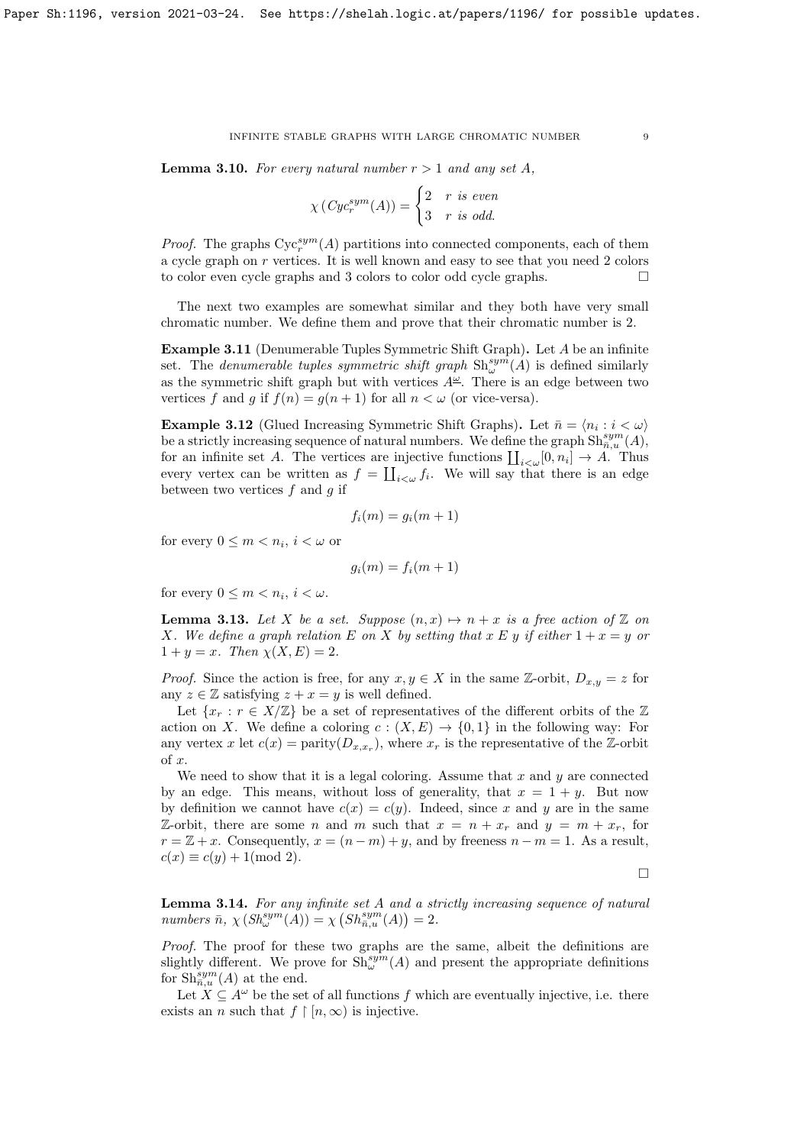**Lemma 3.10.** For every natural number  $r > 1$  and any set A,

$$
\chi\left(Cyc_r^{sym}(A)\right) = \begin{cases} 2 & r \text{ is even} \\ 3 & r \text{ is odd.} \end{cases}
$$

*Proof.* The graphs  $Cyc_r^{sym}(A)$  partitions into connected components, each of them a cycle graph on r vertices. It is well known and easy to see that you need 2 colors to color even cycle graphs and 3 colors to color odd cycle graphs.

The next two examples are somewhat similar and they both have very small chromatic number. We define them and prove that their chromatic number is 2.

Example 3.11 (Denumerable Tuples Symmetric Shift Graph). Let A be an infinite set. The *denumerable tuples symmetric shift graph*  $\text{Sh}^{sym}_{\omega}(A)$  is defined similarly as the symmetric shift graph but with vertices  $A^{\underline{\omega}}$ . There is an edge between two vertices f and g if  $f(n) = g(n+1)$  for all  $n < \omega$  (or vice-versa).

**Example 3.12** (Glued Increasing Symmetric Shift Graphs). Let  $\bar{n} = \langle n_i : i < \omega \rangle$ be a strictly increasing sequence of natural numbers. We define the graph  $\text{Sh}_{\bar{n},u}^{sym}(A)$ , for an infinite set A. The vertices are injective functions  $\prod_{i<\omega}[0, n_i] \to A$ . Thus every vertex can be written as  $f = \coprod_{i<\omega} f_i$ . We will say that there is an edge between two vertices  $f$  and  $g$  if

$$
f_i(m) = g_i(m+1)
$$

for every  $0 \leq m < n_i$ ,  $i < \omega$  or

$$
g_i(m) = f_i(m+1)
$$

for every  $0 \leq m < n_i$ ,  $i < \omega$ .

<span id="page-8-0"></span>**Lemma 3.13.** Let X be a set. Suppose  $(n, x) \mapsto n + x$  is a free action of Z on X. We define a graph relation E on X by setting that x E y if either  $1 + x = y$  or  $1 + y = x$ . Then  $\chi(X, E) = 2$ .

*Proof.* Since the action is free, for any  $x, y \in X$  in the same Z-orbit,  $D_{x,y} = z$  for any  $z \in \mathbb{Z}$  satisfying  $z + x = y$  is well defined.

Let  $\{x_r : r \in X/\mathbb{Z}\}\$ be a set of representatives of the different orbits of the  $\mathbb{Z}$ action on X. We define a coloring  $c : (X, E) \to \{0, 1\}$  in the following way: For any vertex x let  $c(x) = \text{parity}(D_{x,x_r})$ , where  $x_r$  is the representative of the Z-orbit of x.

We need to show that it is a legal coloring. Assume that  $x$  and  $y$  are connected by an edge. This means, without loss of generality, that  $x = 1 + y$ . But now by definition we cannot have  $c(x) = c(y)$ . Indeed, since x and y are in the same Z-orbit, there are some n and m such that  $x = n + x_r$  and  $y = m + x_r$ , for  $r = \mathbb{Z} + x$ . Consequently,  $x = (n - m) + y$ , and by freeness  $n - m = 1$ . As a result,  $c(x) \equiv c(y) + 1 \pmod{2}$ .

 $\Box$ 

<span id="page-8-1"></span>**Lemma 3.14.** For any infinite set  $A$  and a strictly increasing sequence of natural numbers  $\bar{n}$ ,  $\chi\left(Sh_{\omega}^{sym}(A)\right) = \chi\left(Sh_{\bar{n},u}^{sym}(A)\right) = 2.$ 

Proof. The proof for these two graphs are the same, albeit the definitions are slightly different. We prove for  $\text{Sh}^{sym}_{\omega}(A)$  and present the appropriate definitions for  $\mathrm{Sh}_{\bar{n},u}^{sym}(A)$  at the end.

Let  $X \subseteq A^{\omega}$  be the set of all functions f which are eventually injective, i.e. there exists an *n* such that  $f \restriction [n, \infty)$  is injective.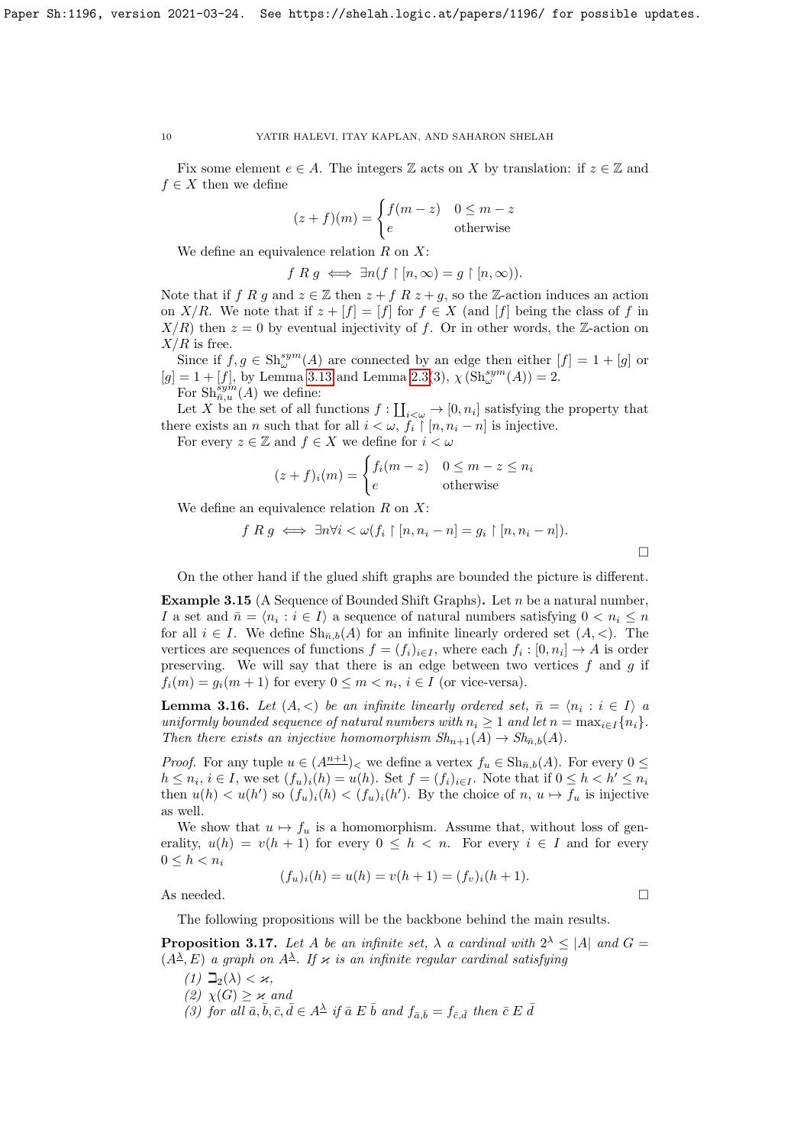Fix some element  $e \in A$ . The integers  $\mathbb Z$  acts on X by translation: if  $z \in \mathbb Z$  and  $f \in X$  then we define

$$
(z+f)(m) = \begin{cases} f(m-z) & 0 \le m-z\\ e & \text{otherwise} \end{cases}
$$

We define an equivalence relation  $R$  on  $X$ :

 $f R g \iff \exists n (f \upharpoonright [n, \infty) = g \upharpoonright [n, \infty)).$ 

Note that if f R g and  $z \in \mathbb{Z}$  then  $z + f R z + g$ , so the Z-action induces an action on X/R. We note that if  $z + [f] = [f]$  for  $f \in X$  (and  $[f]$  being the class of f in  $X/R$ ) then  $z = 0$  by eventual injectivity of f. Or in other words, the Z-action on  $X/R$  is free.

Since if  $f, g \in \mathrm{Sh}^{sym}_{\omega}(A)$  are connected by an edge then either  $[f] = 1 + [g]$  or  $[g] = 1 + [f]$ , by Lemma [3.13](#page-8-0) and Lemma [2.3\(](#page-2-1)3),  $\chi(\text{Sh}^{sym}_{\omega}(A)) = 2$ . For  $\text{Sh}_{\overline{n},u}^{\overline{sym}}(A)$  we define:

Let X be the set of all functions  $f: \coprod_{i<\omega} \to [0, n_i]$  satisfying the property that there exists an n such that for all  $i < \omega, f_i \restriction [n, n_i - n]$  is injective.

For every  $z \in \mathbb{Z}$  and  $f \in X$  we define for  $i < \omega$ 

$$
(z+f)_i(m) = \begin{cases} f_i(m-z) & 0 \le m-z \le n_i \\ e & \text{otherwise} \end{cases}
$$

We define an equivalence relation  $R$  on  $X$ :

$$
f R g \iff \exists n \forall i < \omega(f_i \upharpoonright [n, n_i - n] = g_i \upharpoonright [n, n_i - n]).
$$

On the other hand if the glued shift graphs are bounded the picture is different.

Example 3.15 (A Sequence of Bounded Shift Graphs). Let  $n$  be a natural number, I a set and  $\bar{n} = \langle n_i : i \in I \rangle$  a sequence of natural numbers satisfying  $0 < n_i \leq n$ for all  $i \in I$ . We define  $\text{Sh}_{\bar{n},b}(A)$  for an infinite linearly ordered set  $(A, \leq)$ . The vertices are sequences of functions  $f = (f_i)_{i \in I}$ , where each  $f_i : [0, n_i] \to A$  is order preserving. We will say that there is an edge between two vertices  $f$  and  $g$  if  $f_i(m) = g_i(m+1)$  for every  $0 \le m < n_i$ ,  $i \in I$  (or vice-versa).

<span id="page-9-0"></span>**Lemma 3.16.** Let  $(A, <)$  be an infinite linearly ordered set,  $\bar{n} = \langle n_i : i \in I \rangle$  a uniformly bounded sequence of natural numbers with  $n_i \geq 1$  and let  $n = \max_{i \in I} \{n_i\}$ . Then there exists an injective homomorphism  $Sh_{n+1}(A) \to Sh_{\bar{n},b}(A)$ .

*Proof.* For any tuple  $u \in (A^{n+1})<sub>0</sub>$  we define a vertex  $f_u \in Sh_{\bar{n},b}(A)$ . For every  $0 \leq$  $h \leq n_i, i \in I$ , we set  $(f_u)_i(h) = u(h)$ . Set  $f = (f_i)_{i \in I}$ . Note that if  $0 \leq h < h' \leq n_i$ then  $u(h) < u(h')$  so  $(f_u)_i(h) < (f_u)_i(h')$ . By the choice of  $n, u \mapsto f_u$  is injective as well.

We show that  $u \mapsto f_u$  is a homomorphism. Assume that, without loss of generality,  $u(h) = v(h + 1)$  for every  $0 \leq h < n$ . For every  $i \in I$  and for every  $0 \leq h \leq n_i$ 

$$
(f_u)_i(h) = u(h) = v(h+1) = (f_v)_i(h+1).
$$

As needed.  $\Box$ 

The following propositions will be the backbone behind the main results.

<span id="page-9-1"></span>**Proposition 3.17.** Let A be an infinite set,  $\lambda$  a cardinal with  $2^{\lambda} \leq |A|$  and  $G =$  $(A^{\underline{\lambda}}, E)$  a graph on  $A^{\underline{\lambda}}$ . If  $\varkappa$  is an infinite regular cardinal satisfying

- (1)  $\Box_2(\lambda) < \varkappa$ ,
- (2)  $\chi(G) \geq \varkappa$  and
- (3) for all  $\bar{a}, \bar{b}, \bar{c}, \bar{d} \in A^{\underline{\lambda}}$  if  $\bar{a} \ E \ \bar{b}$  and  $f_{\bar{a}, \bar{b}} = f_{\bar{c}, \bar{d}}$  then  $\bar{c} \ E \ \bar{d}$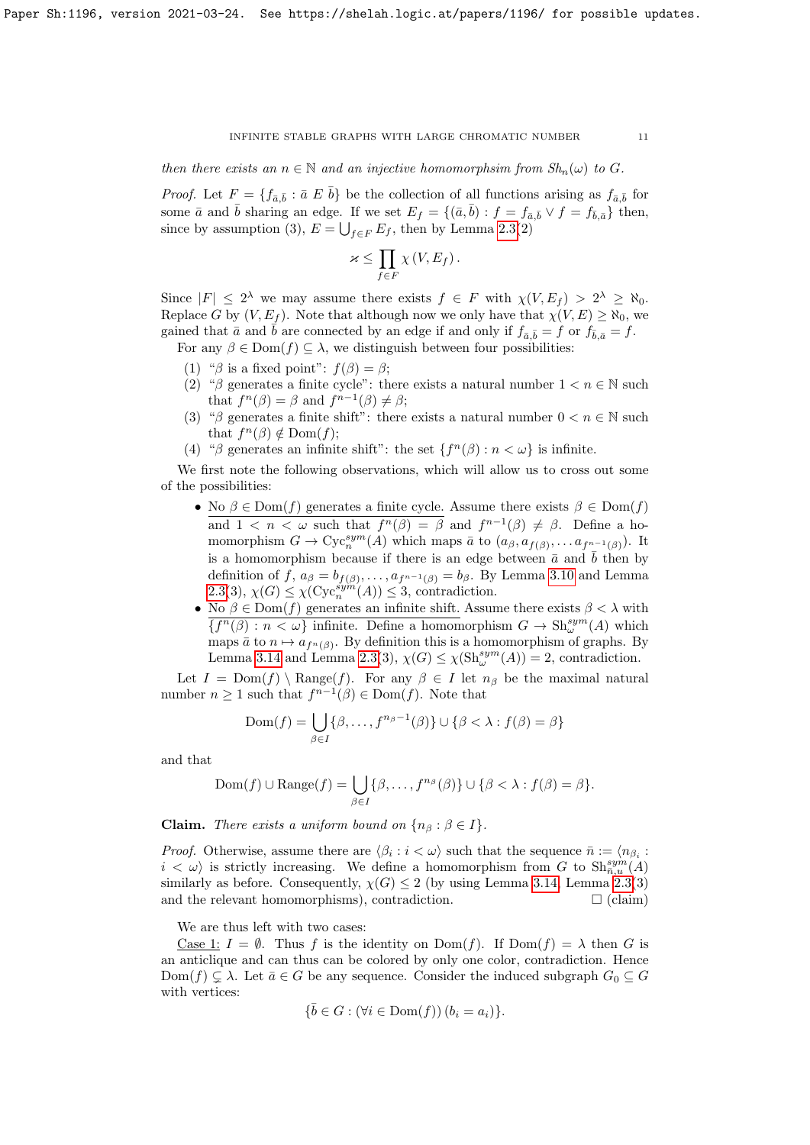then there exists an  $n \in \mathbb{N}$  and an injective homomorphsim from  $Sh_n(\omega)$  to G.

*Proof.* Let  $F = \{f_{\bar{a},\bar{b}} : \bar{a} \not\in \bar{b}\}$  be the collection of all functions arising as  $f_{\bar{a},\bar{b}}$  for some  $\bar{a}$  and  $\bar{b}$  sharing an edge. If we set  $E_f = \{(\bar{a}, \bar{b}) : f = f_{\bar{a}, \bar{b}} \vee f = f_{\bar{b}, \bar{a}}\}$  then, since by assumption (3),  $E = \bigcup_{f \in F} E_f$ , then by Lemma [2.3\(](#page-2-1)2)

$$
\varkappa \leq \prod_{f \in F} \chi(V, E_f).
$$

Since  $|F| \leq 2^{\lambda}$  we may assume there exists  $f \in F$  with  $\chi(V, E_f) > 2^{\lambda} \geq \aleph_0$ . Replace G by  $(V, E_f)$ . Note that although now we only have that  $\chi(V, E) \geq \aleph_0$ , we gained that  $\bar{a}$  and  $\bar{b}$  are connected by an edge if and only if  $f_{\bar{a}, \bar{b}} = f$  or  $f_{\bar{b}, \bar{a}} = f$ . For any  $\beta \in \text{Dom}(f) \subseteq \lambda$ , we distinguish between four possibilities:

- (1) " $\beta$  is a fixed point":  $f(\beta) = \beta$ ;
- (2) "β generates a finite cycle": there exists a natural number  $1 < n \in \mathbb{N}$  such that  $f^{n}(\beta) = \beta$  and  $f^{n-1}(\beta) \neq \beta$ ;
- (3) "β generates a finite shift": there exists a natural number  $0 < n \in \mathbb{N}$  such that  $f^{n}(\beta) \notin \text{Dom}(f);$
- (4) " $\beta$  generates an infinite shift": the set  $\{f^{(n)}(\beta): n < \omega\}$  is infinite.

We first note the following observations, which will allow us to cross out some of the possibilities:

- No  $\beta \in \text{Dom}(f)$  generates a finite cycle. Assume there exists  $\beta \in \text{Dom}(f)$ and  $1 \lt n \lt \omega$  such that  $f^{n}(\beta) = \beta$  and  $f^{n-1}(\beta) \neq \beta$ . Define a homomorphism  $G \to \mathrm{Cyc}_n^{sym}(A)$  which maps  $\bar{a}$  to  $(a_\beta, a_{f(\beta)}, \ldots a_{f^{n-1}(\beta)})$ . It is a homomorphism because if there is an edge between  $\bar{a}$  and  $\bar{b}$  then by definition of f,  $a_{\beta} = b_{f(\beta)}, \ldots, a_{f^{n-1}(\beta)} = b_{\beta}$ . By Lemma [3.10](#page-7-0) and Lemma [2.3\(](#page-2-1)3),  $\chi(G) \leq \chi(\text{Cyc}_n^{\text{sym}}(A)) \leq 3$ , contradiction.
- No  $\beta \in \text{Dom}(f)$  generates an infinite shift. Assume there exists  $\beta < \lambda$  with  ${f^n(\beta) : n < \omega}$  infinite. Define a homomorphism  $G \to \text{Sh}^{sym}_{\omega}(A)$  which maps  $\bar{a}$  to  $n \mapsto a_{f^{n}(\beta)}$ . By definition this is a homomorphism of graphs. By Lemma [3.14](#page-8-1) and Lemma [2.3\(](#page-2-1)3),  $\chi(G) \leq \chi(\text{Sh}^{sym}_{\omega}(A)) = 2$ , contradiction.

Let  $I = \text{Dom}(f) \setminus \text{Range}(f)$ . For any  $\beta \in I$  let  $n_{\beta}$  be the maximal natural number  $n \geq 1$  such that  $f^{n-1}(\beta) \in \text{Dom}(f)$ . Note that

$$
Dom(f) = \bigcup_{\beta \in I} \{\beta, \dots, f^{n_{\beta}-1}(\beta)\} \cup \{\beta < \lambda : f(\beta) = \beta\}
$$

and that

$$
Dom(f) \cup Range(f) = \bigcup_{\beta \in I} \{\beta, \dots, f^{n_{\beta}}(\beta)\} \cup \{\beta < \lambda : f(\beta) = \beta\}.
$$

**Claim.** There exists a uniform bound on  $\{n_\beta : \beta \in I\}$ .

*Proof.* Otherwise, assume there are  $\langle \beta_i : i \langle \omega \rangle$  such that the sequence  $\bar{n} := \langle n_{\beta_i} : i \rangle$  $i < \omega$  is strictly increasing. We define a homomorphism from G to  $\text{Sh}_{\bar{n},u}^{sym}(A)$ similarly as before. Consequently,  $\chi(G) \leq 2$  (by using Lemma [3.14,](#page-8-1) Lemma [2.3\(](#page-2-1)3) and the relevant homomorphisms), contradiction.  $\square$  (claim)

We are thus left with two cases:

Case 1:  $I = \emptyset$ . Thus f is the identity on Dom(f). If Dom(f) =  $\lambda$  then G is an anticlique and can thus can be colored by only one color, contradiction. Hence  $Dom(f) \subsetneq \lambda$ . Let  $\bar{a} \in G$  be any sequence. Consider the induced subgraph  $G_0 \subseteq G$ with vertices:

$$
\{\bar{b} \in G : (\forall i \in \text{Dom}(f)) (b_i = a_i)\}.
$$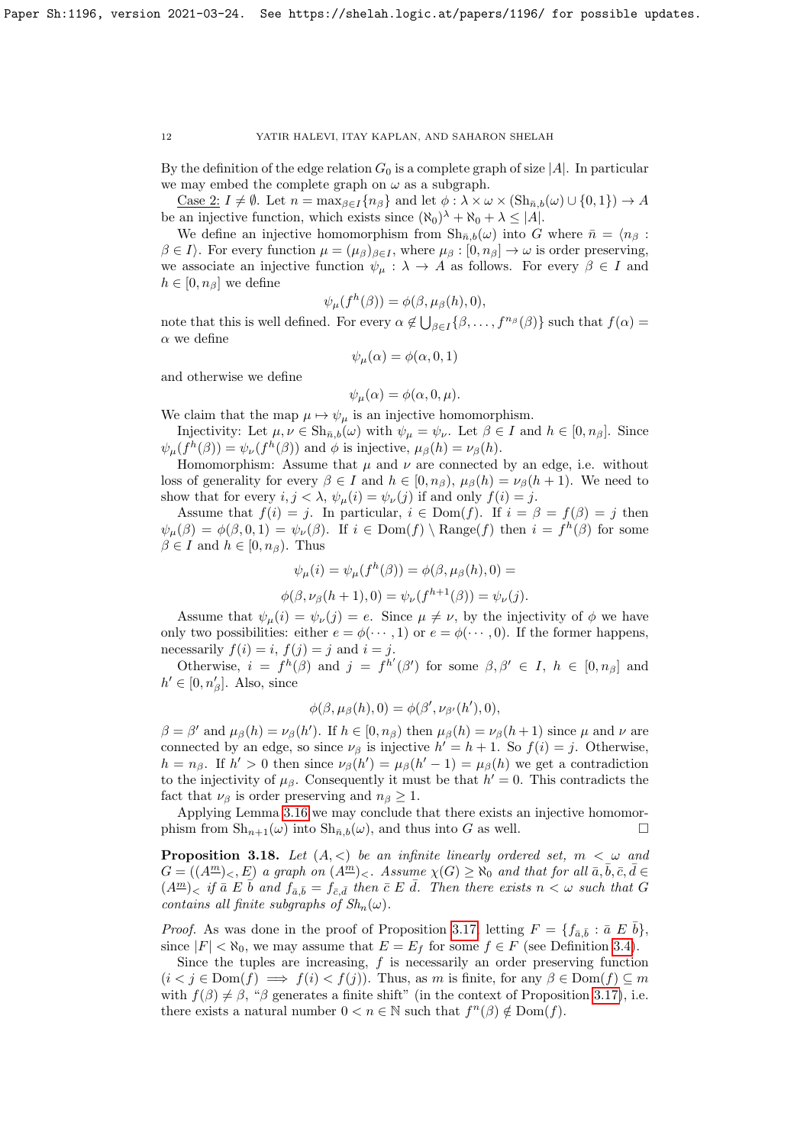By the definition of the edge relation  $G_0$  is a complete graph of size |A|. In particular we may embed the complete graph on  $\omega$  as a subgraph.

<u>Case 2:</u>  $I \neq \emptyset$ . Let  $n = \max_{\beta \in I} \{n_{\beta}\}\$ and let  $\phi : \lambda \times \omega \times (\text{Sh}_{n,b}(\omega) \cup \{0,1\}) \to A$ be an injective function, which exists since  $(\aleph_0)^{\lambda} + \aleph_0 + \lambda \leq |A|$ .

We define an injective homomorphism from  $\mathrm{Sh}_{\bar{n},b}(\omega)$  into G where  $\bar{n} = \langle n_\beta :$  $\beta \in I$ ). For every function  $\mu = (\mu_{\beta})_{\beta \in I}$ , where  $\mu_{\beta} : [0, n_{\beta}] \to \omega$  is order preserving, we associate an injective function  $\psi_{\mu} : \lambda \to A$  as follows. For every  $\beta \in I$  and  $h \in [0, n_\beta]$  we define

$$
\psi_{\mu}(f^h(\beta)) = \phi(\beta, \mu_{\beta}(h), 0),
$$

note that this is well defined. For every  $\alpha \notin \bigcup_{\beta \in I} \{\beta, \ldots, f^{n_{\beta}}(\beta)\}\$  such that  $f(\alpha) =$  $\alpha$  we define

$$
\psi_{\mu}(\alpha) = \phi(\alpha, 0, 1)
$$

and otherwise we define

$$
\psi_{\mu}(\alpha) = \phi(\alpha, 0, \mu).
$$

We claim that the map  $\mu \mapsto \psi_{\mu}$  is an injective homomorphism.

Injectivity: Let  $\mu, \nu \in \mathrm{Sh}_{\bar{n},b}(\omega)$  with  $\psi_{\mu} = \psi_{\nu}$ . Let  $\beta \in I$  and  $h \in [0, n_{\beta}]$ . Since  $\psi_{\mu}(f^h(\beta)) = \psi_{\nu}(f^h(\beta))$  and  $\phi$  is injective,  $\mu_{\beta}(h) = \nu_{\beta}(h)$ .

Homomorphism: Assume that  $\mu$  and  $\nu$  are connected by an edge, i.e. without loss of generality for every  $\beta \in I$  and  $h \in [0, n_{\beta}), \mu_{\beta}(h) = \nu_{\beta}(h + 1)$ . We need to show that for every  $i, j < \lambda$ ,  $\psi_{\mu}(i) = \psi_{\nu}(j)$  if and only  $f(i) = j$ .

Assume that  $f(i) = j$ . In particular,  $i \in Dom(f)$ . If  $i = \beta = f(\beta) = j$  then  $\psi_{\mu}(\beta) = \phi(\beta, 0, 1) = \psi_{\nu}(\beta)$ . If  $i \in Dom(f) \setminus Range(f)$  then  $i = f^h(\beta)$  for some  $\beta \in I$  and  $h \in [0, n_{\beta})$ . Thus

$$
\psi_{\mu}(i) = \psi_{\mu}(f^{h}(\beta)) = \phi(\beta, \mu_{\beta}(h), 0) = \phi(\beta, \nu_{\beta}(h+1), 0) = \psi_{\nu}(f^{h+1}(\beta)) = \psi_{\nu}(j).
$$

Assume that  $\psi_{\mu}(i) = \psi_{\nu}(j) = e$ . Since  $\mu \neq \nu$ , by the injectivity of  $\phi$  we have only two possibilities: either  $e = \phi(\cdots, 1)$  or  $e = \phi(\cdots, 0)$ . If the former happens, necessarily  $f(i) = i$ ,  $f(j) = j$  and  $i = j$ .

Otherwise,  $i = f^h(\beta)$  and  $j = f^{h'}(\beta')$  for some  $\beta, \beta' \in I$ ,  $h \in [0, n_\beta]$  and  $h' \in [0, n'_{\beta}]$ . Also, since

$$
\phi(\beta,\mu_{\beta}(h),0)=\phi(\beta',\nu_{\beta'}(h'),0),
$$

 $\beta = \beta'$  and  $\mu_{\beta}(h) = \nu_{\beta}(h')$ . If  $h \in [0, n_{\beta})$  then  $\mu_{\beta}(h) = \nu_{\beta}(h+1)$  since  $\mu$  and  $\nu$  are connected by an edge, so since  $\nu_\beta$  is injective  $h' = h + 1$ . So  $f(i) = j$ . Otherwise,  $h = n_{\beta}$ . If  $h' > 0$  then since  $\nu_{\beta}(h') = \mu_{\beta}(h' - 1) = \mu_{\beta}(h)$  we get a contradiction to the injectivity of  $\mu_{\beta}$ . Consequently it must be that  $h' = 0$ . This contradicts the fact that  $\nu_\beta$  is order preserving and  $n_\beta \geq 1$ .

Applying Lemma [3.16](#page-9-0) we may conclude that there exists an injective homomorphism from  $\mathrm{Sh}_{n+1}(\omega)$  into  $\mathrm{Sh}_{\bar{n},b}(\omega)$ , and thus into G as well.

<span id="page-11-0"></span>**Proposition 3.18.** Let  $(A, \leq)$  be an infinite linearly ordered set,  $m < \omega$  and  $G = ((A^{\underline{m}})_{\leq}, E)$  a graph on  $(A^{\underline{m}})_{\leq}$ . Assume  $\chi(G) \geq \aleph_0$  and that for all  $\bar{a}, \bar{b}, \bar{c}, \bar{d} \in$  $(A^{\underline{m}})_\leq$  if  $\overline{a} \ E \ \overline{b}$  and  $f_{\overline{a},\overline{b}} = f_{\overline{c},\overline{d}}$  then  $\overline{c} \ E \ \overline{d}$ . Then there exists  $n < \omega$  such that G contains all finite subgraphs of  $Sh_n(\omega)$ .

*Proof.* As was done in the proof of Proposition [3.17,](#page-9-1) letting  $F = \{f_{\bar{a},\bar{b}} : \bar{a} \not\in \bar{b}\}\,$ since  $|F| < \aleph_0$ , we may assume that  $E = E_f$  for some  $f \in F$  (see Definition [3.4\)](#page-5-0).

Since the tuples are increasing,  $f$  is necessarily an order preserving function  $(i < j \in \text{Dom}(f) \implies f(i) < f(j))$ . Thus, as m is finite, for any  $\beta \in \text{Dom}(f) \subseteq m$ with  $f(\beta) \neq \beta$ , " $\beta$  generates a finite shift" (in the context of Proposition [3.17\)](#page-9-1), i.e. there exists a natural number  $0 < n \in \mathbb{N}$  such that  $f^{n}(\beta) \notin \text{Dom}(f)$ .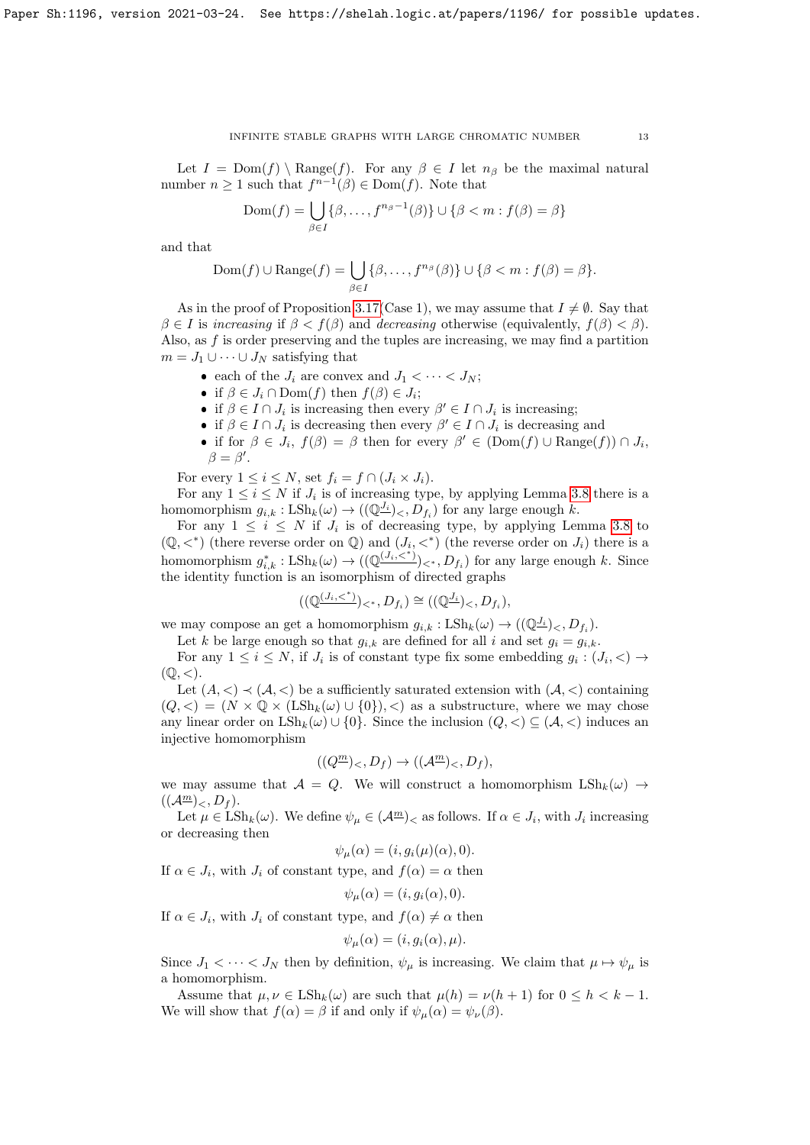Let  $I = \text{Dom}(f) \setminus \text{Range}(f)$ . For any  $\beta \in I$  let  $n_{\beta}$  be the maximal natural number  $n \geq 1$  such that  $f^{n-1}(\beta) \in \text{Dom}(f)$ . Note that

$$
Dom(f) = \bigcup_{\beta \in I} \{\beta, \dots, f^{n_{\beta}-1}(\beta)\} \cup \{\beta < m : f(\beta) = \beta\}
$$

and that

$$
Dom(f) \cup Range(f) = \bigcup_{\beta \in I} \{\beta, \dots, f^{n_{\beta}}(\beta)\} \cup \{\beta < m : f(\beta) = \beta\}.
$$

As in the proof of Proposition [3.17\(](#page-9-1)Case 1), we may assume that  $I \neq \emptyset$ . Say that  $\beta \in I$  is increasing if  $\beta < f(\beta)$  and decreasing otherwise (equivalently,  $f(\beta) < \beta$ ). Also, as  $f$  is order preserving and the tuples are increasing, we may find a partition  $m = J_1 \cup \cdots \cup J_N$  satisfying that

- each of the  $J_i$  are convex and  $J_1 < \cdots < J_N$ ;
- if  $\beta \in J_i \cap \text{Dom}(f)$  then  $f(\beta) \in J_i$ ;
- if  $\beta \in I \cap J_i$  is increasing then every  $\beta' \in I \cap J_i$  is increasing;
- if  $\beta \in I \cap J_i$  is decreasing then every  $\beta' \in I \cap J_i$  is decreasing and
- if for  $\beta \in J_i$ ,  $f(\beta) = \beta$  then for every  $\beta' \in (Dom(f) \cup Range(f)) \cap J_i$ ,  $\beta = \beta'.$

For every  $1 \leq i \leq N$ , set  $f_i = f \cap (J_i \times J_i)$ .

For any  $1 \leq i \leq N$  if  $J_i$  is of increasing type, by applying Lemma [3.8](#page-5-1) there is a homomorphism  $g_{i,k}: \text{LSh}_k(\omega) \to ((\mathbb{Q}^{\underline{J_i}})_{\leq}, D_{f_i})$  for any large enough k.

For any  $1 \leq i \leq N$  if  $J_i$  is of decreasing type, by applying Lemma [3.8](#page-5-1) to  $(\mathbb{Q}, \lt^*)$  (there reverse order on  $\mathbb{Q}$ ) and  $(J_i, \lt^*)$  (the reverse order on  $J_i$ ) there is a homomorphism  $g_{i,k}^* : \text{LSh}_k(\omega) \to ((\mathbb{Q}^{(J_i, \langle * \rangle)})_{\langle *}, D_{f_i})$  for any large enough k. Since the identity function is an isomorphism of directed graphs

$$
((\mathbb{Q}^{(J_i,<^*))}_{<^*}, D_{f_i}) \cong ((\mathbb{Q}^{J_i})_{<}, D_{f_i}),
$$

we may compose an get a homomorphism  $g_{i,k} : \text{LSh}_k(\omega) \to ((\mathbb{Q}^{J_i})_<, D_{f_i}).$ 

Let k be large enough so that  $g_{i,k}$  are defined for all i and set  $g_i = g_{i,k}$ .

For any  $1 \leq i \leq N$ , if  $J_i$  is of constant type fix some embedding  $g_i : (J_i, \leq) \to$  $(\mathbb{Q},<).$ 

Let  $(A, \leq) \prec (A, \leq)$  be a sufficiently saturated extension with  $(A, \leq)$  containing  $(Q, \langle) = (N \times \mathbb{Q} \times (L\mathrm{Sh}_k(\omega) \cup \{0\}), \langle)$  as a substructure, where we may chose any linear order on  $\text{LSh}_k(\omega) \cup \{0\}$ . Since the inclusion  $(Q, \langle \rangle \subseteq (\mathcal{A}, \langle \rangle)$  induces an injective homomorphism

$$
((Q^{\underline{m}})_{<} D_f) \to ((\mathcal{A}^{\underline{m}})_{<} D_f),
$$

we may assume that  $A = Q$ . We will construct a homomorphism  $\mathrm{LSh}_k(\omega) \rightarrow$  $((\mathcal{A}^{\underline{m}})_{\leq}, D_f).$ 

Let  $\mu \in \text{LSh}_k(\omega)$ . We define  $\psi_\mu \in (\mathcal{A}^{\underline{m}})_<$  as follows. If  $\alpha \in J_i$ , with  $J_i$  increasing or decreasing then

$$
\psi_{\mu}(\alpha) = (i, g_i(\mu)(\alpha), 0).
$$

If  $\alpha \in J_i$ , with  $J_i$  of constant type, and  $f(\alpha) = \alpha$  then

$$
\psi_{\mu}(\alpha) = (i, g_i(\alpha), 0).
$$

If  $\alpha \in J_i$ , with  $J_i$  of constant type, and  $f(\alpha) \neq \alpha$  then

$$
\psi_{\mu}(\alpha) = (i, g_i(\alpha), \mu).
$$

Since  $J_1 < \cdots < J_N$  then by definition,  $\psi_\mu$  is increasing. We claim that  $\mu \mapsto \psi_\mu$  is a homomorphism.

Assume that  $\mu, \nu \in \text{LSh}_k(\omega)$  are such that  $\mu(h) = \nu(h+1)$  for  $0 \leq h < k-1$ . We will show that  $f(\alpha) = \beta$  if and only if  $\psi_{\mu}(\alpha) = \psi_{\nu}(\beta)$ .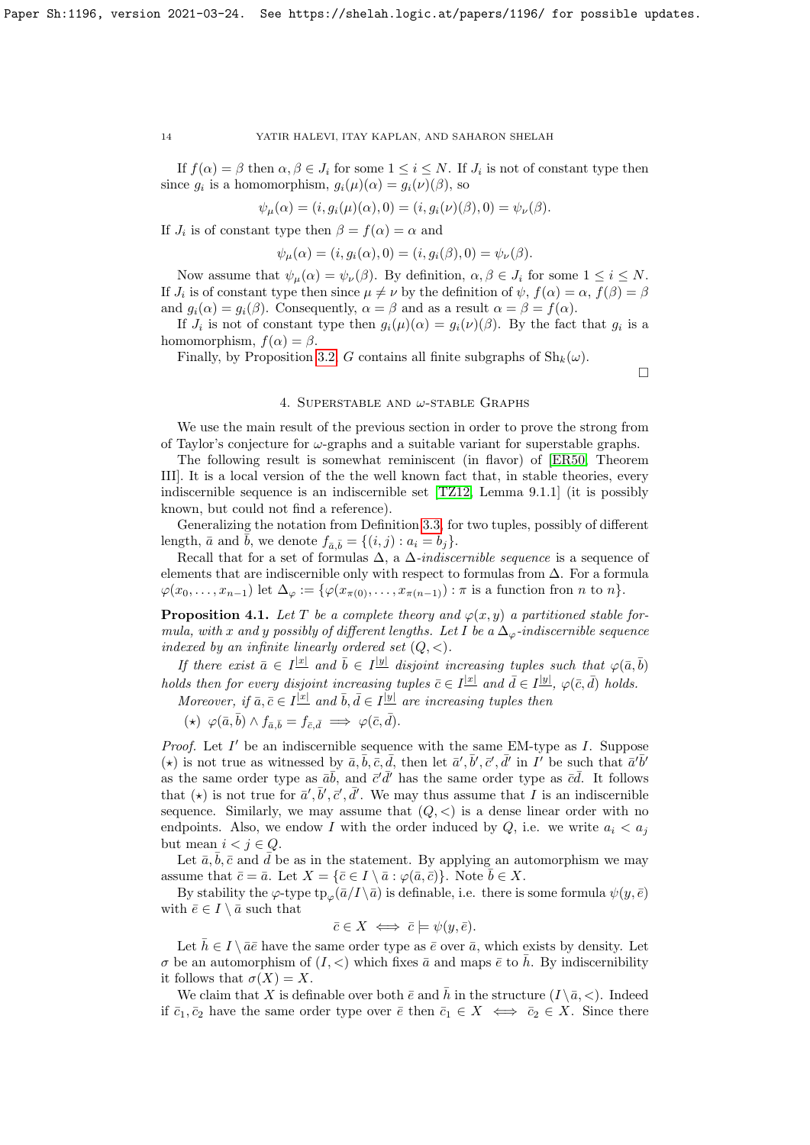If  $f(\alpha) = \beta$  then  $\alpha, \beta \in J_i$  for some  $1 \leq i \leq N$ . If  $J_i$  is not of constant type then since  $g_i$  is a homomorphism,  $g_i(\mu)(\alpha) = g_i(\nu)(\beta)$ , so

$$
\psi_{\mu}(\alpha) = (i, g_i(\mu)(\alpha), 0) = (i, g_i(\nu)(\beta), 0) = \psi_{\nu}(\beta).
$$

If  $J_i$  is of constant type then  $\beta = f(\alpha) = \alpha$  and

$$
\psi_{\mu}(\alpha) = (i, g_i(\alpha), 0) = (i, g_i(\beta), 0) = \psi_{\nu}(\beta).
$$

Now assume that  $\psi_u(\alpha) = \psi_v(\beta)$ . By definition,  $\alpha, \beta \in J_i$  for some  $1 \leq i \leq N$ . If  $J_i$  is of constant type then since  $\mu \neq \nu$  by the definition of  $\psi$ ,  $f(\alpha) = \alpha$ ,  $f(\beta) = \beta$ and  $g_i(\alpha) = g_i(\beta)$ . Consequently,  $\alpha = \beta$  and as a result  $\alpha = \beta = f(\alpha)$ .

If  $J_i$  is not of constant type then  $g_i(\mu)(\alpha) = g_i(\nu)(\beta)$ . By the fact that  $g_i$  is a homomorphism,  $f(\alpha) = \beta$ .

Finally, by Proposition [3.2,](#page-3-1) G contains all finite subgraphs of  $\text{Sh}_k(\omega)$ .

 $\Box$ 

## 4. SUPERSTABLE AND  $\omega$ -STABLE GRAPHS

We use the main result of the previous section in order to prove the strong from of Taylor's conjecture for  $\omega$ -graphs and a suitable variant for superstable graphs.

The following result is somewhat reminiscent (in flavor) of [\[ER50,](#page-28-12) Theorem III]. It is a local version of the the well known fact that, in stable theories, every indiscernible sequence is an indiscernible set [\[TZ12,](#page-28-10) Lemma 9.1.1] (it is possibly known, but could not find a reference).

Generalizing the notation from Definition [3.3,](#page-5-2) for two tuples, possibly of different length,  $\bar{a}$  and  $\bar{b}$ , we denote  $f_{\bar{a}, \bar{b}} = \{(i, j) : a_i = b_j\}.$ 

Recall that for a set of formulas  $\Delta$ , a  $\Delta$ -indiscernible sequence is a sequence of elements that are indiscernible only with respect to formulas from ∆. For a formula  $\varphi(x_0,\ldots,x_{n-1})$  let  $\Delta_{\varphi} := \{\varphi(x_{\pi(0)},\ldots,x_{\pi(n-1)}): \pi \text{ is a function from } n \text{ to } n\}.$ 

<span id="page-13-0"></span>**Proposition 4.1.** Let T be a complete theory and  $\varphi(x, y)$  a partitioned stable formula, with x and y possibly of different lengths. Let I be a  $\Delta_{\varphi}$ -indiscernible sequence indexed by an infinite linearly ordered set  $(Q, \leq)$ .

If there exist  $\bar{a} \in I^{\underline{|x|}}$  and  $\bar{b} \in I^{\underline{|y|}}$  disjoint increasing tuples such that  $\varphi(\bar{a}, \bar{b})$ holds then for every disjoint increasing tuples  $\bar{c} \in I^{\underline{|x|}}$  and  $\bar{d} \in I^{\underline{|y|}}$ ,  $\varphi(\bar{c}, \bar{d})$  holds.

Moreover, if  $\bar{a}, \bar{c} \in I^{\underline{|x|}}$  and  $\bar{b}, \bar{d} \in I^{\underline{|y|}}$  are increasing tuples then

(\*)  $\varphi(\bar{a}, \bar{b}) \wedge f_{\bar{a}, \bar{b}} = f_{\bar{c}, \bar{d}} \implies \varphi(\bar{c}, \bar{d}).$ 

*Proof.* Let  $I'$  be an indiscernible sequence with the same EM-type as  $I$ . Suppose (\*) is not true as witnessed by  $\bar{a}, \bar{b}, \bar{c}, \bar{d}$ , then let  $\bar{a}', \bar{b}', \bar{c}', \bar{d}'$  in I' be such that  $\bar{a}'\bar{b}'$ as the same order type as  $\bar{a}\bar{b}$ , and  $\bar{c}'\bar{d}'$  has the same order type as  $\bar{c}\bar{d}$ . It follows that  $(\star)$  is not true for  $\bar{a}', \bar{b}', \bar{c}', \bar{d}'$ . We may thus assume that I is an indiscernible sequence. Similarly, we may assume that  $(Q, \leq)$  is a dense linear order with no endpoints. Also, we endow I with the order induced by Q, i.e. we write  $a_i < a_j$ but mean  $i < j \in Q$ .

Let  $\bar{a}, \bar{b}, \bar{c}$  and  $\bar{d}$  be as in the statement. By applying an automorphism we may assume that  $\bar{c} = \bar{a}$ . Let  $X = {\bar{c} \in I \setminus \bar{a} : \varphi(\bar{a}, \bar{c})}.$  Note  $b \in X$ .

By stability the  $\varphi$ -type tp<sub> $\varphi$ </sub> $(\bar{a}/I \setminus \bar{a})$  is definable, i.e. there is some formula  $\psi(y, \bar{e})$ with  $\bar{e} \in I \setminus \bar{a}$  such that

$$
\bar{c} \in X \iff \bar{c} \models \psi(y, \bar{e}).
$$

Let  $\bar{h} \in I \setminus \bar{a}\bar{e}$  have the same order type as  $\bar{e}$  over  $\bar{a}$ , which exists by density. Let  $\sigma$  be an automorphism of  $(I, \leq)$  which fixes  $\bar{a}$  and maps  $\bar{e}$  to  $\bar{h}$ . By indiscernibility it follows that  $\sigma(X) = X$ .

We claim that X is definable over both  $\bar{e}$  and  $\bar{h}$  in the structure  $(I \setminus \bar{a}, <)$ . Indeed if  $\bar{c}_1, \bar{c}_2$  have the same order type over  $\bar{e}$  then  $\bar{c}_1 \in X \iff \bar{c}_2 \in X$ . Since there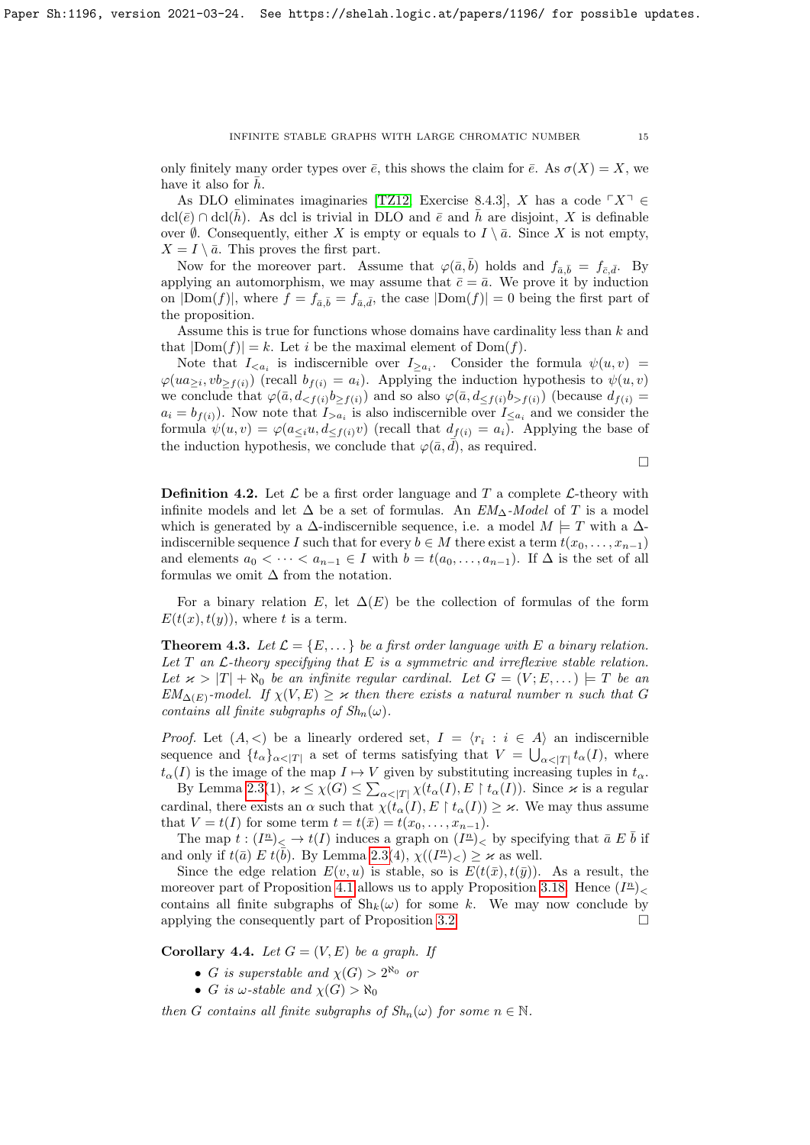only finitely many order types over  $\bar{e}$ , this shows the claim for  $\bar{e}$ . As  $\sigma(X) = X$ , we have it also for  $\bar{h}$ .

As DLO eliminates imaginaries [\[TZ12,](#page-28-10) Exercise 8.4.3], X has a code  $\ulcorner X \urcorner \in$  $\text{dcl}(\bar{e}) \cap \text{dcl}(\bar{h})$ . As dcl is trivial in DLO and  $\bar{e}$  and  $\bar{h}$  are disjoint, X is definable over  $\emptyset$ . Consequently, either X is empty or equals to  $I \setminus \overline{a}$ . Since X is not empty,  $X = I \setminus \bar{a}$ . This proves the first part.

Now for the moreover part. Assume that  $\varphi(\bar{a}, b)$  holds and  $f_{\bar{a}, \bar{b}} = f_{\bar{c}, \bar{d}}$ . By applying an automorphism, we may assume that  $\bar{c} = \bar{a}$ . We prove it by induction on  $|{\rm Dom}(f)|$ , where  $f = f_{\bar{a}, \bar{b}} = f_{\bar{a}, \bar{d}}$ , the case  $|{\rm Dom}(f)| = 0$  being the first part of the proposition.

Assume this is true for functions whose domains have cardinality less than k and that  $|Dom(f)| = k$ . Let i be the maximal element of  $Dom(f)$ .

Note that  $I_{\leq a_i}$  is indiscernible over  $I_{\geq a_i}$ . Consider the formula  $\psi(u, v)$  =  $\varphi(ua_{\geq i}, vb_{\geq f(i)})$  (recall  $b_{f(i)} = a_i$ ). Applying the induction hypothesis to  $\psi(u, v)$ we conclude that  $\varphi(\bar{a}, d_{\leq f(i)}b_{\geq f(i)})$  and so also  $\varphi(\bar{a}, d_{\leq f(i)}b_{>f(i)})$  (because  $d_{f(i)} =$  $a_i = b_{f(i)}$ ). Now note that  $I_{>a_i}$  is also indiscernible over  $I_{\leq a_i}$  and we consider the formula  $\psi(u, v) = \varphi(a_{\leq i}u, d_{\leq f(i)}v)$  (recall that  $d_{f(i)} = a_i$ ). Applying the base of the induction hypothesis, we conclude that  $\varphi(\bar{a}, \bar{d})$ , as required.

 $\Box$ 

**Definition 4.2.** Let  $\mathcal{L}$  be a first order language and T a complete  $\mathcal{L}$ -theory with infinite models and let  $\Delta$  be a set of formulas. An  $EM_{\Delta}$ -Model of T is a model which is generated by a  $\Delta$ -indiscernible sequence, i.e. a model  $M \models T$  with a  $\Delta$ indiscernible sequence I such that for every  $b \in M$  there exist a term  $t(x_0, \ldots, x_{n-1})$ and elements  $a_0 < \cdots < a_{n-1} \in I$  with  $b = t(a_0, \ldots, a_{n-1})$ . If  $\Delta$  is the set of all formulas we omit  $\Delta$  from the notation.

For a binary relation E, let  $\Delta(E)$  be the collection of formulas of the form  $E(t(x), t(y))$ , where t is a term.

<span id="page-14-1"></span>**Theorem 4.3.** Let  $\mathcal{L} = \{E, \dots\}$  be a first order language with E a binary relation. Let  $T$  an  $\mathcal{L}$ -theory specifying that  $E$  is a symmetric and irreflexive stable relation. Let  $\varkappa > |T| + \aleph_0$  be an infinite regular cardinal. Let  $G = (V; E, ...) \models T$  be an  $EM_{\Delta(E)}$ -model. If  $\chi(V, E) \geq \kappa$  then there exists a natural number n such that G contains all finite subgraphs of  $Sh_n(\omega)$ .

*Proof.* Let  $(A, \leq)$  be a linearly ordered set,  $I = \langle r_i : i \in A \rangle$  an indiscernible sequence and  $\{t_{\alpha}\}_{{\alpha} < |T|}$  a set of terms satisfying that  $V = \bigcup_{{\alpha} < |T|} t_{\alpha}(I)$ , where  $t_{\alpha}(I)$  is the image of the map  $I \mapsto V$  given by substituting increasing tuples in  $t_{\alpha}$ .

By Lemma [2.3\(](#page-2-1)1),  $\varkappa \leq \chi(G) \leq \sum_{\alpha < |T|} \chi(t_\alpha(I), E \restriction t_\alpha(I))$ . Since  $\varkappa$  is a regular cardinal, there exists an  $\alpha$  such that  $\chi(t_\alpha(I), E \restriction t_\alpha(I)) \geq \varkappa$ . We may thus assume that  $V = t(I)$  for some term  $t = t(\bar{x}) = t(x_0, \ldots, x_{n-1}).$ 

The map  $t:(I^{\underline{n}})< \to t(I)$  induces a graph on  $(I^{\underline{n}})<$  by specifying that  $\bar{a} E \bar{b}$  if and only if  $t(\bar{a}) \to t(\bar{b})$ . By Lemma [2.3\(](#page-2-1)4),  $\chi((I^{\underline{n}})_{\leq}) \geq \varkappa$  as well.

Since the edge relation  $E(v, u)$  is stable, so is  $E(t(\bar{x}), t(\bar{y}))$ . As a result, the moreover part of Proposition [4.1](#page-13-0) allows us to apply Proposition [3.18.](#page-11-0) Hence  $(I^{\underline{n}})$ contains all finite subgraphs of  $\mathrm{Sh}_{k}(\omega)$  for some k. We may now conclude by applying the consequently part of Proposition [3.2.](#page-3-1)  $\Box$ 

<span id="page-14-0"></span>Corollary 4.4. Let  $G = (V, E)$  be a graph. If

- G is superstable and  $\chi(G) > 2^{\aleph_0}$  or
- G is  $\omega$ -stable and  $\chi(G) > \aleph_0$

then G contains all finite subgraphs of  $Sh_n(\omega)$  for some  $n \in \mathbb{N}$ .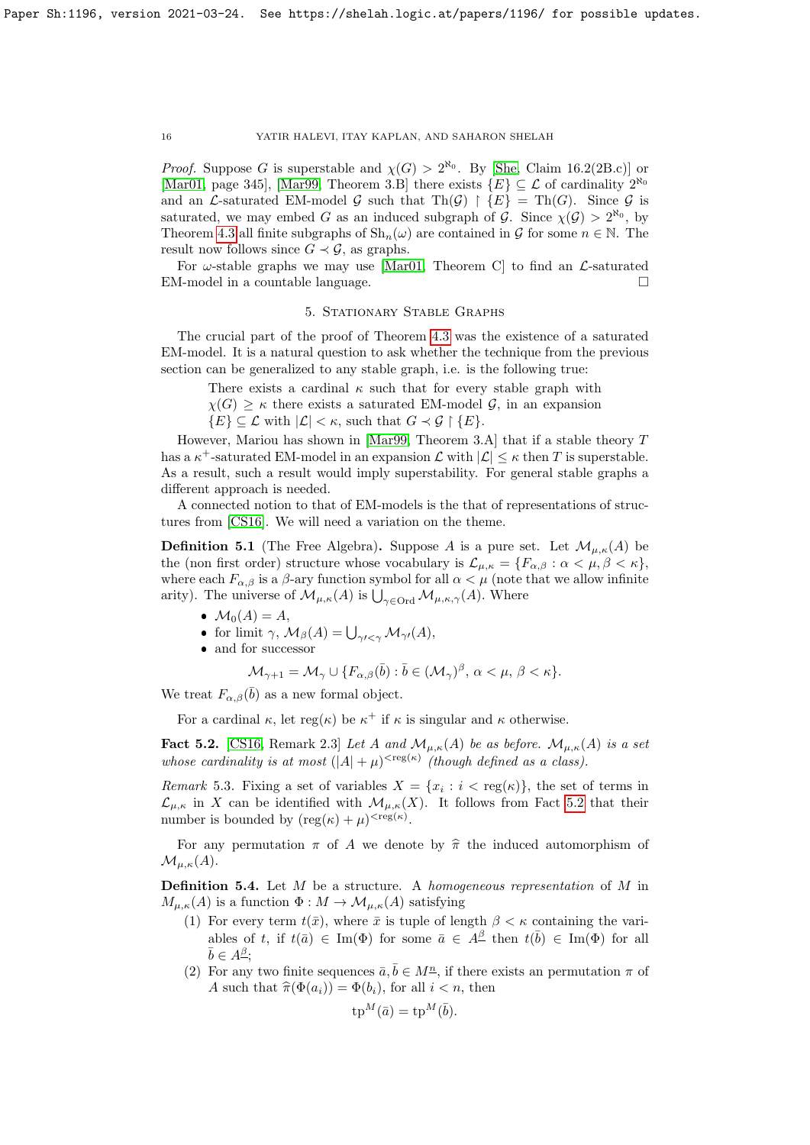*Proof.* Suppose G is superstable and  $\chi(G) > 2^{\aleph_0}$ . By [\[She,](#page-28-13) Claim 16.2(2B.c)] or [\[Mar01,](#page-28-14) page 345], [\[Mar99,](#page-28-15) Theorem 3.B] there exists  $\{E\} \subseteq \mathcal{L}$  of cardinality  $2^{\aleph_0}$ and an L-saturated EM-model G such that  $\text{Th}(\mathcal{G}) \restriction \{E\} = \text{Th}(G)$ . Since G is saturated, we may embed G as an induced subgraph of G. Since  $\chi(\mathcal{G}) > 2^{\aleph_0}$ , by Theorem [4.3](#page-14-1) all finite subgraphs of  $\mathrm{Sh}_n(\omega)$  are contained in G for some  $n \in \mathbb{N}$ . The result now follows since  $G \prec \mathcal{G}$ , as graphs.

For  $\omega$ -stable graphs we may use [\[Mar01,](#page-28-14) Theorem C] to find an  $\mathcal{L}$ -saturated EM-model in a countable language.  $\hfill \square$ 

## 5. Stationary Stable Graphs

The crucial part of the proof of Theorem [4.3](#page-14-1) was the existence of a saturated EM-model. It is a natural question to ask whether the technique from the previous section can be generalized to any stable graph, i.e. is the following true:

There exists a cardinal  $\kappa$  such that for every stable graph with

 $\chi(G) \geq \kappa$  there exists a saturated EM-model G, in an expansion

 $\{E\} \subseteq \mathcal{L}$  with  $|\mathcal{L}| < \kappa$ , such that  $G \prec \mathcal{G} \restriction \{E\}.$ 

However, Mariou has shown in [\[Mar99,](#page-28-15) Theorem 3.A] that if a stable theory T has a  $\kappa^+$ -saturated EM-model in an expansion  $\mathcal L$  with  $|\mathcal L| \leq \kappa$  then T is superstable. As a result, such a result would imply superstability. For general stable graphs a different approach is needed.

A connected notion to that of EM-models is the that of representations of structures from [\[CS16\]](#page-27-2). We will need a variation on the theme.

**Definition 5.1** (The Free Algebra). Suppose A is a pure set. Let  $\mathcal{M}_{\mu,\kappa}(A)$  be the (non first order) structure whose vocabulary is  $\mathcal{L}_{\mu,\kappa} = \{F_{\alpha,\beta} : \alpha < \mu, \beta < \kappa\},\$ where each  $F_{\alpha,\beta}$  is a  $\beta$ -ary function symbol for all  $\alpha < \mu$  (note that we allow infinite arity). The universe of  $\mathcal{M}_{\mu,\kappa}(A)$  is  $\bigcup_{\gamma\in\mathrm{Ord}}\mathcal{M}_{\mu,\kappa,\gamma}(A)$ . Where

- $\bullet \mathcal{M}_0(A) = A,$
- for limit  $\gamma$ ,  $\mathcal{M}_{\beta}(A) = \bigcup_{\gamma' < \gamma} \mathcal{M}_{\gamma'}(A),$
- $\bullet$  and for successor

$$
\mathcal{M}_{\gamma+1} = \mathcal{M}_{\gamma} \cup \{ F_{\alpha,\beta}(\bar{b}) : \bar{b} \in (\mathcal{M}_{\gamma})^{\beta}, \alpha < \mu, \beta < \kappa \}.
$$

We treat  $F_{\alpha,\beta}(\bar{b})$  as a new formal object.

For a cardinal  $\kappa$ , let reg( $\kappa$ ) be  $\kappa^+$  if  $\kappa$  is singular and  $\kappa$  otherwise.

<span id="page-15-0"></span>**Fact 5.2.** [\[CS16,](#page-27-2) Remark 2.3] Let A and  $\mathcal{M}_{\mu,\kappa}(A)$  be as before.  $\mathcal{M}_{\mu,\kappa}(A)$  is a set whose cardinality is at most  $(|A| + \mu)^{\langle \text{reg}(\kappa) \rangle}$  (though defined as a class).

<span id="page-15-1"></span>Remark 5.3. Fixing a set of variables  $X = \{x_i : i < \text{reg}(\kappa)\}\)$ , the set of terms in  $\mathcal{L}_{\mu,\kappa}$  in X can be identified with  $\mathcal{M}_{\mu,\kappa}(X)$ . It follows from Fact [5.2](#page-15-0) that their number is bounded by  $(\text{reg}(\kappa) + \mu)^{< \text{reg}(\kappa)}$ .

For any permutation  $\pi$  of A we denote by  $\hat{\pi}$  the induced automorphism of  $\mathcal{M}_{\mu,\kappa}(A).$ 

<span id="page-15-2"></span>**Definition 5.4.** Let  $M$  be a structure. A homogeneous representation of  $M$  in  $M_{\mu,\kappa}(A)$  is a function  $\Phi: M \to \mathcal{M}_{\mu,\kappa}(A)$  satisfying

- (1) For every term  $t(\bar{x})$ , where  $\bar{x}$  is tuple of length  $\beta < \kappa$  containing the variables of t, if  $t(\bar{a}) \in \text{Im}(\Phi)$  for some  $\bar{a} \in A^{\underline{\beta}}$  then  $t(\bar{b}) \in \text{Im}(\Phi)$  for all  $\bar{b} \in A^{\underline{\beta}};$
- (2) For any two finite sequences  $\bar{a}, \bar{b} \in M^{\underline{n}}$ , if there exists an permutation  $\pi$  of A such that  $\hat{\pi}(\Phi(a_i)) = \Phi(b_i)$ , for all  $i < n$ , then

$$
\operatorname{tp}^M(\bar{a}) = \operatorname{tp}^M(\bar{b}).
$$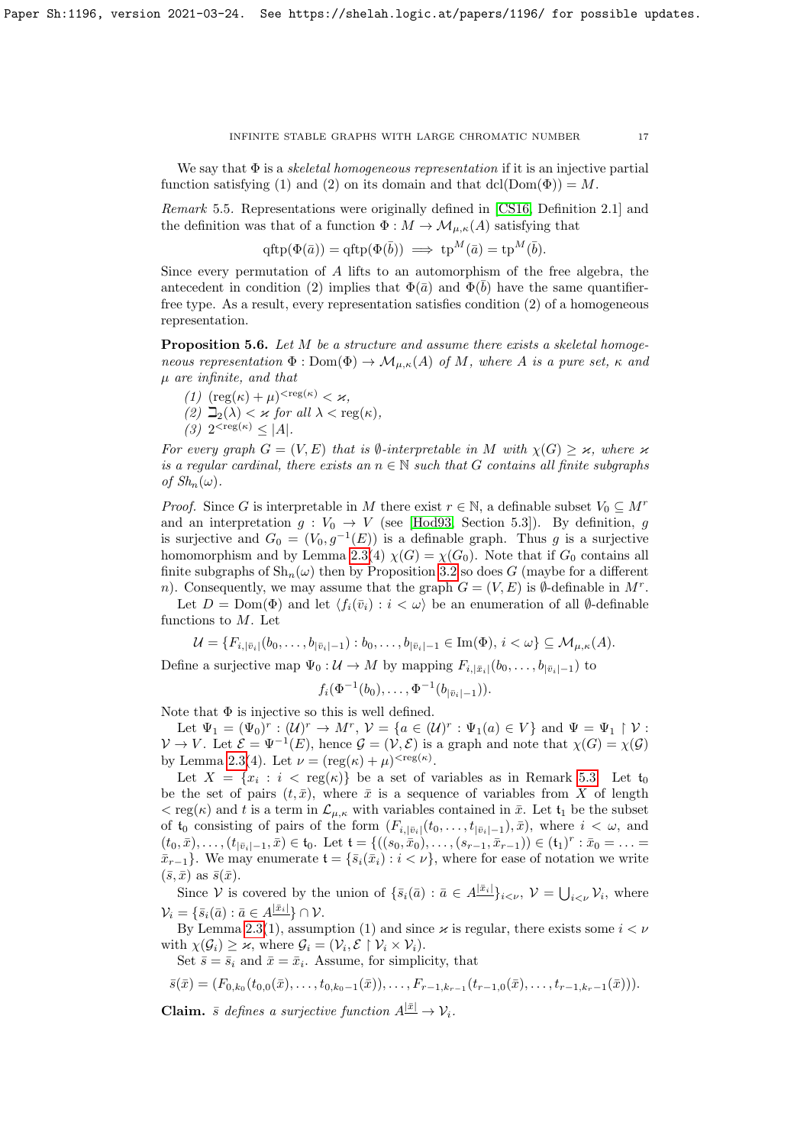We say that  $\Phi$  is a *skeletal homogeneous representation* if it is an injective partial function satisfying (1) and (2) on its domain and that  $dcl(Dom(\Phi)) = M$ .

<span id="page-16-0"></span>Remark 5.5. Representations were originally defined in [\[CS16,](#page-27-2) Definition 2.1] and the definition was that of a function  $\Phi : M \to \mathcal{M}_{\mu,\kappa}(A)$  satisfying that

$$
\text{qftp}(\Phi(\bar{a})) = \text{qftp}(\Phi(\bar{b})) \implies \text{tp}^M(\bar{a}) = \text{tp}^M(\bar{b}).
$$

Since every permutation of A lifts to an automorphism of the free algebra, the antecedent in condition (2) implies that  $\Phi(\bar{a})$  and  $\Phi(\bar{b})$  have the same quantifierfree type. As a result, every representation satisfies condition (2) of a homogeneous representation.

<span id="page-16-1"></span>**Proposition 5.6.** Let M be a structure and assume there exists a skeletal homogeneous representation  $\Phi : \text{Dom}(\Phi) \to \mathcal{M}_{\mu,\kappa}(A)$  of M, where A is a pure set,  $\kappa$  and  $\mu$  are infinite, and that

(1)  $(\text{reg}(\kappa) + \mu)^{<\text{reg}(\kappa)} < \varkappa,$ (2)  $\Box_2(\lambda) < \varkappa$  for all  $\lambda < \text{reg}(\kappa)$ , (3)  $2^{<\text{reg}(\kappa)} \leq |A|.$ 

For every graph  $G = (V, E)$  that is  $\emptyset$ -interpretable in M with  $\chi(G) \geq \varkappa$ , where  $\varkappa$ is a regular cardinal, there exists an  $n \in \mathbb{N}$  such that G contains all finite subgraphs of  $Sh_n(\omega)$ .

*Proof.* Since G is interpretable in M there exist  $r \in \mathbb{N}$ , a definable subset  $V_0 \subseteq M^r$ and an interpretation  $g: V_0 \to V$  (see [\[Hod93,](#page-28-16) Section 5.3]). By definition, g is surjective and  $G_0 = (V_0, g^{-1}(E))$  is a definable graph. Thus g is a surjective homomorphism and by Lemma [2.3\(](#page-2-1)4)  $\chi(G) = \chi(G_0)$ . Note that if  $G_0$  contains all finite subgraphs of  $\mathrm{Sh}_n(\omega)$  then by Proposition [3.2](#page-3-1) so does G (maybe for a different n). Consequently, we may assume that the graph  $G = (V, E)$  is  $\emptyset$ -definable in M<sup>r</sup>.

Let  $D = \text{Dom}(\Phi)$  and let  $\langle f_i(\bar{v}_i) : i < \omega \rangle$  be an enumeration of all Ø-definable functions to M. Let

$$
\mathcal{U} = \{F_{i,|\bar{v}_i|}(b_0,\ldots,b_{|\bar{v}_i|-1}): b_0,\ldots,b_{|\bar{v}_i|-1} \in \text{Im}(\Phi), i < \omega\} \subseteq \mathcal{M}_{\mu,\kappa}(A).
$$

Define a surjective map  $\Psi_0: U \to M$  by mapping  $F_{i,|\bar{x}_i|}(b_0,\ldots,b_{|\bar{v}_i|-1})$  to

$$
f_i(\Phi^{-1}(b_0),\ldots,\Phi^{-1}(b_{|\bar{v}_i|-1})).
$$

Note that  $\Phi$  is injective so this is well defined.

Let  $\Psi_1 = (\Psi_0)^r : (\mathcal{U})^r \to M^r$ ,  $\mathcal{V} = \{a \in (\mathcal{U})^r : \Psi_1(a) \in V\}$  and  $\Psi = \Psi_1 \upharpoonright \mathcal{V}$ :  $V \to V$ . Let  $\mathcal{E} = \Psi^{-1}(E)$ , hence  $\mathcal{G} = (\mathcal{V}, \mathcal{E})$  is a graph and note that  $\chi(G) = \chi(\mathcal{G})$ by Lemma [2.3\(](#page-2-1)4). Let  $\nu = (\text{reg}(\kappa) + \mu)^{< \text{reg}(\kappa)}$ .

Let  $X = \{x_i : i < \text{reg}(\kappa)\}\$ be a set of variables as in Remark [5.3.](#page-15-1) Let  $\mathfrak{t}_0$ be the set of pairs  $(t, \bar{x})$ , where  $\bar{x}$  is a sequence of variables from X of length  $<$  reg( $\kappa$ ) and t is a term in  $\mathcal{L}_{\mu,\kappa}$  with variables contained in  $\bar{x}$ . Let  $\mathfrak{t}_1$  be the subset of  $t_0$  consisting of pairs of the form  $(F_{i,|\bar{v}_i|}(t_0,\ldots,t_{|\bar{v}_i|-1}),\bar{x})$ , where  $i < \omega$ , and  $(t_0, \bar{x}), \ldots, (t_{|\bar{v}_i|-1}, \bar{x}) \in \mathfrak{t}_0.$  Let  $\mathfrak{t} = \{((s_0, \bar{x}_0), \ldots, (s_{r-1}, \bar{x}_{r-1})) \in (\mathfrak{t}_1)^r : \bar{x}_0 = \ldots =$  $\bar{x}_{r-1}$ . We may enumerate  $\mathfrak{t} = \{\bar{s}_i(\bar{x}_i) : i < \nu\}$ , where for ease of notation we write  $(\bar{s}, \bar{x})$  as  $\bar{s}(\bar{x})$ .

Since V is covered by the union of  $\{\bar{s}_i(\bar{a}) : \bar{a} \in A^{|\bar{x}_i|}\}_{i \leq \nu}, \nu = \bigcup_{i \leq \nu} \mathcal{V}_i$ , where  $\mathcal{V}_i = \{\bar{s}_i(\bar{a}): \bar{a} \in A^{|\bar{x}_i|}\} \cap \mathcal{V}.$ 

By Lemma [2.3\(](#page-2-1)1), assumption (1) and since  $\varkappa$  is regular, there exists some  $i < \nu$ with  $\chi(\mathcal{G}_i) \geq \varkappa$ , where  $\mathcal{G}_i = (\mathcal{V}_i, \mathcal{E} \restriction \mathcal{V}_i \times \mathcal{V}_i)$ .

Set  $\bar{s} = \bar{s}_i$  and  $\bar{x} = \bar{x}_i$ . Assume, for simplicity, that

$$
\bar{s}(\bar{x}) = (F_{0,k_0}(t_{0,0}(\bar{x}),\ldots,t_{0,k_0-1}(\bar{x})),\ldots,F_{r-1,k_{r-1}}(t_{r-1,0}(\bar{x}),\ldots,t_{r-1,k_r-1}(\bar{x}))).
$$

**Claim.**  $\bar{s}$  defines a surjective function  $A^{|\bar{x}|} \to V_i$ .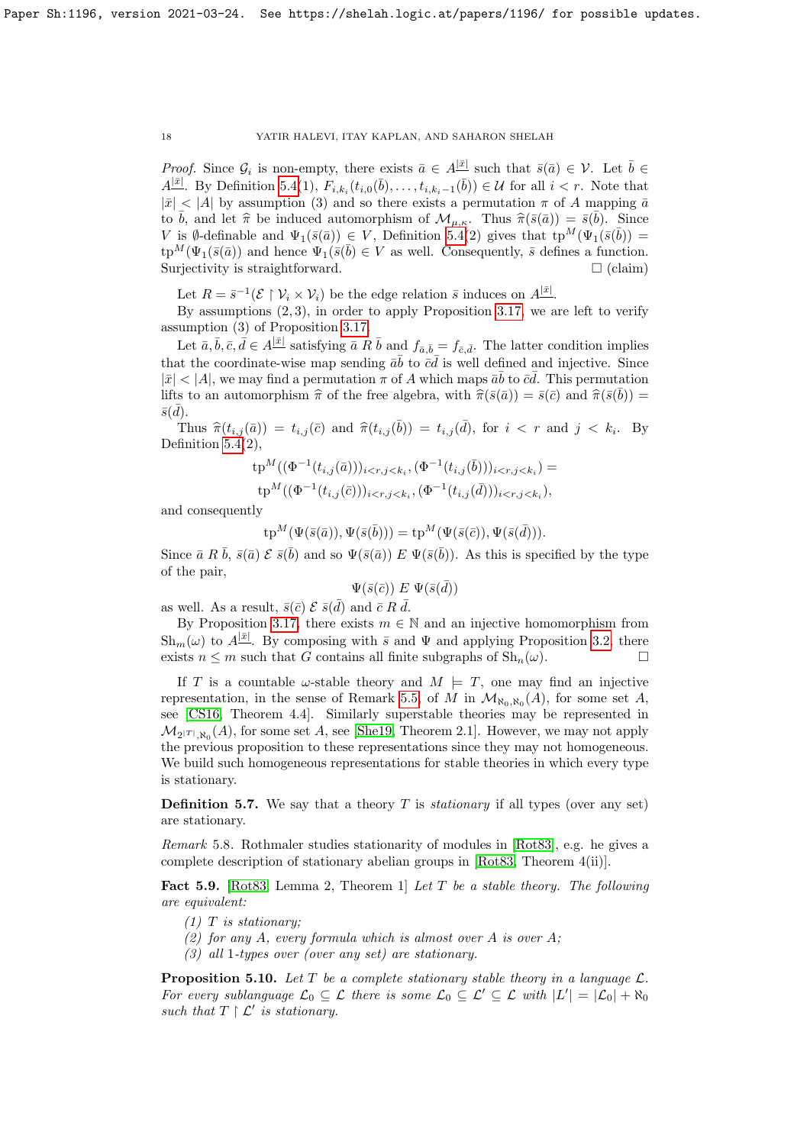*Proof.* Since  $\mathcal{G}_i$  is non-empty, there exists  $\bar{a} \in A^{|\bar{x}|}$  such that  $\bar{s}(\bar{a}) \in \mathcal{V}$ . Let  $\bar{b} \in \mathcal{V}$  $A^{[\bar{x}]}$ . By Definition [5.4\(](#page-15-2)1),  $F_{i,k_i}(t_{i,0}(\bar{b}),\ldots,t_{i,k_i-1}(\bar{b})) \in \mathcal{U}$  for all  $i < r$ . Note that  $|\bar{x}| < |A|$  by assumption (3) and so there exists a permutation  $\pi$  of A mapping  $\bar{a}$ to  $\bar{b}$ , and let  $\hat{\pi}$  be induced automorphism of  $\mathcal{M}_{\mu,\kappa}$ . Thus  $\hat{\pi}(\bar{s}(\bar{a})) = \bar{s}(\bar{b})$ . Since  $V$  is a definable and  $\Psi(\bar{s}(\bar{a})) \subset V$ . Definition 5.4(2) gives that to  $M(\Psi(\bar{s}(\bar{b})) -$ V is Ø-definable and  $\Psi_1(\bar{s}(\bar{a})) \in V$ , Definition [5.4\(](#page-15-2)2) gives that  $tp^M(\Psi_1(\bar{s}(\bar{b})) =$  $\text{tp}^M(\Psi_1(\bar{s}(\bar{a}))$  and hence  $\Psi_1(\bar{s}(\bar{b}) \in V$  as well. Consequently,  $\bar{s}$  defines a function. Surjectivity is straightforward.  $\Box$  (claim)

Let  $R = \bar{s}^{-1}(\mathcal{E} \restriction \mathcal{V}_i \times \mathcal{V}_i)$  be the edge relation  $\bar{s}$  induces on  $A^{|\bar{x}|}$ .

By assumptions  $(2, 3)$ , in order to apply Proposition [3.17,](#page-9-1) we are left to verify assumption (3) of Proposition [3.17.](#page-9-1)

Let  $\bar{a}, \bar{b}, \bar{c}, \bar{d} \in A^{|\bar{x}|}$  satisfying  $\bar{a} R \bar{b}$  and  $f_{\bar{a}, \bar{b}} = f_{\bar{c}, \bar{d}}$ . The latter condition implies that the coordinate-wise map sending  $\bar{a}\bar{b}$  to  $\bar{c}\bar{d}$  is well defined and injective. Since  $|\bar{x}| < |A|$ , we may find a permutation  $\pi$  of A which maps  $\bar{a}\bar{b}$  to  $\bar{c}\bar{d}$ . This permutation lifts to an automorphism  $\hat{\pi}$  of the free algebra, with  $\hat{\pi}(\bar{s}(\bar{a})) = \bar{s}(\bar{c})$  and  $\hat{\pi}(\bar{s}(\bar{b})) = \bar{s}(\bar{d})$  $\bar{s}(\bar{d})$ .

Thus  $\hat{\pi}(t_{i,j}(\bar{a})) = t_{i,j}(\bar{c})$  and  $\hat{\pi}(t_{i,j}(\bar{b})) = t_{i,j}(\bar{d})$ , for  $i < r$  and  $j < k_i$ . By Definition  $5.4(2)$ ,

$$
\begin{aligned} \operatorname{tp}^M((\Phi^{-1}(t_{i,j}(\bar{a})))_{i < r, j < k_i}, (\Phi^{-1}(t_{i,j}(\bar{b})))_{i < r, j < k_i}) &= \\ \operatorname{tp}^M((\Phi^{-1}(t_{i,j}(\bar{c})))_{i < r, j < k_i}, (\Phi^{-1}(t_{i,j}(\bar{d})))_{i < r, j < k_i}), \end{aligned}
$$

and consequently

$$
\operatorname{tp}^M(\Psi(\bar{s}(\bar{a})), \Psi(\bar{s}(\bar{b}))) = \operatorname{tp}^M(\Psi(\bar{s}(\bar{c})), \Psi(\bar{s}(\bar{d}))).
$$

Since  $\bar{a}$  R  $\bar{b}$ ,  $\bar{s}(\bar{a})$  E  $\bar{s}(\bar{b})$  and so  $\Psi(\bar{s}(\bar{a}))$  E  $\Psi(\bar{s}(\bar{b}))$ . As this is specified by the type of the pair,

$$
\Psi(\bar{s}(\bar{c})) \mathrel{E} \Psi(\bar{s}(\bar{d}))
$$

as well. As a result,  $\bar{s}(\bar{c}) \mathcal{E} \bar{s}(\bar{d})$  and  $\bar{c} R \bar{d}$ .

By Proposition [3.17,](#page-9-1) there exists  $m \in \mathbb{N}$  and an injective homomorphism from  $\text{Sh}_{m}(\omega)$  to  $A^{|\bar{x}|}$ . By composing with  $\bar{s}$  and  $\Psi$  and applying Proposition [3.2,](#page-3-1) there exists  $n \leq m$  such that G contains all finite subgraphs of  $\text{Sh}_n(\omega)$ .

If T is a countable  $\omega$ -stable theory and  $M \models T$ , one may find an injective representation, in the sense of Remark [5.5,](#page-16-0) of M in  $\mathcal{M}_{\aleph_0,\aleph_0}(A)$ , for some set A, see [\[CS16,](#page-27-2) Theorem 4.4]. Similarly superstable theories may be represented in  $\mathcal{M}_{2^{|T|}, \aleph_0}(A)$ , for some set A, see [\[She19,](#page-28-17) Theorem 2.1]. However, we may not apply the previous proposition to these representations since they may not homogeneous. We build such homogeneous representations for stable theories in which every type is stationary.

**Definition 5.7.** We say that a theory T is *stationary* if all types (over any set) are stationary.

Remark 5.8. Rothmaler studies stationarity of modules in [\[Rot83\]](#page-28-18), e.g. he gives a complete description of stationary abelian groups in [\[Rot83,](#page-28-18) Theorem 4(ii)].

<span id="page-17-0"></span>Fact 5.9. [\[Rot83,](#page-28-18) Lemma 2, Theorem 1] Let T be a stable theory. The following are equivalent:

- $(1)$  T is stationary;
- (2) for any A, every formula which is almost over A is over A;
- (3) all 1-types over (over any set) are stationary.

<span id="page-17-1"></span>**Proposition 5.10.** Let T be a complete stationary stable theory in a language  $\mathcal{L}$ . For every sublanguage  $\mathcal{L}_0 \subseteq \mathcal{L}$  there is some  $\mathcal{L}_0 \subseteq \mathcal{L}' \subseteq \mathcal{L}$  with  $|L'| = |\mathcal{L}_0| + \aleph_0$ such that  $T \restriction \mathcal{L}'$  is stationary.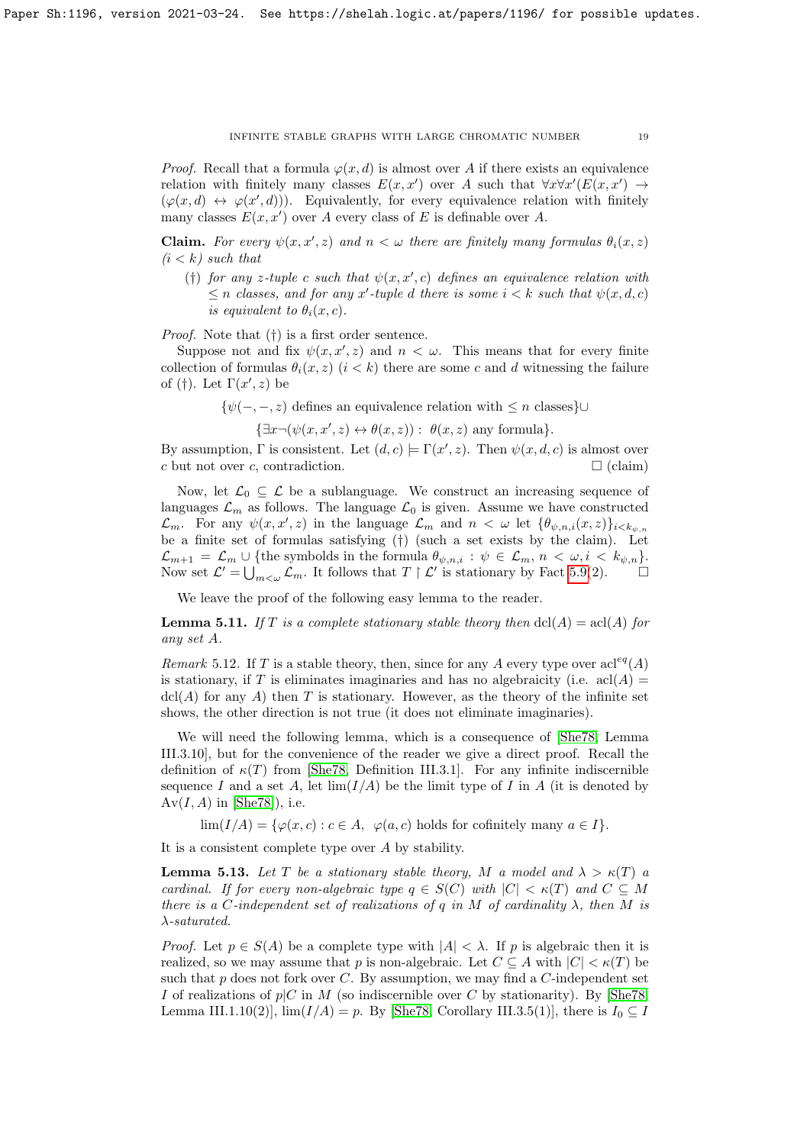*Proof.* Recall that a formula  $\varphi(x, d)$  is almost over A if there exists an equivalence relation with finitely many classes  $E(x, x')$  over A such that  $\forall x \forall x' (E(x, x') \rightarrow$  $(\varphi(x, d) \leftrightarrow \varphi(x', d))$ . Equivalently, for every equivalence relation with finitely many classes  $E(x, x')$  over A every class of E is definable over A.

**Claim.** For every  $\psi(x, x', z)$  and  $n < \omega$  there are finitely many formulas  $\theta_i(x, z)$  $(i < k)$  such that

(†) for any z-tuple c such that  $\psi(x, x', c)$  defines an equivalence relation with  $\leq n$  classes, and for any x'-tuple d there is some  $i < k$  such that  $\psi(x, d, c)$ is equivalent to  $\theta_i(x, c)$ .

Proof. Note that (†) is a first order sentence.

Suppose not and fix  $\psi(x, x', z)$  and  $n < \omega$ . This means that for every finite collection of formulas  $\theta_i(x, z)$   $(i < k)$  there are some c and d witnessing the failure of (†). Let  $\Gamma(x', z)$  be

 ${\psi(-,-, z)}$  defines an equivalence relation with  $\leq n$  classes}∪

 $\{\exists x \neg (\psi(x, x', z) \leftrightarrow \theta(x, z)) : \theta(x, z) \text{ any formula}\}.$ 

By assumption,  $\Gamma$  is consistent. Let  $(d, c) \models \Gamma(x', z)$ . Then  $\psi(x, d, c)$  is almost over c but not over c, contradiction.  $\Box$  (claim)

Now, let  $\mathcal{L}_0 \subseteq \mathcal{L}$  be a sublanguage. We construct an increasing sequence of languages  $\mathcal{L}_m$  as follows. The language  $\mathcal{L}_0$  is given. Assume we have constructed  $\mathcal{L}_m$ . For any  $\psi(x, x', z)$  in the language  $\mathcal{L}_m$  and  $n < \omega$  let  $\{\theta_{\psi,n,i}(x, z)\}_{i \leq k_{\psi,n}}$ be a finite set of formulas satisfying (†) (such a set exists by the claim). Let  $\mathcal{L}_{m+1} = \mathcal{L}_m \cup \{\text{the symbols in the formula } \theta_{\psi,n,i} : \psi \in \mathcal{L}_m, n < \omega, i < k_{\psi,n}\}.$ Now set  $\mathcal{L}' = \bigcup_{m < \omega} \mathcal{L}_m$ . It follows that  $T \upharpoonright \mathcal{L}'$  is stationary by Fact [5.9\(](#page-17-0)2).

We leave the proof of the following easy lemma to the reader.

<span id="page-18-0"></span>**Lemma 5.11.** If T is a complete stationary stable theory then  $dcl(A) = \text{acl}(A)$  for any set A.

Remark 5.12. If T is a stable theory, then, since for any A every type over  $\text{acl}^{eq}(A)$ is stationary, if T is eliminates imaginaries and has no algebraicity (i.e.  $\text{acl}(A)$ )  $\text{dcl}(A)$  for any A) then T is stationary. However, as the theory of the infinite set shows, the other direction is not true (it does not eliminate imaginaries).

We will need the following lemma, which is a consequence of [\[She78,](#page-28-19) Lemma III.3.10], but for the convenience of the reader we give a direct proof. Recall the definition of  $\kappa(T)$  from [\[She78,](#page-28-19) Definition III.3.1]. For any infinite indiscernible sequence I and a set A, let  $\lim(I/A)$  be the limit type of I in A (it is denoted by  $Av(I, A)$  in [\[She78\]](#page-28-19)), i.e.

 $\lim(I/A) = {\varphi(x, c) : c \in A, \varphi(a, c) \text{ holds for cofinitely many } a \in I}.$ 

It is a consistent complete type over A by stability.

<span id="page-18-1"></span>**Lemma 5.13.** Let T be a stationary stable theory, M a model and  $\lambda > \kappa(T)$  a cardinal. If for every non-algebraic type  $q \in S(C)$  with  $|C| \leq \kappa(T)$  and  $C \subseteq M$ there is a C-independent set of realizations of q in M of cardinality  $\lambda$ , then M is  $\lambda$ -saturated.

*Proof.* Let  $p \in S(A)$  be a complete type with  $|A| < \lambda$ . If p is algebraic then it is realized, so we may assume that p is non-algebraic. Let  $C \subseteq A$  with  $|C| < \kappa(T)$  be such that  $p$  does not fork over  $C$ . By assumption, we may find a  $C$ -independent set I of realizations of  $p|C$  in M (so indiscernible over C by stationarity). By [\[She78,](#page-28-19) Lemma III.1.10(2)],  $\lim(I/A) = p$ . By [\[She78,](#page-28-19) Corollary III.3.5(1)], there is  $I_0 \subseteq I$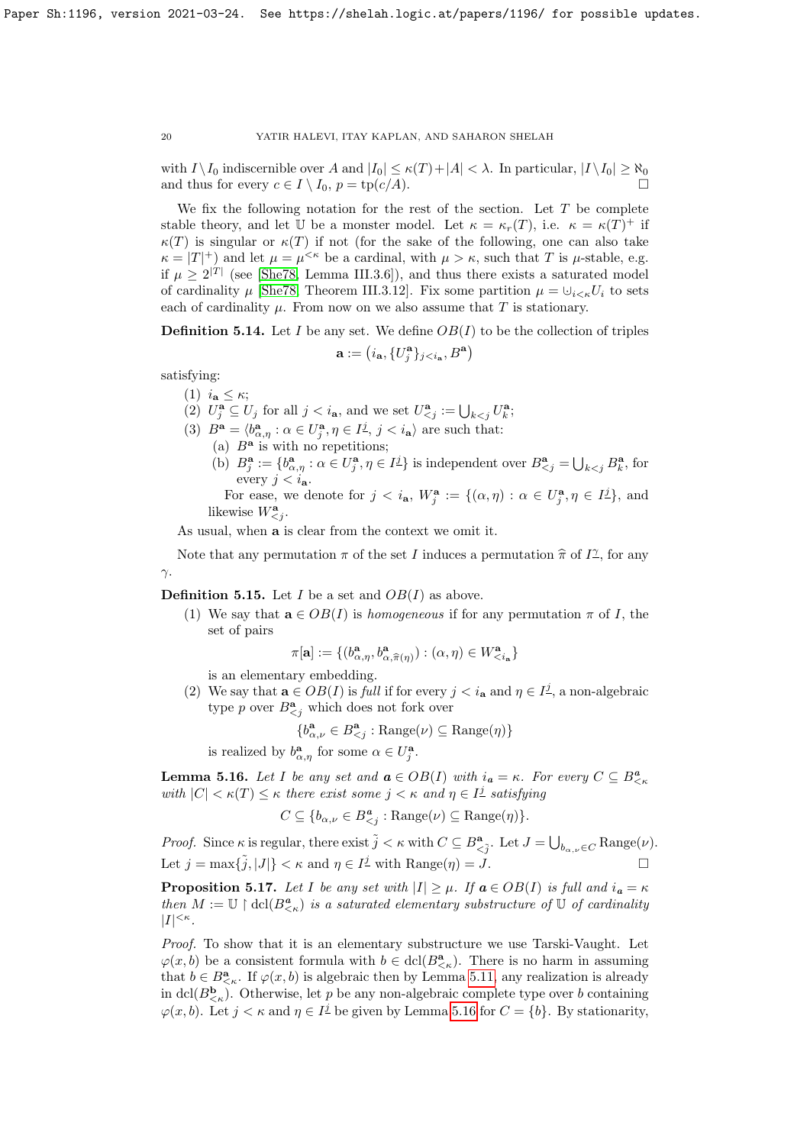with  $I \setminus I_0$  indiscernible over A and  $|I_0| \leq \kappa(T) + |A| < \lambda$ . In particular,  $|I \setminus I_0| \geq \aleph_0$ and thus for every  $c \in I \setminus I_0$ ,  $p = \text{tp}(c/A)$ .

We fix the following notation for the rest of the section. Let  $T$  be complete stable theory, and let U be a monster model. Let  $\kappa = \kappa_r(T)$ , i.e.  $\kappa = \kappa(T)^+$  if  $\kappa(T)$  is singular or  $\kappa(T)$  if not (for the sake of the following, one can also take  $\kappa = |T|^+$  and let  $\mu = \mu^{<\kappa}$  be a cardinal, with  $\mu > \kappa$ , such that T is  $\mu$ -stable, e.g. if  $\mu \geq 2^{|T|}$  (see [\[She78,](#page-28-19) Lemma III.3.6]), and thus there exists a saturated model of cardinality  $\mu$  [\[She78,](#page-28-19) Theorem III.3.12]. Fix some partition  $\mu = \bigcup_{i \leq \kappa} U_i$  to sets each of cardinality  $\mu$ . From now on we also assume that T is stationary.

<span id="page-19-1"></span>**Definition 5.14.** Let I be any set. We define  $OB(I)$  to be the collection of triples

$$
\mathbf{a} := \left( i_{\mathbf{a}}, \{ U^{\mathbf{a}}_j \}_{j < i_{\mathbf{a}}}, B^{\mathbf{a}} \right)
$$

satisfying:

- (1)  $i_{\mathbf{a}} \leq \kappa$ ;
- (2)  $U_j^{\mathbf{a}} \subseteq U_j$  for all  $j < i_{\mathbf{a}}$ , and we set  $U_{\leq j}^{\mathbf{a}} := \bigcup_{k < j} U_k^{\mathbf{a}}$ ;
- (3)  $B^{\mathbf{a}} = \langle b^{\mathbf{a}}_{\alpha,\eta} : \alpha \in U^{\mathbf{a}}_{j}, \eta \in I^{\underline{j}}, j < i_{\mathbf{a}} \rangle$  are such that: (a)  $B^a$  is with no repetitions;
	- (b)  $B_j^{\mathbf{a}} := \{b_{\alpha,\eta}^{\mathbf{a}} : \alpha \in U_j^{\mathbf{a}}, \eta \in I_j^{\underline{j}}\}$  is independent over  $B_{\leq j}^{\mathbf{a}} = \bigcup_{k \leq j} B_k^{\mathbf{a}}$ , for every  $j < i_{\mathbf{a}}$ .

For ease, we denote for  $j < i_{\mathbf{a}}, W_j^{\mathbf{a}} := \{(\alpha, \eta) : \alpha \in U_j^{\mathbf{a}}, \eta \in I_j^{\underline{j}}\}$ , and likewise  $W_{\leq j}^{\mathbf{a}}$ .

As usual, when a is clear from the context we omit it.

Note that any permutation  $\pi$  of the set I induces a permutation  $\hat{\pi}$  of  $I^{\gamma}$ , for any γ.

**Definition 5.15.** Let I be a set and  $OB(I)$  as above.

(1) We say that  $\mathbf{a} \in OB(I)$  is *homogeneous* if for any permutation  $\pi$  of I, the set of pairs

$$
\pi[{\mathbf{a}}]:=\{ (b_{{\alpha},\eta}^{{\mathbf{a}}},b_{{\alpha},\widehat{\pi}(\eta)}^{{\mathbf{a}}}) : ({\alpha},\eta) \in W_{
$$

is an elementary embedding.

(2) We say that  $\mathbf{a} \in OB(I)$  is full if for every  $j < i_{\mathbf{a}}$  and  $\eta \in I^{\underline{j}}$ , a non-algebraic type p over  $B^{\mathbf{a}}_{\leq j}$  which does not fork over

$$
\{b_{\alpha,\nu}^{\mathbf{a}} \in B_{
$$

is realized by  $b^{\mathbf{a}}_{\alpha,\eta}$  for some  $\alpha \in U_j^{\mathbf{a}}$ .

<span id="page-19-0"></span>**Lemma 5.16.** Let I be any set and  $a \in OB(I)$  with  $i_a = \kappa$ . For every  $C \subseteq B^a_{\leq \kappa}$ with  $|C| < \kappa(T) \leq \kappa$  there exist some  $j < \kappa$  and  $\eta \in I^{\underline{j}}$  satisfying

$$
C \subseteq \{b_{\alpha,\nu} \in B^a_{\leq j} : \text{Range}(\nu) \subseteq \text{Range}(\eta)\}.
$$

*Proof.* Since  $\kappa$  is regular, there exist  $\tilde{j} < \kappa$  with  $C \subseteq B^{\mathbf{a}}_{\leq \tilde{j}}$ . Let  $J = \bigcup_{b_{\alpha,\nu} \in C} \text{Range}(\nu)$ . Let  $j = \max{\tilde{j}, |J|} < \kappa$  and  $\eta \in I^{\underline{j}}$  with  $\text{Range}(\eta) = J$ .

<span id="page-19-2"></span>**Proposition 5.17.** Let I be any set with  $|I| \geq \mu$ . If  $a \in OB(I)$  is full and  $i_a = \kappa$ then  $M := \mathbb{U} \restriction \text{dcl}(B^a_{\leq \kappa})$  is a saturated elementary substructure of  $\mathbb{U}$  of cardinality  $|I|^{<\kappa}$ .

Proof. To show that it is an elementary substructure we use Tarski-Vaught. Let  $\varphi(x, b)$  be a consistent formula with  $b \in \text{dcl}(B^{\mathbf{a}}_{\leq \kappa})$ . There is no harm in assuming that  $b \in B_{\leq \kappa}^{\mathbf{a}}$ . If  $\varphi(x, b)$  is algebraic then by Lemma [5.11,](#page-18-0) any realization is already in dcl( $B_{\leq \kappa}^{\mathbf{b}}$ ). Otherwise, let p be any non-algebraic complete type over b containing  $\varphi(x, b)$ . Let  $j < \kappa$  and  $\eta \in I^{\underline{j}}$  be given by Lemma [5.16](#page-19-0) for  $C = \{b\}$ . By stationarity,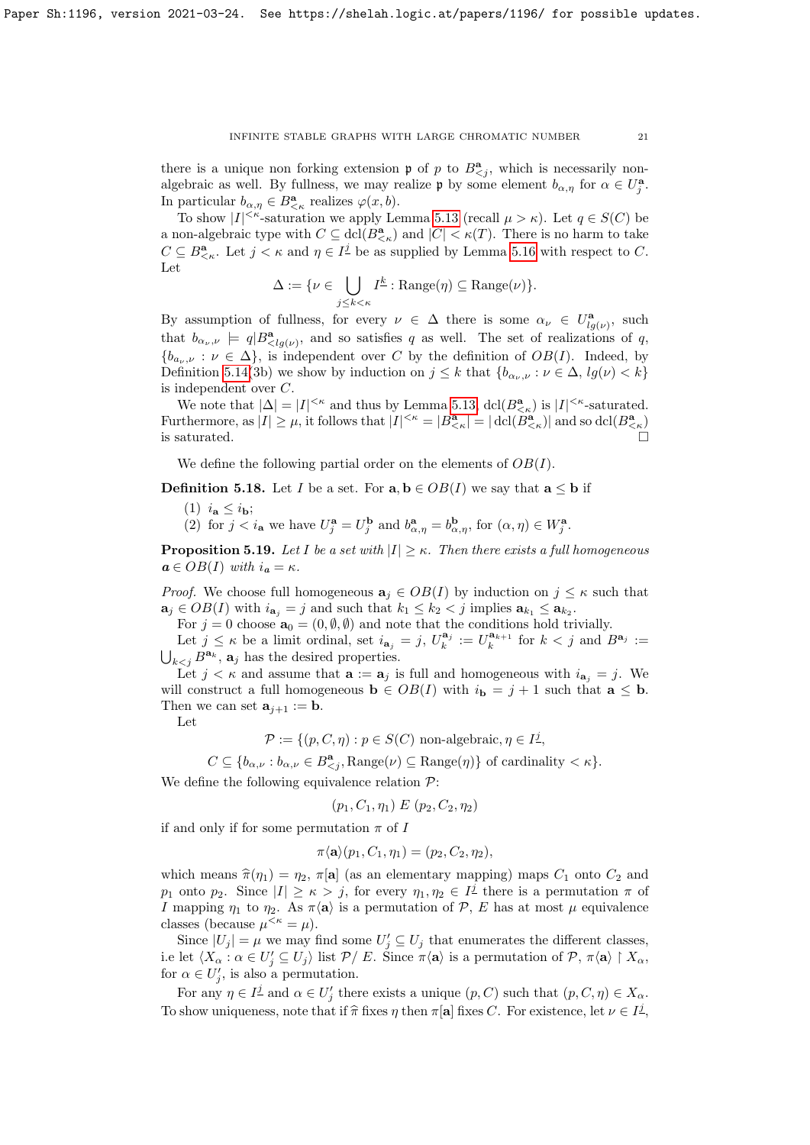there is a unique non forking extension  $\mathfrak p$  of p to  $B^{\mathbf{a}}_{\leq j}$ , which is necessarily nonalgebraic as well. By fullness, we may realize  $\mathfrak p$  by some element  $b_{\alpha,\eta}$  for  $\alpha \in U_j^{\mathbf a}$ . In particular  $b_{\alpha,\eta} \in B^{\mathbf{a}}_{\leq \kappa}$  realizes  $\varphi(x,b)$ .

To show  $|I|^{<\kappa}$ -saturation we apply Lemma [5.13](#page-18-1) (recall  $\mu > \kappa$ ). Let  $q \in S(C)$  be a non-algebraic type with  $C \subseteq \text{dcl}(B^{\mathbf{a}}_{\leq \kappa})$  and  $|C| < \kappa(T)$ . There is no harm to take  $C \subseteq B^{\mathbf{a}}_{\leq \kappa}$ . Let  $j < \kappa$  and  $\eta \in I^{\underline{j}}$  be as supplied by Lemma [5.16](#page-19-0) with respect to C. Let

$$
\Delta := \{ \nu \in \bigcup_{j \le k < \kappa} I^{\underline{k}} : \text{Range}(\eta) \subseteq \text{Range}(\nu) \}.
$$

By assumption of fullness, for every  $\nu \in \Delta$  there is some  $\alpha_{\nu} \in U^{\mathbf{a}}_{lg(\nu)}$ , such that  $b_{\alpha_\nu,\nu} \models q | B_{\langle lg(\nu) \rangle}^{\mathbf{a}},$  and so satisfies q as well. The set of realizations of q,  ${b_{a_{\nu},\nu} : \nu \in \Delta}$ , is independent over C by the definition of  $OB(I)$ . Indeed, by Definition [5.14\(](#page-19-1)3b) we show by induction on  $j \leq k$  that  $\{b_{\alpha_i,\nu} : \nu \in \Delta, lg(\nu) < k\}$ is independent over C.

We note that  $|\Delta| = |I|^{<\kappa}$  and thus by Lemma [5.13,](#page-18-1)  $\text{dcl}(B^{\mathbf{a}}_{<\kappa})$  is  $|I|^{<\kappa}$ -saturated. Furthermore, as  $|I| \geq \mu$ , it follows that  $|I|^{<\kappa} = |B^{\mathbf{a}}_{<\kappa}| = |\operatorname{dcl}(B^{\mathbf{a}}_{<\kappa})|$  and so  $\operatorname{dcl}(B^{\mathbf{a}}_{<\kappa})$ is saturated.  $\Box$ 

We define the following partial order on the elements of  $OB(I)$ .

**Definition 5.18.** Let I be a set. For  $\mathbf{a}, \mathbf{b} \in OB(I)$  we say that  $\mathbf{a} \leq \mathbf{b}$  if

- (1)  $i_{\mathbf{a}} \leq i_{\mathbf{b}};$
- (2) for  $j < i_a$  we have  $U_j^a = U_j^b$  and  $b_{\alpha,\eta}^a = b_{\alpha,\eta}^b$ , for  $(\alpha, \eta) \in W_j^a$ .

<span id="page-20-0"></span>**Proposition 5.19.** Let I be a set with  $|I| \geq \kappa$ . Then there exists a full homogeneous  $a \in OB(I)$  with  $i_a = \kappa$ .

*Proof.* We choose full homogeneous  $a_j \in OB(I)$  by induction on  $j \leq \kappa$  such that  $\mathbf{a}_j \in OB(I)$  with  $i_{\mathbf{a}_j} = j$  and such that  $k_1 \leq k_2 < j$  implies  $\mathbf{a}_{k_1} \leq \mathbf{a}_{k_2}$ .

For  $j = 0$  choose  $\mathbf{a}_0 = (0, \emptyset, \emptyset)$  and note that the conditions hold trivially.

Let  $j \leq \kappa$  be a limit ordinal, set  $i_{\mathbf{a}_j} = j$ ,  $U_k^{\mathbf{a}_j} := U_k^{\mathbf{a}_{k+1}}$  for  $k < j$  and  $B^{\mathbf{a}_j} :=$  $\bigcup_{k < j} B^{\mathbf{a}_k}$ ,  $\mathbf{a}_j$  has the desired properties.

Let  $j < \kappa$  and assume that  $\mathbf{a} := \mathbf{a}_j$  is full and homogeneous with  $i_{\mathbf{a}_j} = j$ . We will construct a full homogeneous  $\mathbf{b} \in OB(I)$  with  $i_{\mathbf{b}} = j + 1$  such that  $\mathbf{a} \leq \mathbf{b}$ . Then we can set  $\mathbf{a}_{i+1} := \mathbf{b}$ .

Let

$$
\mathcal{P} := \{ (p, C, \eta) : p \in S(C) \text{ non-algebraic}, \eta \in I^{\underline{j}},
$$

 $C \subseteq \{b_{\alpha,\nu}: b_{\alpha,\nu} \in B^{\mathbf{a}}_{\leq j}, \text{Range}(\nu) \subseteq \text{Range}(\eta)\}\$  of cardinality  $\lt \kappa\}.$ 

We define the following equivalence relation  $\mathcal{P}$ :

$$
(p_1, C_1, \eta_1) \mathrel{E} (p_2, C_2, \eta_2)
$$

if and only if for some permutation  $\pi$  of I

$$
\pi \langle \mathbf{a} \rangle (p_1, C_1, \eta_1) = (p_2, C_2, \eta_2),
$$

which means  $\hat{\pi}(\eta_1) = \eta_2$ ,  $\pi[\mathbf{a}]$  (as an elementary mapping) maps  $C_1$  onto  $C_2$  and p<sub>1</sub> onto p<sub>2</sub>. Since  $|I| \geq \kappa > j$ , for every  $\eta_1, \eta_2 \in I^{\underline{j}}$  there is a permutation  $\pi$  of I mapping  $\eta_1$  to  $\eta_2$ . As  $\pi \langle \mathbf{a} \rangle$  is a permutation of P, E has at most  $\mu$  equivalence classes (because  $\mu^{<\kappa} = \mu$ ).

Since  $|U_j| = \mu$  we may find some  $U'_j \subseteq U_j$  that enumerates the different classes, i.e let  $\langle X_\alpha : \alpha \in U'_j \subseteq U_j \rangle$  list  $\mathcal{P}/E$ . Since  $\pi \langle \mathbf{a} \rangle$  is a permutation of  $\mathcal{P}, \pi \langle \mathbf{a} \rangle \upharpoonright X_\alpha$ , for  $\alpha \in U'_j$ , is also a permutation.

For any  $\eta \in I^{\underline{j}}$  and  $\alpha \in U_j'$  there exists a unique  $(p, C)$  such that  $(p, C, \eta) \in X_\alpha$ . To show uniqueness, note that if  $\hat{\pi}$  fixes  $\eta$  then  $\pi[\mathbf{a}]$  fixes C. For existence, let  $\nu \in I^{\underline{j}}$ ,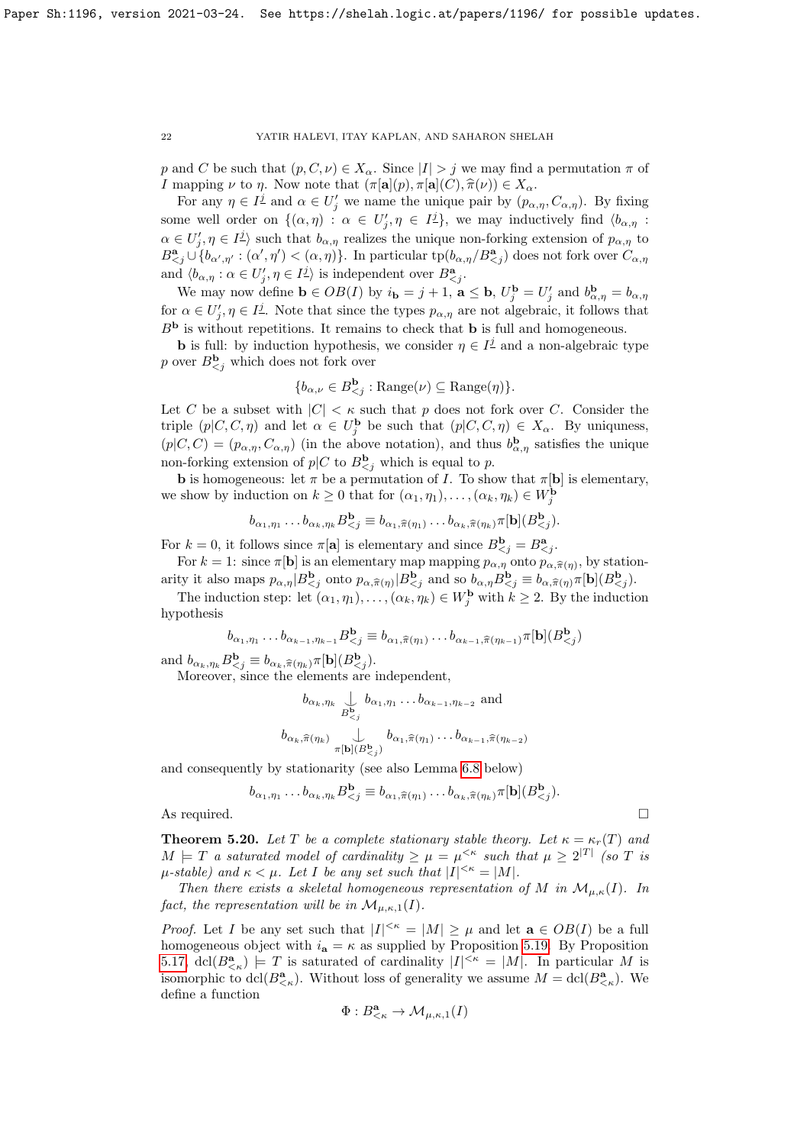p and C be such that  $(p, C, \nu) \in X_\alpha$ . Since  $|I| > j$  we may find a permutation  $\pi$  of *I* mapping  $\nu$  to  $\eta$ . Now note that  $(\pi[a](p), \pi[a](C), \hat{\pi}(\nu)) \in X_\alpha$ .

For any  $\eta \in I^{\underline{j}}$  and  $\alpha \in U_j'$  we name the unique pair by  $(p_{\alpha,\eta}, C_{\alpha,\eta})$ . By fixing some well order on  $\{(\alpha,\eta) : \alpha \in U'_j, \eta \in I^{\underline{j}}\}$ , we may inductively find  $\langle b_{\alpha,\eta}$ :  $\alpha \in U'_j, \eta \in I^{\underline{j}}$  such that  $b_{\alpha,\eta}$  realizes the unique non-forking extension of  $p_{\alpha,\eta}$  to  $B^{\mathbf{a}}_{\leq j} \cup \{b_{\alpha',\eta'} : (\alpha',\eta') < (\alpha,\eta)\}\.$  In particular  $\text{tp}(b_{\alpha,\eta}/B^{\mathbf{a}}_{\leq j})$  does not fork over  $C_{\alpha,\eta}$ and  $\langle b_{\alpha,\eta} : \alpha \in U'_j, \eta \in I^{\underline{j}} \rangle$  is independent over  $B^{\mathbf{a}}_{\leq j}$ .

We may now define  $\mathbf{b} \in OB(I)$  by  $i_{\mathbf{b}} = j + 1$ ,  $\mathbf{a} \leq \mathbf{b}$ ,  $U_j^{\mathbf{b}} = U_j'$  and  $b_{\alpha,\eta}^{\mathbf{b}} = b_{\alpha,\eta}$ for  $\alpha \in U_j', \eta \in I^{\underline{j}}$ . Note that since the types  $p_{\alpha,\eta}$  are not algebraic, it follows that  $B<sup>b</sup>$  is without repetitions. It remains to check that **b** is full and homogeneous.

**b** is full: by induction hypothesis, we consider  $\eta \in I^{\underline{j}}$  and a non-algebraic type p over  $B_{\leq j}^{\mathbf{b}}$  which does not fork over

$$
{b_{\alpha,\nu} \in B_{.
$$

Let C be a subset with  $|C| < \kappa$  such that p does not fork over C. Consider the triple  $(p|C, C, \eta)$  and let  $\alpha \in U_j^{\mathbf{b}}$  be such that  $(p|C, C, \eta) \in X_\alpha$ . By uniquness,  $(p|C, C) = (p_{\alpha, \eta}, C_{\alpha, \eta})$  (in the above notation), and thus  $b^{\mathbf{b}}_{\alpha, \eta}$  satisfies the unique non-forking extension of  $p|C$  to  $B_{\leq j}^{\mathbf{b}}$  which is equal to p.

**b** is homogeneous: let  $\pi$  be a permutation of I. To show that  $\pi[\mathbf{b}]$  is elementary, we show by induction on  $k \geq 0$  that for  $(\alpha_1, \eta_1), \ldots, (\alpha_k, \eta_k) \in W_j^{\mathbf{b}}$ 

$$
b_{\alpha_1,\eta_1}\dots b_{\alpha_k,\eta_k}B^{\mathbf{b}}_{\leq j}\equiv b_{\alpha_1,\widehat{\pi}(\eta_1)}\dots b_{\alpha_k,\widehat{\pi}(\eta_k)}\pi[\mathbf{b}](B^{\mathbf{b}}_{\leq j}).
$$

For  $k = 0$ , it follows since  $\pi[\mathbf{a}]$  is elementary and since  $B_{\leq j}^{\mathbf{b}} = B_{\leq j}^{\mathbf{a}}$ .

For  $k = 1$ : since  $\pi[\mathbf{b}]$  is an elementary map mapping  $p_{\alpha,\eta}$  onto  $p_{\alpha,\widehat{\pi}(\eta)}$ , by stationarity it also maps  $p_{\alpha,\eta} | B^{\mathbf{b}}_{\leq j}$  onto  $p_{\alpha,\widehat{\pi}(\eta)} | B^{\mathbf{b}}_{\leq j}$  and so  $b_{\alpha,\eta} B^{\mathbf{b}}_{\leq j} \equiv b_{\alpha,\widehat{\pi}(\eta)} \pi[\mathbf{b}] (B^{\mathbf{b}}_{\leq j})$ .

The induction step: let  $(\alpha_1, \eta_1), \ldots, (\alpha_k, \eta_k) \in W_j^{\mathbf{b}}$  with  $k \geq 2$ . By the induction hypothesis

$$
b_{\alpha_1,\eta_1}\dots b_{\alpha_{k-1},\eta_{k-1}}B^{\mathbf{b}}_{\leq j}\equiv b_{\alpha_1,\widehat{\pi}(\eta_1)}\dots b_{\alpha_{k-1},\widehat{\pi}(\eta_{k-1})}\pi[\mathbf{b}](B^{\mathbf{b}}_{\leq j})
$$

and  $b_{\alpha_k, \eta_k} B_{\zeta_j}^{\mathbf{b}} \equiv b_{\alpha_k, \widehat{\pi}(\eta_k)} \pi[\mathbf{b}](B_{\zeta_j}^{\mathbf{b}})$ .

Moreover, since the elements are independent,

$$
b_{\alpha_k, \eta_k} \bigcup_{B_{  

$$
b_{\alpha_k, \widehat{\pi}(\eta_k)} \bigcup_{\pi[\mathbf{b}](B_{
$$
$$

and consequently by stationarity (see also Lemma [6.8](#page-26-0) below)

$$
b_{\alpha_1,\eta_1}\dots b_{\alpha_k,\eta_k}B^{\mathbf{b}}_{\leq j}\equiv b_{\alpha_1,\widehat{\pi}(\eta_1)}\dots b_{\alpha_k,\widehat{\pi}(\eta_k)}\pi[\mathbf{b}](B^{\mathbf{b}}_{\leq j}).
$$

As required.

<span id="page-21-0"></span>**Theorem 5.20.** Let T be a complete stationary stable theory. Let  $\kappa = \kappa_r(T)$  and  $M \models T$  a saturated model of cardinality  $\geq \mu = \mu^{<\kappa}$  such that  $\mu \geq 2^{|T|}$  (so T is  $\mu$ -stable) and  $\kappa < \mu$ . Let I be any set such that  $|I|^{<\kappa} = |M|$ .

Then there exists a skeletal homogeneous representation of M in  $\mathcal{M}_{\mu,\kappa}(I)$ . In fact, the representation will be in  $\mathcal{M}_{\mu,\kappa,1}(I)$ .

*Proof.* Let I be any set such that  $|I|^{<\kappa} = |M| \geq \mu$  and let  $\mathbf{a} \in OB(I)$  be a full homogeneous object with  $i_a = \kappa$  as supplied by Proposition [5.19.](#page-20-0) By Proposition [5.17,](#page-19-2) dcl $(B_{\leq \kappa}^{\mathbf{a}}) \models T$  is saturated of cardinality  $|I|^{<\kappa} = |M|$ . In particular M is isomorphic to  $\text{dcl}(B^{\mathbf{a}}_{\leq \kappa})$ . Without loss of generality we assume  $M = \text{dcl}(B^{\mathbf{a}}_{\leq \kappa})$ . We define a function

$$
\Phi:B^{\mathbf{a}}_{<\kappa}\to \mathcal{M}_{\mu,\kappa,1}(I)
$$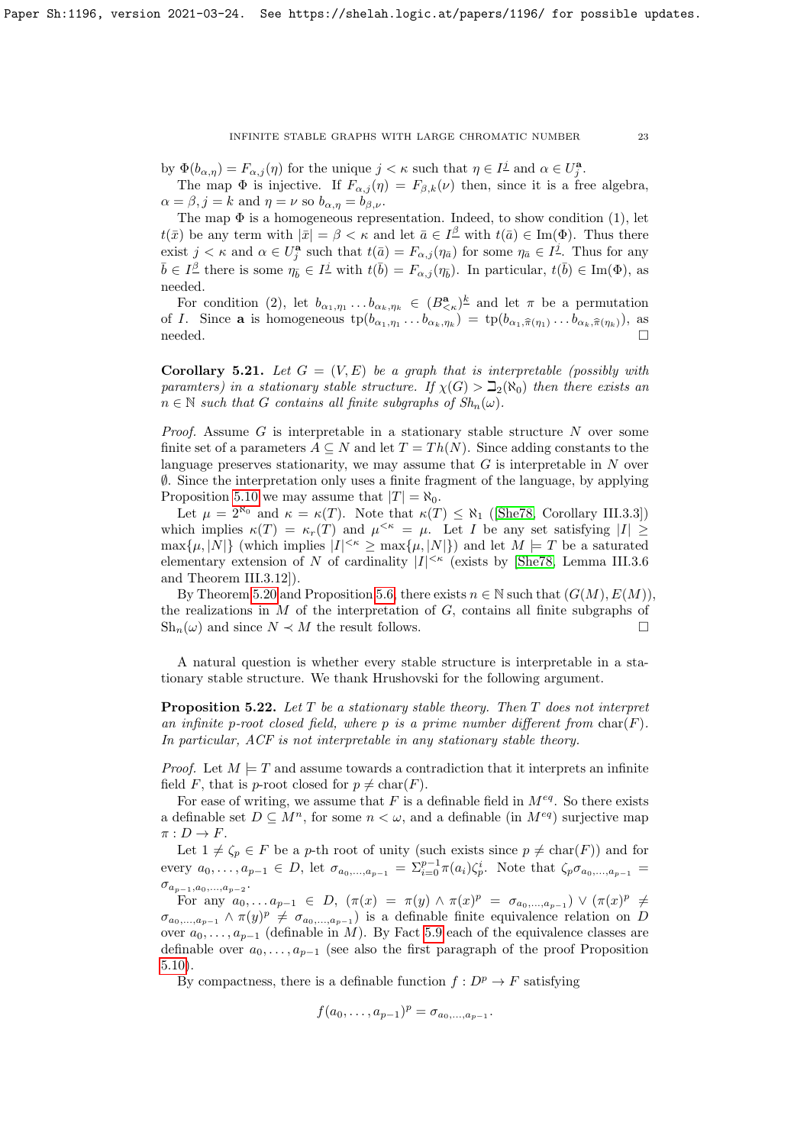by  $\Phi(b_{\alpha,\eta}) = F_{\alpha,j}(\eta)$  for the unique  $j < \kappa$  such that  $\eta \in I^{\underline{j}}$  and  $\alpha \in U^{\mathbf{a}}_{\underline{j}}$ .

The map  $\Phi$  is injective. If  $F_{\alpha,j}(\eta) = F_{\beta,k}(\nu)$  then, since it is a free algebra,  $\alpha = \beta, j = k$  and  $\eta = \nu$  so  $b_{\alpha, \eta} = b_{\beta, \nu}$ .

The map  $\Phi$  is a homogeneous representation. Indeed, to show condition (1), let  $t(\bar{x})$  be any term with  $|\bar{x}| = \beta < \kappa$  and let  $\bar{a} \in I^{\underline{\beta}}$  with  $t(\bar{a}) \in \text{Im}(\Phi)$ . Thus there exist  $j < \kappa$  and  $\alpha \in U_j^{\mathbf{a}}$  such that  $t(\bar{a}) = F_{\alpha,j}(\eta_{\bar{a}})$  for some  $\eta_{\bar{a}} \in I^{\underline{j}}$ . Thus for any  $\bar{b} \in I^{\underline{\beta}}$  there is some  $\eta_{\bar{b}} \in I^{\underline{j}}$  with  $t(\bar{b}) = F_{\alpha,j}(\eta_{\bar{b}})$ . In particular,  $t(\bar{b}) \in \text{Im}(\Phi)$ , as needed.

For condition (2), let  $b_{\alpha_1,\eta_1} \ldots b_{\alpha_k,\eta_k} \in (B_{\leq \kappa}^{\mathbf{a}})^{\underline{k}}$  and let  $\pi$  be a permutation of *I*. Since **a** is homogeneous  $tp(b_{\alpha_1,\eta_1} \ldots b_{\alpha_k,\eta_k}) = tp(b_{\alpha_1,\widehat{\pi}(\eta_1)} \ldots b_{\alpha_k,\widehat{\pi}(\eta_k)})$ , as needed.

<span id="page-22-0"></span>**Corollary 5.21.** Let  $G = (V, E)$  be a graph that is interpretable (possibly with paramters) in a stationary stable structure. If  $\chi(G) > \mathbb{Z}_2(\aleph_0)$  then there exists an  $n \in \mathbb{N}$  such that G contains all finite subgraphs of  $Sh_n(\omega)$ .

*Proof.* Assume G is interpretable in a stationary stable structure N over some finite set of a parameters  $A \subseteq N$  and let  $T = Th(N)$ . Since adding constants to the language preserves stationarity, we may assume that  $G$  is interpretable in  $N$  over ∅. Since the interpretation only uses a finite fragment of the language, by applying Proposition [5.10](#page-17-1) we may assume that  $|T| = \aleph_0$ .

Let  $\mu = 2^{\aleph_0}$  and  $\kappa = \kappa(T)$ . Note that  $\kappa(T) \leq \aleph_1$  ([\[She78,](#page-28-19) Corollary III.3.3]) which implies  $\kappa(T) = \kappa_r(T)$  and  $\mu^{<\kappa} = \mu$ . Let I be any set satisfying  $|I| \geq$  $\max\{\mu, |N|\}$  (which implies  $|I|^{<\kappa} \geq \max\{\mu, |N|\}$ ) and let  $M \models T$  be a saturated elementary extension of N of cardinality  $|I|^{<\kappa}$  (exists by [\[She78,](#page-28-19) Lemma III.3.6 and Theorem III.3.12]).

By Theorem [5.20](#page-21-0) and Proposition [5.6,](#page-16-1) there exists  $n \in \mathbb{N}$  such that  $(G(M), E(M))$ , the realizations in  $M$  of the interpretation of  $G$ , contains all finite subgraphs of  $\mathrm{Sh}_n(\omega)$  and since  $N \prec M$  the result follows.

A natural question is whether every stable structure is interpretable in a stationary stable structure. We thank Hrushovski for the following argument.

<span id="page-22-1"></span>**Proposition 5.22.** Let  $T$  be a stationary stable theory. Then  $T$  does not interpret an infinite p-root closed field, where p is a prime number different from  $char(F)$ . In particular, ACF is not interpretable in any stationary stable theory.

*Proof.* Let  $M \models T$  and assume towards a contradiction that it interprets an infinite field F, that is p-root closed for  $p \neq \text{char}(F)$ .

For ease of writing, we assume that F is a definable field in  $M^{eq}$ . So there exists a definable set  $D \subseteq M^n$ , for some  $n < \omega$ , and a definable (in  $M^{eq}$ ) surjective map  $\pi: D \to F$ .

Let  $1 \neq \zeta_p \in F$  be a p-th root of unity (such exists since  $p \neq \text{char}(F)$ ) and for every  $a_0, \ldots, a_{p-1} \in D$ , let  $\sigma_{a_0, \ldots, a_{p-1}} = \sum_{i=0}^{p-1} \pi(a_i) \zeta_p^i$ . Note that  $\zeta_p \sigma_{a_0, \ldots, a_{p-1}} =$  $\sigma_{a_{p-1},a_0,...,a_{p-2}}.$ 

For any  $a_0, \ldots a_{p-1} \in D$ ,  $(\pi(x) = \pi(y) \land \pi(x)^p = \sigma_{a_0, \ldots, a_{p-1}}) \lor (\pi(x)^p \neq$  $\sigma_{a_0,...,a_{p-1}} \wedge \pi(y)^p \neq \sigma_{a_0,...,a_{p-1}}$  is a definable finite equivalence relation on D over  $a_0, \ldots, a_{p-1}$  (definable in M). By Fact [5.9](#page-17-0) each of the equivalence classes are definable over  $a_0, \ldots, a_{p-1}$  (see also the first paragraph of the proof Proposition [5.10\)](#page-17-1).

By compactness, there is a definable function  $f : D^p \to F$  satisfying

$$
f(a_0,\ldots,a_{p-1})^p = \sigma_{a_0,\ldots,a_{p-1}}.
$$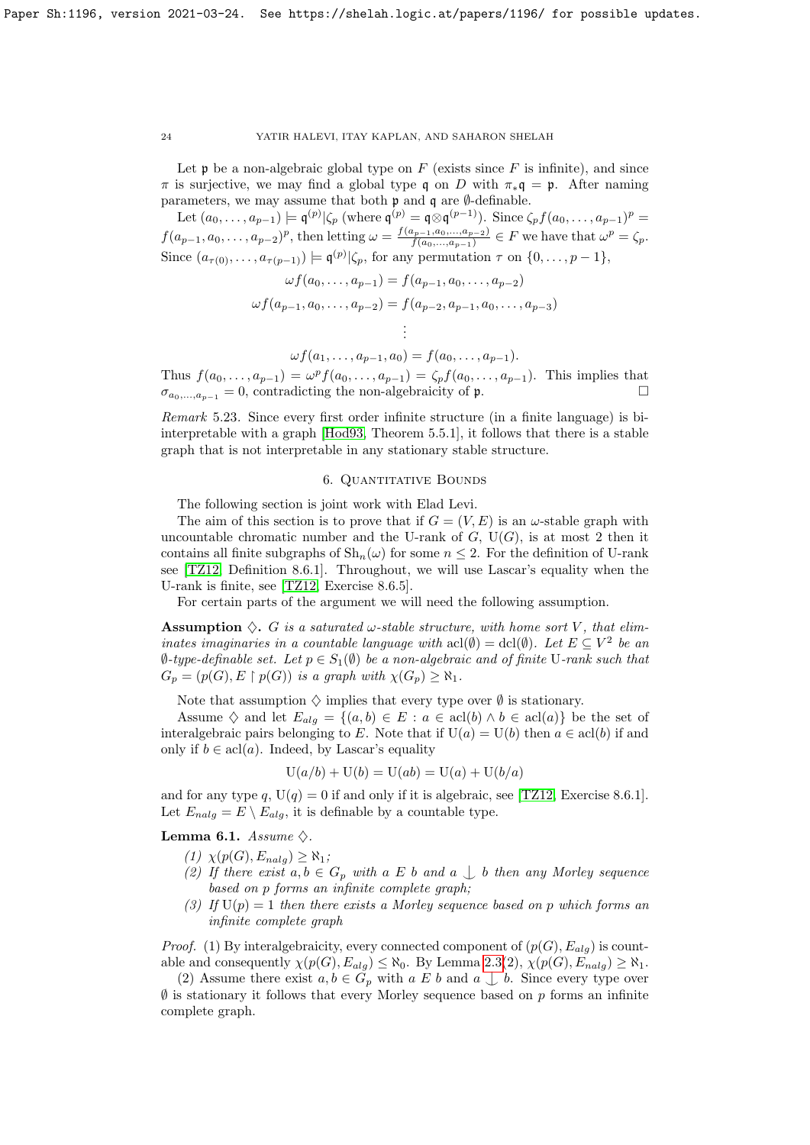Let  $\mathfrak p$  be a non-algebraic global type on  $F$  (exists since  $F$  is infinite), and since  $\pi$  is surjective, we may find a global type q on D with  $\pi_*\mathfrak{q} = \mathfrak{p}$ . After naming parameters, we may assume that both p and q are ∅-definable.

Let  $(a_0, \ldots, a_{p-1}) \models \mathfrak{q}^{(p)} | \zeta_p \text{ (where } \mathfrak{q}^{(p)} = \mathfrak{q} \otimes \mathfrak{q}^{(p-1)}).$  Since  $\zeta_p f(a_0, \ldots, a_{p-1})^p =$  $f(a_{p-1}, a_0, \ldots, a_{p-2})^p$ , then letting  $\omega = \frac{f(a_{p-1}, a_0, \ldots, a_{p-2})}{f(a_0, \ldots, a_{p-1})}$  $\frac{f(a_0,\ldots,a_{p-2})}{f(a_0,\ldots,a_{p-1})} \in F$  we have that  $\omega^p = \zeta_p$ . Since  $(a_{\tau(0)},...,a_{\tau(p-1)}) \models \mathfrak{q}^{(p)} | \zeta_p$ , for any permutation  $\tau$  on  $\{0,\ldots,p-1\}$ ,

$$
\omega f(a_0, \dots, a_{p-1}) = f(a_{p-1}, a_0, \dots, a_{p-2})
$$
  

$$
\omega f(a_{p-1}, a_0, \dots, a_{p-2}) = f(a_{p-2}, a_{p-1}, a_0, \dots, a_{p-3})
$$
  

$$
\vdots
$$

 $\omega f(a_1, \ldots, a_{p-1}, a_0) = f(a_0, \ldots, a_{p-1}).$ Thus  $f(a_0, ..., a_{p-1}) = \omega^p f(a_0, ..., a_{p-1}) = \zeta_p f(a_0, ..., a_{p-1})$ . This implies that  $\sigma_{a_0,...,a_{p-1}} = 0$ , contradicting the non-algebraicity of p.

.

Remark 5.23. Since every first order infinite structure (in a finite language) is biinterpretable with a graph [\[Hod93,](#page-28-16) Theorem 5.5.1], it follows that there is a stable graph that is not interpretable in any stationary stable structure.

## 6. QUANTITATIVE BOUNDS

The following section is joint work with Elad Levi.

The aim of this section is to prove that if  $G = (V, E)$  is an  $\omega$ -stable graph with uncountable chromatic number and the U-rank of  $G$ ,  $U(G)$ , is at most 2 then it contains all finite subgraphs of  $\mathrm{Sh}_n(\omega)$  for some  $n \leq 2$ . For the definition of U-rank see [\[TZ12,](#page-28-10) Definition 8.6.1]. Throughout, we will use Lascar's equality when the U-rank is finite, see [\[TZ12,](#page-28-10) Exercise 8.6.5].

For certain parts of the argument we will need the following assumption.

**Assumption**  $\diamondsuit$ . G is a saturated  $\omega$ -stable structure, with home sort V, that eliminates imaginaries in a countable language with  $\text{acl}(\emptyset) = \text{dcl}(\emptyset)$ . Let  $E \subseteq V^2$  be an  $\emptyset$ -type-definable set. Let  $p \in S_1(\emptyset)$  be a non-algebraic and of finite U-rank such that  $G_p = (p(G), E \restriction p(G))$  is a graph with  $\chi(G_p) \geq \aleph_1$ .

Note that assumption  $\diamond$  implies that every type over  $\emptyset$  is stationary.

Assume  $\diamondsuit$  and let  $E_{alg} = \{(a, b) \in E : a \in \text{acl}(b) \land b \in \text{acl}(a)\}\)$  be the set of interalgebraic pairs belonging to E. Note that if  $U(a) = U(b)$  then  $a \in \text{acl}(b)$  if and only if  $b \in \text{acl}(a)$ . Indeed, by Lascar's equality

$$
U(a/b) + U(b) = U(ab) = U(a) + U(b/a)
$$

and for any type q,  $U(q) = 0$  if and only if it is algebraic, see [\[TZ12,](#page-28-10) Exercise 8.6.1]. Let  $E_{nala} = E \setminus E_{ala}$ , it is definable by a countable type.

<span id="page-23-0"></span>Lemma 6.1. Assume  $\diamondsuit$ .

- $(1)$   $\chi(p(G), E_{nalg}) \geq \aleph_1;$
- (2) If there exist  $a, b \in G_p$  with a E b and a  $\bigcup b$  then any Morley sequence based on p forms an infinite complete graph;
- (3) If  $U(p) = 1$  then there exists a Morley sequence based on p which forms an infinite complete graph

*Proof.* (1) By interalgebraicity, every connected component of  $(p(G), E_{alg})$  is countable and consequently  $\chi(p(G), E_{alg}) \leq \aleph_0$ . By Lemma [2.3\(](#page-2-1)2),  $\chi(p(G), E_{nalg}) \geq \aleph_1$ .

(2) Assume there exist  $a, b \in G_p$  with  $a \not\sqsubseteq b$  and  $a \not\sqcup b$ . Since every type over  $\emptyset$  is stationary it follows that every Morley sequence based on p forms an infinite complete graph.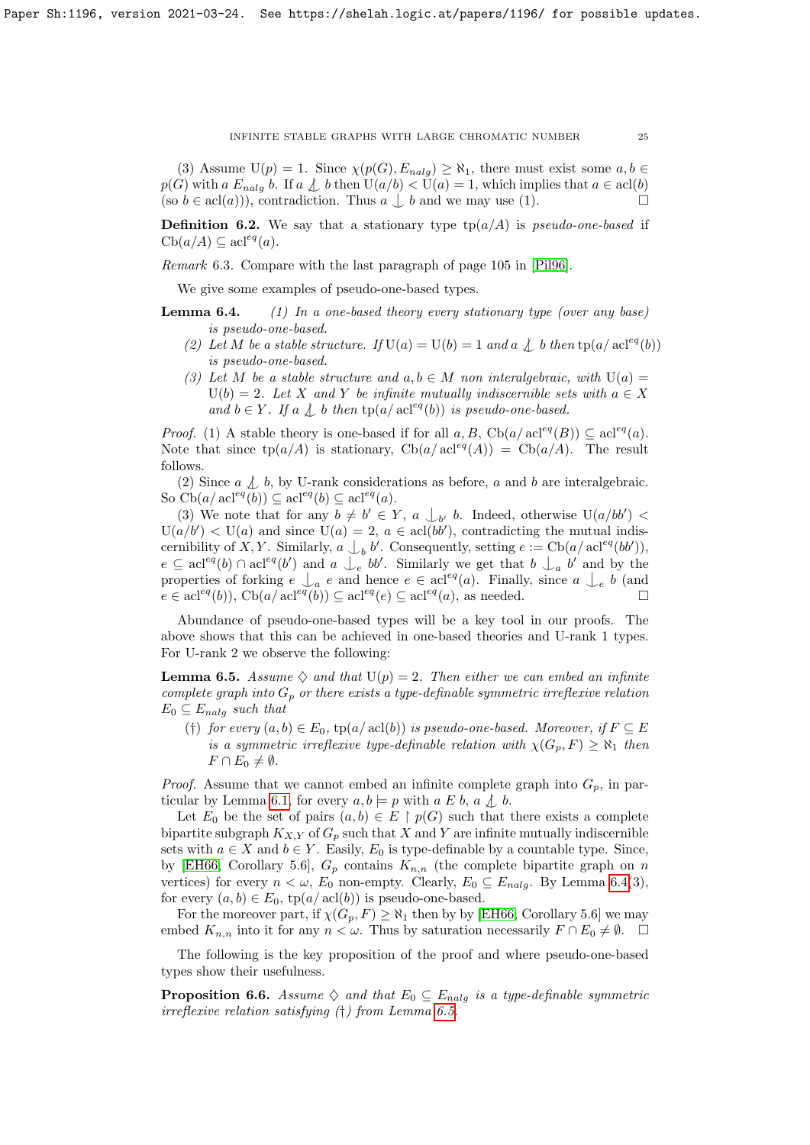(3) Assume  $U(p) = 1$ . Since  $\chi(p(G), E_{nalg}) \geq \aleph_1$ , there must exist some  $a, b \in$  $p(G)$  with a  $E_{nalg}$  b. If a  $\perp b$  then  $U(a/b) < U(a) = 1$ , which implies that  $a \in \text{acl}(b)$ (so  $b \in \text{acl}(a)$ ), contradiction. Thus  $a \bigcup b$  and we may use (1).

**Definition 6.2.** We say that a stationary type  $\text{tp}(a/A)$  is *pseudo-one-based* if  $\mathrm{Cb}(a/A)\subseteq \mathrm{acl}^{eq}(a).$ 

Remark 6.3. Compare with the last paragraph of page 105 in [\[Pil96\]](#page-28-20).

We give some examples of pseudo-one-based types.

<span id="page-24-0"></span>**Lemma 6.4.** (1) In a one-based theory every stationary type (over any base) is pseudo-one-based.

- (2) Let M be a stable structure. If  $U(a) = U(b) = 1$  and a  $\downarrow$  b then tp(a/acl<sup>eq</sup>(b)) is pseudo-one-based.
- (3) Let M be a stable structure and  $a, b \in M$  non interalgebraic, with  $U(a) =$  $U(b) = 2$ . Let X and Y be infinite mutually indiscernible sets with  $a \in X$ and  $b \in Y$ . If a  $\bigwedge b$  then tp(a/ acl<sup>eq</sup>(b)) is pseudo-one-based.

*Proof.* (1) A stable theory is one-based if for all a, B,  $Ch(a/ \text{acl}^{eq}(B)) \subseteq \text{acl}^{eq}(a)$ . Note that since  $tp(a/A)$  is stationary,  $Cb(a/acl<sup>eq</sup>(A)) = Cb(a/A)$ . The result follows.

(2) Since  $a \nleq b$ , by U-rank considerations as before, a and b are interalgebraic. So  $\text{Cb}(a/\operatorname{acl}^{eq}(b)) \subseteq \operatorname{acl}^{eq}(b) \subseteq \operatorname{acl}^{eq}(a)$ .

(3) We note that for any  $b \neq b' \in Y$ ,  $a \bigcup_{b'} b$ . Indeed, otherwise  $U(a/bb') <$  $U(a/b') < U(a)$  and since  $U(a) = 2$ ,  $a \in \text{acl}(bb')$ , contradicting the mutual indiscernibility of X, Y. Similarly,  $a \bigcup_b b'$ . Consequently, setting  $e := \text{Cb}(a/\text{acl}^{eq}(bb'))$ ,  $e \subseteq \operatorname{acl}^{eq}(b) \cap \operatorname{acl}^{eq}(b')$  and  $a \bigcup_{e}^{\bullet} bb'$ . Similarly we get that  $b \bigcup_{a}^{\bullet} b'$  and by the properties of forking  $e \bigcup_a e$  and hence  $e \in \text{acl}^{eq}(a)$ . Finally, since  $a \bigcup_e b$  (and  $e \in \text{acl}^{eq}(b)$ ,  $\text{Cb}(a/\text{acl}^{eq}(b)) \subseteq \text{acl}^{eq}(e) \subseteq \text{acl}^{eq}(a)$ , as needed.

Abundance of pseudo-one-based types will be a key tool in our proofs. The above shows that this can be achieved in one-based theories and U-rank 1 types. For U-rank 2 we observe the following:

<span id="page-24-1"></span>**Lemma 6.5.** Assume  $\diamondsuit$  and that  $U(p) = 2$ . Then either we can embed an infinite complete graph into  $G_p$  or there exists a type-definable symmetric irreflexive relation  $E_0 \subseteq E_{nalg}$  such that

(†) for every  $(a, b) \in E_0$ ,  $tp(a/\operatorname{acl}(b))$  is pseudo-one-based. Moreover, if  $F \subseteq E$ is a symmetric irreflexive type-definable relation with  $\chi(G_p, F) \geq \aleph_1$  then  $F \cap E_0 \neq \emptyset$ .

*Proof.* Assume that we cannot embed an infinite complete graph into  $G_p$ , in par-ticular by Lemma [6.1,](#page-23-0) for every  $a, b \models p$  with  $a \not\sqsubseteq b$ ,  $a \not\downarrow b$ .

Let  $E_0$  be the set of pairs  $(a, b) \in E \restriction p(G)$  such that there exists a complete bipartite subgraph  $K_{X,Y}$  of  $G_p$  such that X and Y are infinite mutually indiscernible sets with  $a \in X$  and  $b \in Y$ . Easily,  $E_0$  is type-definable by a countable type. Since, by [\[EH66,](#page-28-0) Corollary 5.6],  $G_p$  contains  $K_{n,n}$  (the complete bipartite graph on n vertices) for every  $n < \omega$ ,  $E_0$  non-empty. Clearly,  $E_0 \subseteq E_{nalg}$ . By Lemma [6.4\(](#page-24-0)3), for every  $(a, b) \in E_0$ ,  $tp(a/\operatorname{acl}(b))$  is pseudo-one-based.

For the moreover part, if  $\chi(G_p, F) \geq \aleph_1$  then by by [\[EH66,](#page-28-0) Corollary 5.6] we may embed  $K_{n,n}$  into it for any  $n < \omega$ . Thus by saturation necessarily  $F \cap E_0 \neq \emptyset$ .  $\Box$ 

The following is the key proposition of the proof and where pseudo-one-based types show their usefulness.

<span id="page-24-2"></span>**Proposition 6.6.** Assume  $\diamondsuit$  and that  $E_0 \subseteq E_{nalg}$  is a type-definable symmetric irreflexive relation satisfying (†) from Lemma [6.5.](#page-24-1)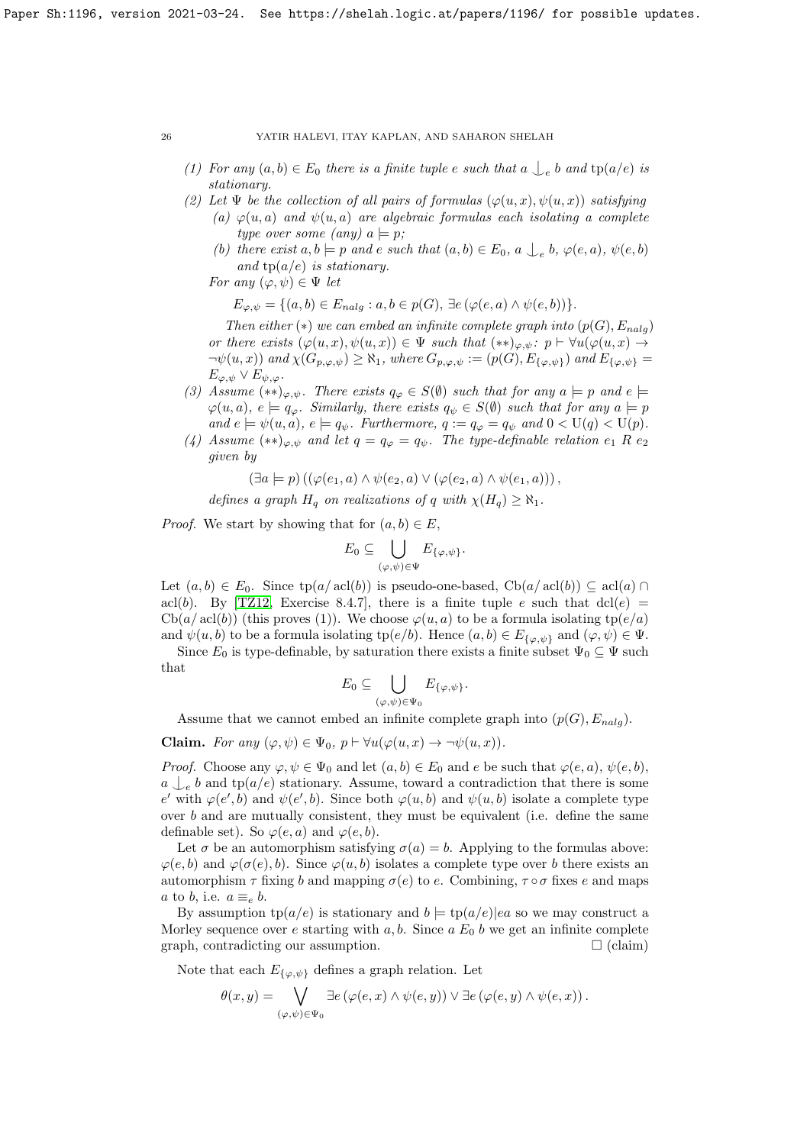- (1) For any  $(a, b) \in E_0$  there is a finite tuple e such that  $a \bigcup_{e} b$  and  $tp(a/e)$  is stationary.
- (2) Let  $\Psi$  be the collection of all pairs of formulas  $(\varphi(u, x), \psi(u, x))$  satisfying
	- (a)  $\varphi(u, a)$  and  $\psi(u, a)$  are algebraic formulas each isolating a complete type over some (any)  $a \models p$ ;
	- (b) there exist  $a, b \models p$  and  $e$  such that  $(a, b) \in E_0$ ,  $a \bigcup_{e} b$ ,  $\varphi(e, a)$ ,  $\psi(e, b)$ and  $tp(a/e)$  is stationary.
	- For any  $(\varphi, \psi) \in \Psi$  let

 $E_{\varphi,\psi} = \{(a,b) \in E_{nalg} : a,b \in p(G), \exists e (\varphi(e,a) \wedge \psi(e,b))\}.$ 

Then either (\*) we can embed an infinite complete graph into  $(p(G), E_{nalo})$ or there exists  $(\varphi(u, x), \psi(u, x)) \in \Psi$  such that  $(**)_{\varphi, \psi}$ :  $p \vdash \forall u (\varphi(u, x) \rightarrow$  $\neg\psi(u, x)$  and  $\chi(G_{p, \varphi, \psi}) \geq \aleph_1$ , where  $G_{p, \varphi, \psi} := (p(G), E_{\{\varphi, \psi\}})$  and  $E_{\{\varphi, \psi\}} =$  $E_{\varphi,\psi} \vee E_{\psi,\varphi}.$ 

- (3) Assume  $(**)_{\varphi,\psi}$ . There exists  $q_{\varphi} \in S(\emptyset)$  such that for any  $a \models p$  and  $e \models$  $\varphi(u, a), e \models q_{\varphi}$ . Similarly, there exists  $q_{\psi} \in S(\emptyset)$  such that for any  $a \models p$ and  $e \models \psi(u, a), e \models q_{\psi}$ . Furthermore,  $q := q_{\varphi} = q_{\psi}$  and  $0 < U(q) < U(p)$ .
- (4) Assume  $(**)_{\varphi,\psi}$  and let  $q = q_{\varphi} = q_{\psi}$ . The type-definable relation  $e_1$  R  $e_2$ given by

$$
(\exists a \models p) ((\varphi(e_1, a) \land \psi(e_2, a) \lor (\varphi(e_2, a) \land \psi(e_1, a)))
$$

defines a graph  $H_q$  on realizations of q with  $\chi(H_q) \geq \aleph_1$ .

*Proof.* We start by showing that for  $(a, b) \in E$ ,

$$
E_0 \subseteq \bigcup_{(\varphi,\psi)\in \Psi} E_{\{\varphi,\psi\}}.
$$

Let  $(a, b) \in E_0$ . Since  $tp(a/acl(b))$  is pseudo-one-based,  $Cb(a/acl(b)) \subseteq acl(a) \cap$ acl(b). By [\[TZ12,](#page-28-10) Exercise 8.4.7], there is a finite tuple e such that  $dcl(e)$  =  $\text{Cb}(a/\text{acl}(b))$  (this proves (1)). We choose  $\varphi(u, a)$  to be a formula isolating tp( $e/a$ ) and  $\psi(u, b)$  to be a formula isolating tp $(e/b)$ . Hence  $(a, b) \in E_{\{\varphi, \psi\}}$  and  $(\varphi, \psi) \in \Psi$ .

Since  $E_0$  is type-definable, by saturation there exists a finite subset  $\Psi_0 \subseteq \Psi$  such that

$$
E_0 \subseteq \bigcup_{(\varphi,\psi)\in \Psi_0} E_{\{\varphi,\psi\}}.
$$

Assume that we cannot embed an infinite complete graph into  $(p(G), E_{nalg})$ .

**Claim.** For any  $(\varphi, \psi) \in \Psi_0$ ,  $p \vdash \forall u(\varphi(u, x) \rightarrow \neg \psi(u, x))$ .

*Proof.* Choose any  $\varphi, \psi \in \Psi_0$  and let  $(a, b) \in E_0$  and e be such that  $\varphi(e, a), \psi(e, b)$ ,  $a \n\downarrow_e b$  and tp( $a/e$ ) stationary. Assume, toward a contradiction that there is some e' with  $\varphi(e',b)$  and  $\psi(e',b)$ . Since both  $\varphi(u,b)$  and  $\psi(u,b)$  isolate a complete type over  $b$  and are mutually consistent, they must be equivalent (i.e. define the same definable set). So  $\varphi(e, a)$  and  $\varphi(e, b)$ .

Let  $\sigma$  be an automorphism satisfying  $\sigma(a) = b$ . Applying to the formulas above:  $\varphi(e, b)$  and  $\varphi(\sigma(e), b)$ . Since  $\varphi(u, b)$  isolates a complete type over b there exists an automorphism  $\tau$  fixing b and mapping  $\sigma(e)$  to e. Combining,  $\tau \circ \sigma$  fixes e and maps a to b, i.e.  $a \equiv_e b$ .

By assumption  $tp(a/e)$  is stationary and  $b \models tp(a/e)|ea$  so we may construct a Morley sequence over e starting with  $a, b$ . Since  $a E_0 b$  we get an infinite complete graph, contradicting our assumption.  $\Box$  (claim)

Note that each  $E_{\{\varphi,\psi\}}$  defines a graph relation. Let

$$
\theta(x,y) = \bigvee_{(\varphi,\psi)\in\Psi_0} \exists e\left(\varphi(e,x)\wedge\psi(e,y)\right) \vee \exists e\left(\varphi(e,y)\wedge\psi(e,x)\right).
$$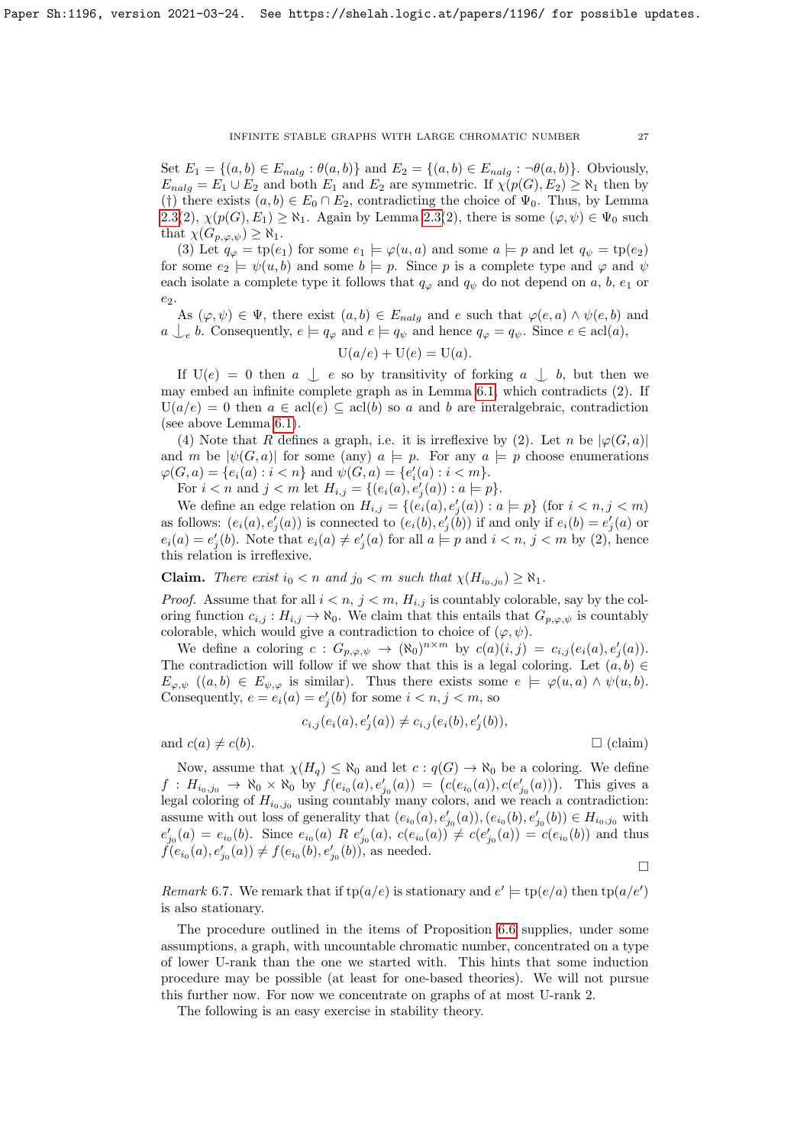Set  $E_1 = \{(a, b) \in E_{nalg} : \theta(a, b)\}\$  and  $E_2 = \{(a, b) \in E_{nalg} : \neg \theta(a, b)\}\$ . Obviously,  $E_{nalg} = E_1 \cup E_2$  and both  $E_1$  and  $E_2$  are symmetric. If  $\chi(p(G), E_2) \geq \aleph_1$  then by (†) there exists  $(a, b) \in E_0 \cap E_2$ , contradicting the choice of  $\Psi_0$ . Thus, by Lemma [2.3\(](#page-2-1)2),  $\chi(p(G), E_1) \geq \aleph_1$ . Again by Lemma [2.3\(](#page-2-1)2), there is some  $(\varphi, \psi) \in \Psi_0$  such that  $\chi(G_{p,\varphi,\psi}) \geq \aleph_1$ .

(3) Let  $q_{\varphi} = \text{tp}(e_1)$  for some  $e_1 \models \varphi(u, a)$  and some  $a \models p$  and let  $q_{\psi} = \text{tp}(e_2)$ for some  $e_2 \models \psi(u, b)$  and some  $b \models p$ . Since p is a complete type and  $\varphi$  and  $\psi$ each isolate a complete type it follows that  $q_{\varphi}$  and  $q_{\psi}$  do not depend on a, b,  $e_1$  or  $e_2$ .

As  $(\varphi, \psi) \in \Psi$ , there exist  $(a, b) \in E_{nalg}$  and e such that  $\varphi(e, a) \wedge \psi(e, b)$  and  $a \bigcup_{e} b$ . Consequently,  $e \models q_{\varphi}$  and  $e \models q_{\psi}$  and hence  $q_{\varphi} = q_{\psi}$ . Since  $e \in \text{acl}(a)$ ,

$$
U(a/e) + U(e) = U(a).
$$

If  $U(e) = 0$  then  $a \perp e$  so by transitivity of forking  $a \perp b$ , but then we may embed an infinite complete graph as in Lemma [6.1,](#page-23-0) which contradicts (2). If  $U(a/e) = 0$  then  $a \in \text{acl}(e) \subseteq \text{acl}(b)$  so a and b are interalgebraic, contradiction (see above Lemma [6.1\)](#page-23-0).

(4) Note that R defines a graph, i.e. it is irreflexive by (2). Let n be  $|\varphi(G, a)|$ and m be  $|\psi(G, a)|$  for some (any)  $a \models p$ . For any  $a \models p$  choose enumerations  $\varphi(G, a) = \{e_i(a) : i < n\}$  and  $\psi(G, a) = \{e'_i(a) : i < m\}.$ 

For  $i < n$  and  $j < m$  let  $H_{i,j} = \{(e_i(a), e'_j(a)) : a \models p\}.$ 

We define an edge relation on  $H_{i,j} = \{ (e_i(a), e'_j(a)) : a \models p \}$  (for  $i < n, j < m$ ) as follows:  $(e_i(a), e'_j(a))$  is connected to  $(e_i(b), e'_j(b))$  if and only if  $e_i(b) = e'_j(a)$  or  $e_i(a) = e'_j(b)$ . Note that  $e_i(a) \neq e'_j(a)$  for all  $a \models p$  and  $i < n, j < m$  by (2), hence this relation is irreflexive.

**Claim.** There exist  $i_0 < n$  and  $j_0 < m$  such that  $\chi(H_{i_0,j_0}) \geq \aleph_1$ .

*Proof.* Assume that for all  $i < n$ ,  $j < m$ ,  $H_{i,j}$  is countably colorable, say by the coloring function  $c_{i,j}: H_{i,j} \to \aleph_0$ . We claim that this entails that  $G_{p,\varphi,\psi}$  is countably colorable, which would give a contradiction to choice of  $(\varphi, \psi)$ .

We define a coloring  $c: G_{p,\varphi,\psi} \to (\aleph_0)^{n \times m}$  by  $c(a)(i,j) = c_{i,j}(e_i(a), e'_j(a)).$ The contradiction will follow if we show that this is a legal coloring. Let  $(a, b) \in$  $E_{\varphi,\psi}$   $((a, b) \in E_{\psi,\varphi}$  is similar). Thus there exists some  $e \models \varphi(u, a) \land \psi(u, b)$ . Consequently,  $e = e_i(a) = e'_j(b)$  for some  $i < n, j < m$ , so

$$
c_{i,j}(e_i(a), e'_j(a)) \neq c_{i,j}(e_i(b), e'_j(b)),
$$

and  $c(a) \neq c(b)$ .  $\square$  (claim)

Now, assume that  $\chi(H_q) \leq \aleph_0$  and let  $c : q(G) \to \aleph_0$  be a coloring. We define  $f: H_{i_0,j_0} \to \aleph_0 \times \aleph_0$  by  $f(e_{i_0}(a), e'_{j_0}(a)) = (c(e_{i_0}(a)), c(e'_{j_0}(a)))$ . This gives a legal coloring of  $H_{i_0,j_0}$  using countably many colors, and we reach a contradiction: assume with out loss of generality that  $(e_{i_0}(a), e'_{j_0}(a)), (e_{i_0}(b), e'_{j_0}(b)) \in H_{i_0, j_0}$  with  $e'_{j_0}(a) = e_{i_0}(b)$ . Since  $e_{i_0}(a)$  R  $e'_{j_0}(a)$ ,  $c(e_{i_0}(a)) \neq c(e'_{j_0}(a)) = c(e_{i_0}(b))$  and thus  $\widetilde{f}(e_{i_0}(a), e'_{j_0}(a)) \neq f(e_{i_0}(b), e'_{j_0}(b))$ , as needed.

 $\Box$ 

Remark 6.7. We remark that if  $tp(a/e)$  is stationary and  $e' \models tp(e/a)$  then  $tp(a/e')$ is also stationary.

The procedure outlined in the items of Proposition [6.6](#page-24-2) supplies, under some assumptions, a graph, with uncountable chromatic number, concentrated on a type of lower U-rank than the one we started with. This hints that some induction procedure may be possible (at least for one-based theories). We will not pursue this further now. For now we concentrate on graphs of at most U-rank 2.

<span id="page-26-0"></span>The following is an easy exercise in stability theory.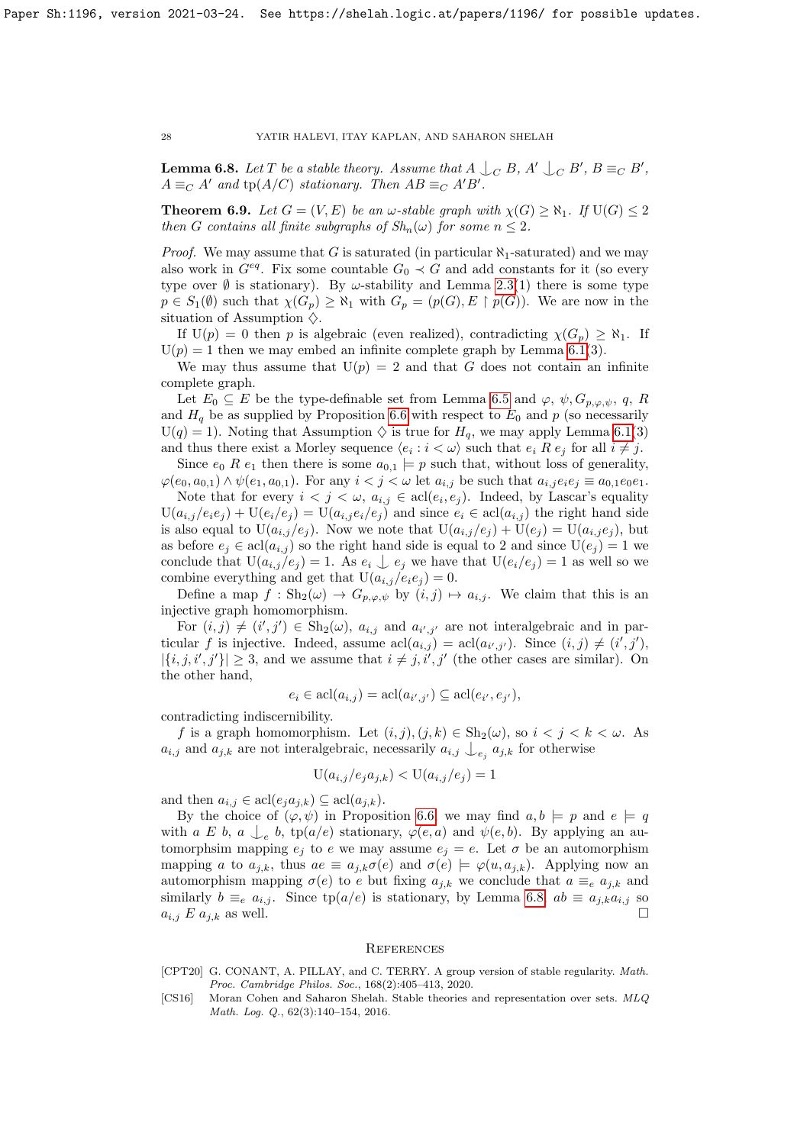**Lemma 6.8.** Let T be a stable theory. Assume that  $A \bigcup_C B$ ,  $A' \bigcup_C B'$ ,  $B \equiv_C B'$ ,  $A \equiv_C A'$  and  $tp(A/C)$  stationary. Then  $AB \equiv_C A'B'$ .

<span id="page-27-1"></span>**Theorem 6.9.** Let  $G = (V, E)$  be an  $\omega$ -stable graph with  $\chi(G) \geq \aleph_1$ . If  $U(G) \leq 2$ then G contains all finite subgraphs of  $Sh_n(\omega)$  for some  $n \leq 2$ .

*Proof.* We may assume that G is saturated (in particular  $\aleph_1$ -saturated) and we may also work in  $G^{eq}$ . Fix some countable  $G_0 \prec G$  and add constants for it (so every type over  $\emptyset$  is stationary). By  $\omega$ -stability and Lemma [2.3\(](#page-2-1)1) there is some type  $p \in S_1(\emptyset)$  such that  $\chi(G_p) \geq \aleph_1$  with  $G_p = (p(G), E \restriction p(G))$ . We are now in the situation of Assumption  $\diamondsuit$ .

If  $U(p) = 0$  then p is algebraic (even realized), contradicting  $\chi(G_p) \geq \aleph_1$ . If  $U(p) = 1$  then we may embed an infinite complete graph by Lemma [6.1\(](#page-23-0)3).

We may thus assume that  $U(p) = 2$  and that G does not contain an infinite complete graph.

Let  $E_0 \subseteq E$  be the type-definable set from Lemma [6.5](#page-24-1) and  $\varphi$ ,  $\psi$ ,  $G_{p,\varphi,\psi}$ , q, R and  $H_q$  be as supplied by Proposition [6.6](#page-24-2) with respect to  $E_0$  and p (so necessarily  $U(q) = 1$ ). Noting that Assumption  $\diamondsuit$  is true for  $H_q$ , we may apply Lemma [6.1\(](#page-23-0)3) and thus there exist a Morley sequence  $\langle e_i : i \langle \omega \rangle$  such that  $e_i R e_j$  for all  $i \neq j$ .

Since  $e_0$  R  $e_1$  then there is some  $a_{0,1} \models p$  such that, without loss of generality,  $\varphi(e_0, a_{0,1}) \wedge \psi(e_1, a_{0,1})$ . For any  $i < j < \omega$  let  $a_{i,j}$  be such that  $a_{i,j}e_ie_j \equiv a_{0,1}e_0e_1$ .

Note that for every  $i < j < \omega$ ,  $a_{i,j} \in \text{acl}(e_i, e_j)$ . Indeed, by Lascar's equality  $U(a_{i,j}/e_ie_j) + U(e_i/e_j) = U(a_{i,j}e_i/e_j)$  and since  $e_i \in \text{acl}(a_{i,j})$  the right hand side is also equal to  $U(a_{i,j}/e_j)$ . Now we note that  $U(a_{i,j}/e_j) + U(e_j) = U(a_{i,j}e_j)$ , but as before  $e_i \in \text{acl}(a_{i,j})$  so the right hand side is equal to 2 and since  $U(e_i) = 1$  we conclude that  $U(a_{i,j}/e_j) = 1$ . As  $e_i \nightharpoondown e_j$  we have that  $U(e_i/e_j) = 1$  as well so we combine everything and get that  $U(a_{i,j}/e_i e_j) = 0$ .

Define a map  $f : Sh_2(\omega) \to G_{p,\varphi,\psi}$  by  $(i,j) \mapsto a_{i,j}$ . We claim that this is an injective graph homomorphism.

For  $(i, j) \neq (i', j') \in Sh_2(\omega)$ ,  $a_{i,j}$  and  $a_{i',j'}$  are not interalgebraic and in particular f is injective. Indeed, assume  $\text{acl}(a_{i,j}) = \text{acl}(a_{i',j'})$ . Since  $(i,j) \neq (i',j')$ ,  $|\{i, j, i', j'\}| \geq 3$ , and we assume that  $i \neq j, i', j'$  (the other cases are similar). On the other hand,

$$
e_i \in \operatorname{acl}(a_{i,j}) = \operatorname{acl}(a_{i',j'}) \subseteq \operatorname{acl}(e_{i'}, e_{j'}),
$$

contradicting indiscernibility.

f is a graph homomorphism. Let  $(i, j), (j, k) \in \mathrm{Sh}_2(\omega)$ , so  $i < j < k < \omega$ . As  $a_{i,j}$  and  $a_{j,k}$  are not interalgebraic, necessarily  $a_{i,j} \nightharpoonup_{e_j} a_{j,k}$  for otherwise

$$
U(a_{i,j}/e_j a_{j,k}) < U(a_{i,j}/e_j) = 1
$$

and then  $a_{i,j} \in \text{acl}(e_j a_{j,k}) \subseteq \text{acl}(a_{j,k}).$ 

By the choice of  $(\varphi, \psi)$  in Proposition [6.6,](#page-24-2) we may find  $a, b \models p$  and  $e \models q$ with a E b, a  $\bigcup_e$  b, tp(a/e) stationary,  $\varphi(e, a)$  and  $\psi(e, b)$ . By applying an automorphsim mapping  $e_j$  to e we may assume  $e_j = e$ . Let  $\sigma$  be an automorphism mapping a to  $a_{i,k}$ , thus  $ae \equiv a_{i,k}\sigma(e)$  and  $\sigma(e) \models \varphi(u, a_{i,k})$ . Applying now an automorphism mapping  $\sigma(e)$  to e but fixing  $a_{i,k}$  we conclude that  $a \equiv_e a_{i,k}$  and similarly  $b \equiv_e a_{i,j}$ . Since tp $(a/e)$  is stationary, by Lemma [6.8,](#page-26-0)  $ab \equiv a_{j,k}a_{i,j}$  so  $a_{i,j} \in a_{i,k}$  as well.  $a_{i,j} \mathrel{E} a_{j,k}$  as well.

## **REFERENCES**

- <span id="page-27-0"></span>[CPT20] G. CONANT, A. PILLAY, and C. TERRY. A group version of stable regularity. Math. Proc. Cambridge Philos. Soc., 168(2):405–413, 2020.
- <span id="page-27-2"></span>[CS16] Moran Cohen and Saharon Shelah. Stable theories and representation over sets. MLQ Math. Log. Q., 62(3):140–154, 2016.